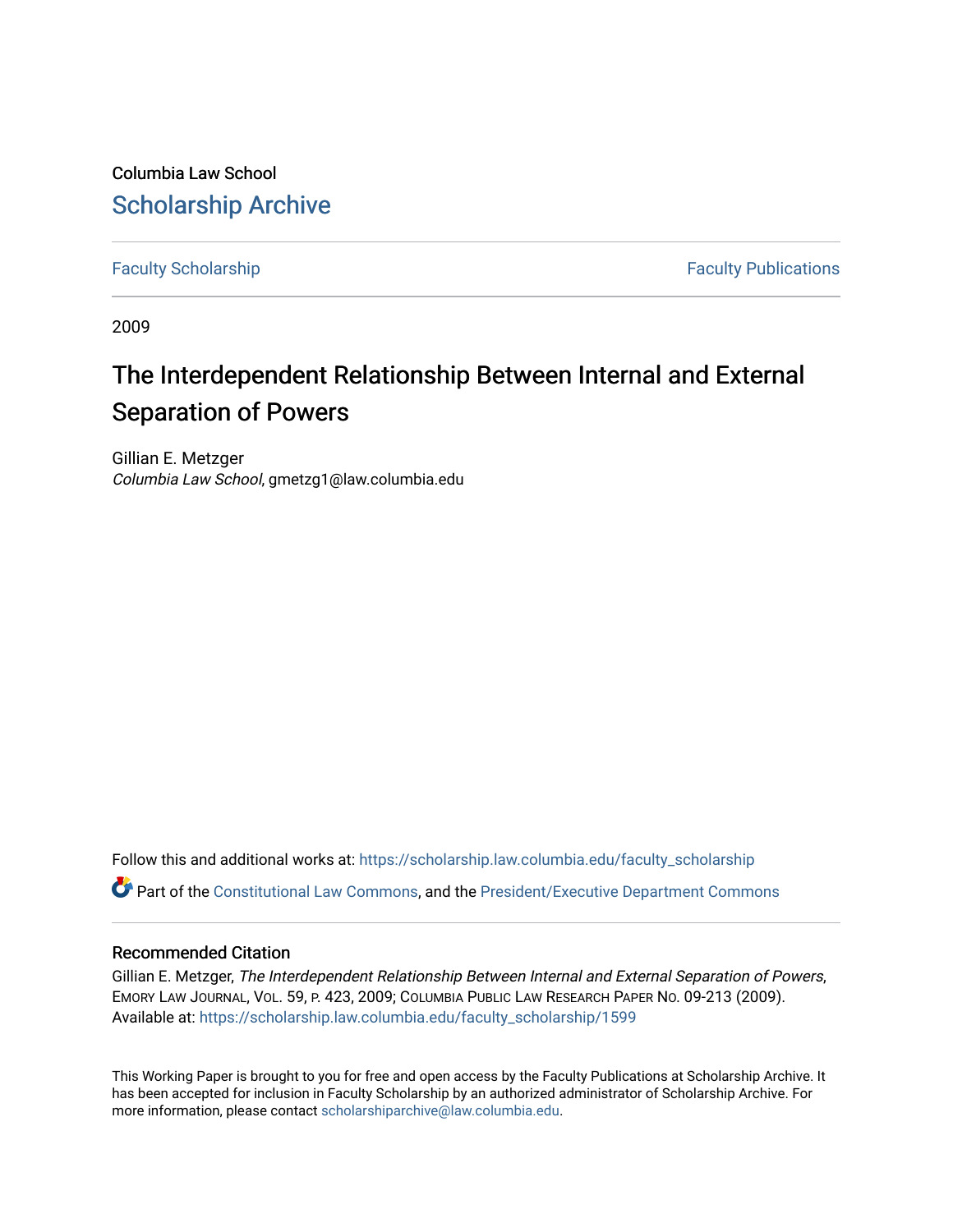Columbia Law School [Scholarship Archive](https://scholarship.law.columbia.edu/) 

[Faculty Scholarship](https://scholarship.law.columbia.edu/faculty_scholarship) **Faculty Scholarship Faculty Publications** 

2009

# The Interdependent Relationship Between Internal and External Separation of Powers

Gillian E. Metzger Columbia Law School, gmetzg1@law.columbia.edu

Follow this and additional works at: [https://scholarship.law.columbia.edu/faculty\\_scholarship](https://scholarship.law.columbia.edu/faculty_scholarship?utm_source=scholarship.law.columbia.edu%2Ffaculty_scholarship%2F1599&utm_medium=PDF&utm_campaign=PDFCoverPages) Part of the [Constitutional Law Commons,](http://network.bepress.com/hgg/discipline/589?utm_source=scholarship.law.columbia.edu%2Ffaculty_scholarship%2F1599&utm_medium=PDF&utm_campaign=PDFCoverPages) and the [President/Executive Department Commons](http://network.bepress.com/hgg/discipline/1118?utm_source=scholarship.law.columbia.edu%2Ffaculty_scholarship%2F1599&utm_medium=PDF&utm_campaign=PDFCoverPages)

## Recommended Citation

Gillian E. Metzger, The Interdependent Relationship Between Internal and External Separation of Powers, EMORY LAW JOURNAL, VOL. 59, P. 423, 2009; COLUMBIA PUBLIC LAW RESEARCH PAPER NO. 09-213 (2009). Available at: [https://scholarship.law.columbia.edu/faculty\\_scholarship/1599](https://scholarship.law.columbia.edu/faculty_scholarship/1599?utm_source=scholarship.law.columbia.edu%2Ffaculty_scholarship%2F1599&utm_medium=PDF&utm_campaign=PDFCoverPages)

This Working Paper is brought to you for free and open access by the Faculty Publications at Scholarship Archive. It has been accepted for inclusion in Faculty Scholarship by an authorized administrator of Scholarship Archive. For more information, please contact [scholarshiparchive@law.columbia.edu.](mailto:scholarshiparchive@law.columbia.edu)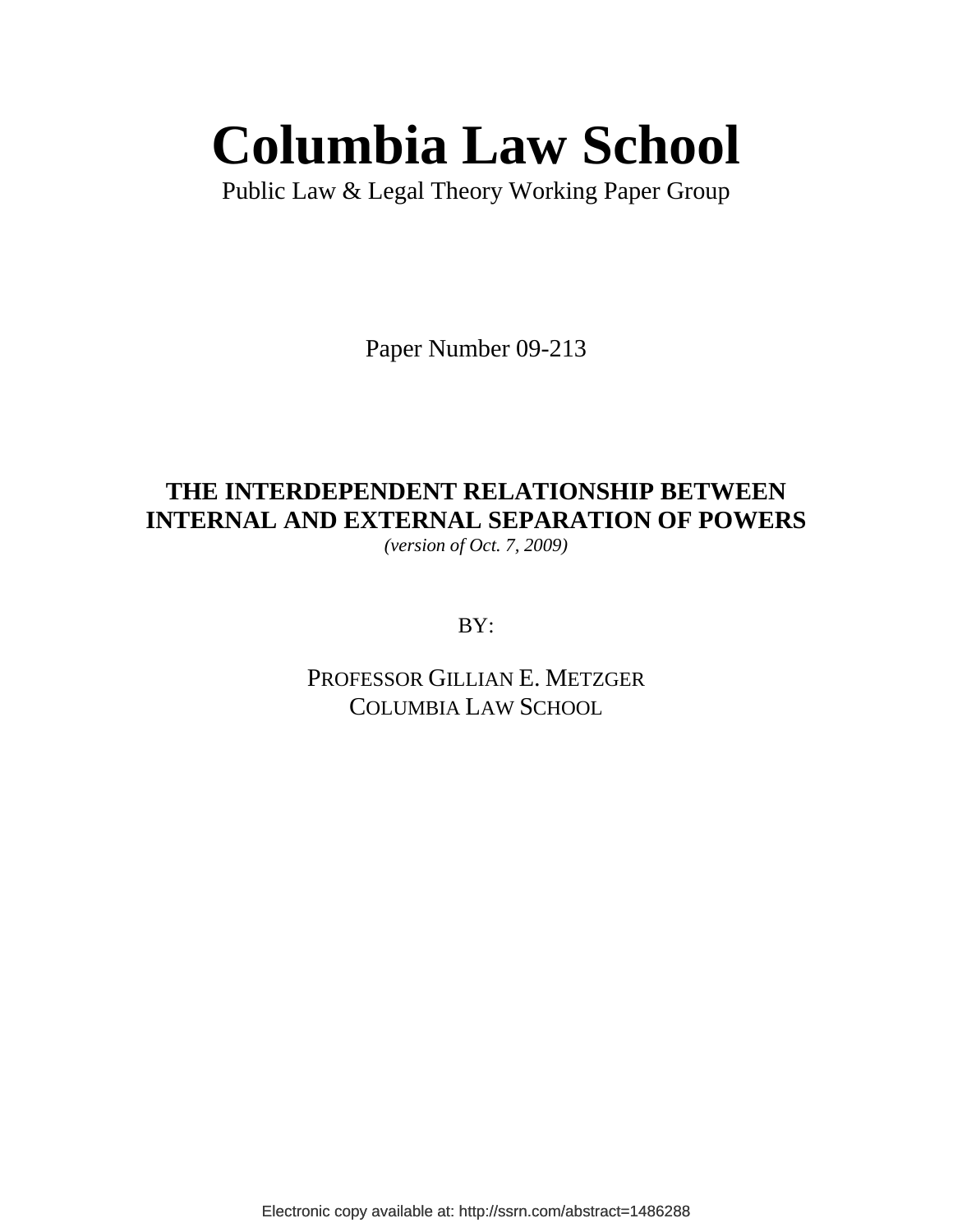# **Columbia Law School**

Public Law & Legal Theory Working Paper Group

Paper Number 09-213

# **THE INTERDEPENDENT RELATIONSHIP BETWEEN INTERNAL AND EXTERNAL SEPARATION OF POWERS**

*(version of Oct. 7, 2009)* 

BY:

PROFESSOR GILLIAN E. METZGER COLUMBIA LAW SCHOOL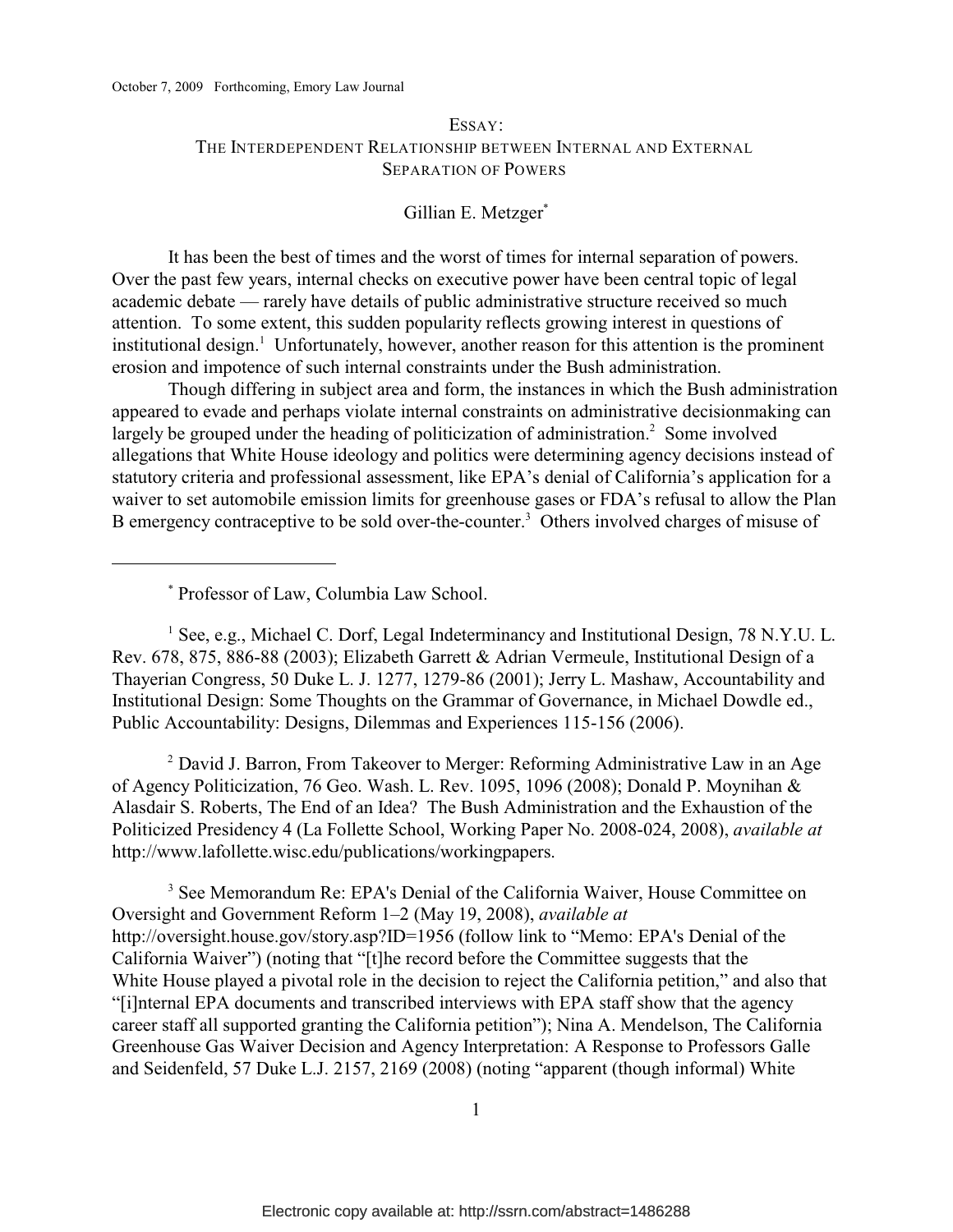# ESSAY: THE INTERDEPENDENT RELATIONSHIP BETWEEN INTERNAL AND EXTERNAL SEPARATION OF POWERS

# Gillian E. Metzger\*

It has been the best of times and the worst of times for internal separation of powers. Over the past few years, internal checks on executive power have been central topic of legal academic debate — rarely have details of public administrative structure received so much attention. To some extent, this sudden popularity reflects growing interest in questions of institutional design.<sup>1</sup> Unfortunately, however, another reason for this attention is the prominent erosion and impotence of such internal constraints under the Bush administration.

 Though differing in subject area and form, the instances in which the Bush administration appeared to evade and perhaps violate internal constraints on administrative decisionmaking can largely be grouped under the heading of politicization of administration.<sup>2</sup> Some involved allegations that White House ideology and politics were determining agency decisions instead of statutory criteria and professional assessment, like EPA's denial of California's application for a waiver to set automobile emission limits for greenhouse gases or FDA's refusal to allow the Plan B emergency contraceptive to be sold over-the-counter.<sup>3</sup> Others involved charges of misuse of

Professor of Law, Columbia Law School. \*

<sup>1</sup> See, e.g., Michael C. Dorf, Legal Indeterminancy and Institutional Design, 78 N.Y.U. L. Rev. 678, 875, 886-88 (2003); Elizabeth Garrett & Adrian Vermeule, Institutional Design of a Thayerian Congress, 50 Duke L. J. 1277, 1279-86 (2001); Jerry L. Mashaw, Accountability and Institutional Design: Some Thoughts on the Grammar of Governance, in Michael Dowdle ed., Public Accountability: Designs, Dilemmas and Experiences 115-156 (2006).

<sup>2</sup> David J. Barron, From Takeover to Merger: Reforming Administrative Law in an Age of Agency Politicization, 76 Geo. Wash. L. Rev. 1095, 1096 (2008); Donald P. Moynihan & Alasdair S. Roberts, The End of an Idea? The Bush Administration and the Exhaustion of the Politicized Presidency 4 (La Follette School, Working Paper No. 2008-024, 2008), *available at* http://www.lafollette.wisc.edu/publications/workingpapers.

<sup>3</sup> See Memorandum Re: EPA's Denial of the California Waiver, House Committee on Oversight and Government Reform 1–2 (May 19, 2008), *available at* http://oversight.house.gov/story.asp?ID=1956 (follow link to "Memo: EPA's Denial of the California Waiver") (noting that "[t]he record before the Committee suggests that the White House played a pivotal role in the decision to reject the California petition," and also that "[i]nternal EPA documents and transcribed interviews with EPA staff show that the agency career staff all supported granting the California petition"); Nina A. Mendelson, The California Greenhouse Gas Waiver Decision and Agency Interpretation: A Response to Professors Galle and Seidenfeld, 57 Duke L.J. 2157, 2169 (2008) (noting "apparent (though informal) White

1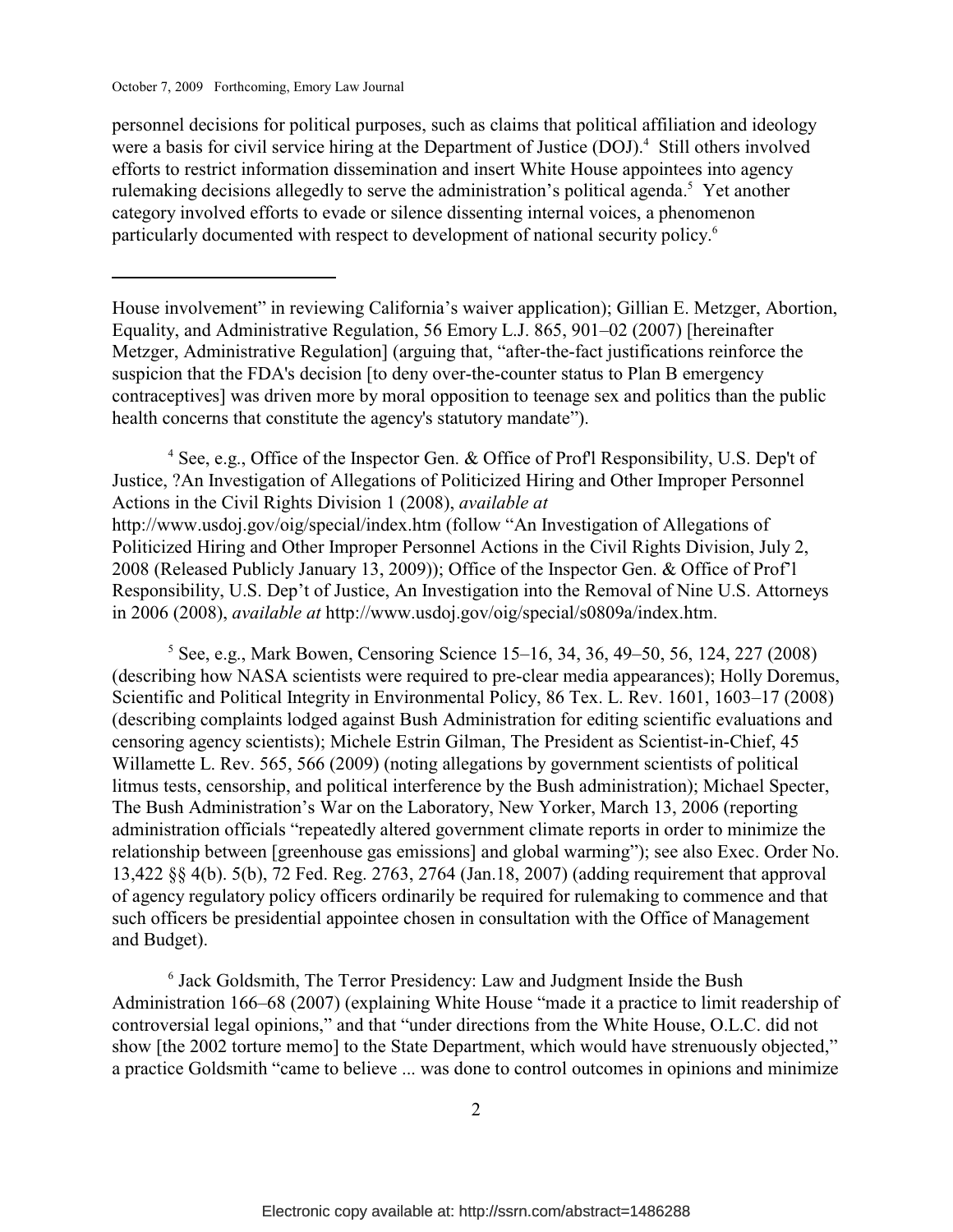personnel decisions for political purposes, such as claims that political affiliation and ideology were a basis for civil service hiring at the Department of Justice  $(DOJ)<sup>4</sup>$  Still others involved efforts to restrict information dissemination and insert White House appointees into agency rulemaking decisions allegedly to serve the administration's political agenda.<sup>5</sup> Yet another category involved efforts to evade or silence dissenting internal voices, a phenomenon particularly documented with respect to development of national security policy.6

<sup>4</sup> See, e.g., Office of the Inspector Gen. & Office of Prof'l Responsibility, U.S. Dep't of Justice, ?An Investigation of Allegations of Politicized Hiring and Other Improper Personnel Actions in the Civil Rights Division 1 (2008), *available at* http://www.usdoj.gov/oig/special/index.htm (follow "An Investigation of Allegations of Politicized Hiring and Other Improper Personnel Actions in the Civil Rights Division, July 2, 2008 (Released Publicly January 13, 2009)); Office of the Inspector Gen. & Office of Prof'l Responsibility, U.S. Dep't of Justice, An Investigation into the Removal of Nine U.S. Attorneys in 2006 (2008), *available at* http://www.usdoj.gov/oig/special/s0809a/index.htm.

 $5$  See, e.g., Mark Bowen, Censoring Science 15–16, 34, 36, 49–50, 56, 124, 227 (2008) (describing how NASA scientists were required to pre-clear media appearances); Holly Doremus, Scientific and Political Integrity in Environmental Policy, 86 Tex. L. Rev. 1601, 1603–17 (2008) (describing complaints lodged against Bush Administration for editing scientific evaluations and censoring agency scientists); Michele Estrin Gilman, The President as Scientist-in-Chief, 45 Willamette L. Rev. 565, 566 (2009) (noting allegations by government scientists of political litmus tests, censorship, and political interference by the Bush administration); Michael Specter, The Bush Administration's War on the Laboratory, New Yorker, March 13, 2006 (reporting administration officials "repeatedly altered government climate reports in order to minimize the relationship between [greenhouse gas emissions] and global warming"); see also Exec. Order No. 13,422 §§ 4(b). 5(b), 72 Fed. Reg. 2763, 2764 (Jan.18, 2007) (adding requirement that approval of agency regulatory policy officers ordinarily be required for rulemaking to commence and that such officers be presidential appointee chosen in consultation with the Office of Management and Budget).

 $6$  Jack Goldsmith, The Terror Presidency: Law and Judgment Inside the Bush Administration 166–68 (2007) (explaining White House "made it a practice to limit readership of controversial legal opinions," and that "under directions from the White House, O.L.C. did not show [the 2002 torture memo] to the State Department, which would have strenuously objected," a practice Goldsmith "came to believe ... was done to control outcomes in opinions and minimize

House involvement" in reviewing California's waiver application); Gillian E. Metzger, Abortion, Equality, and Administrative Regulation, 56 Emory L.J. 865, 901–02 (2007) [hereinafter Metzger, Administrative Regulation] (arguing that, "after-the-fact justifications reinforce the suspicion that the FDA's decision [to deny over-the-counter status to Plan B emergency contraceptives] was driven more by moral opposition to teenage sex and politics than the public health concerns that constitute the agency's statutory mandate").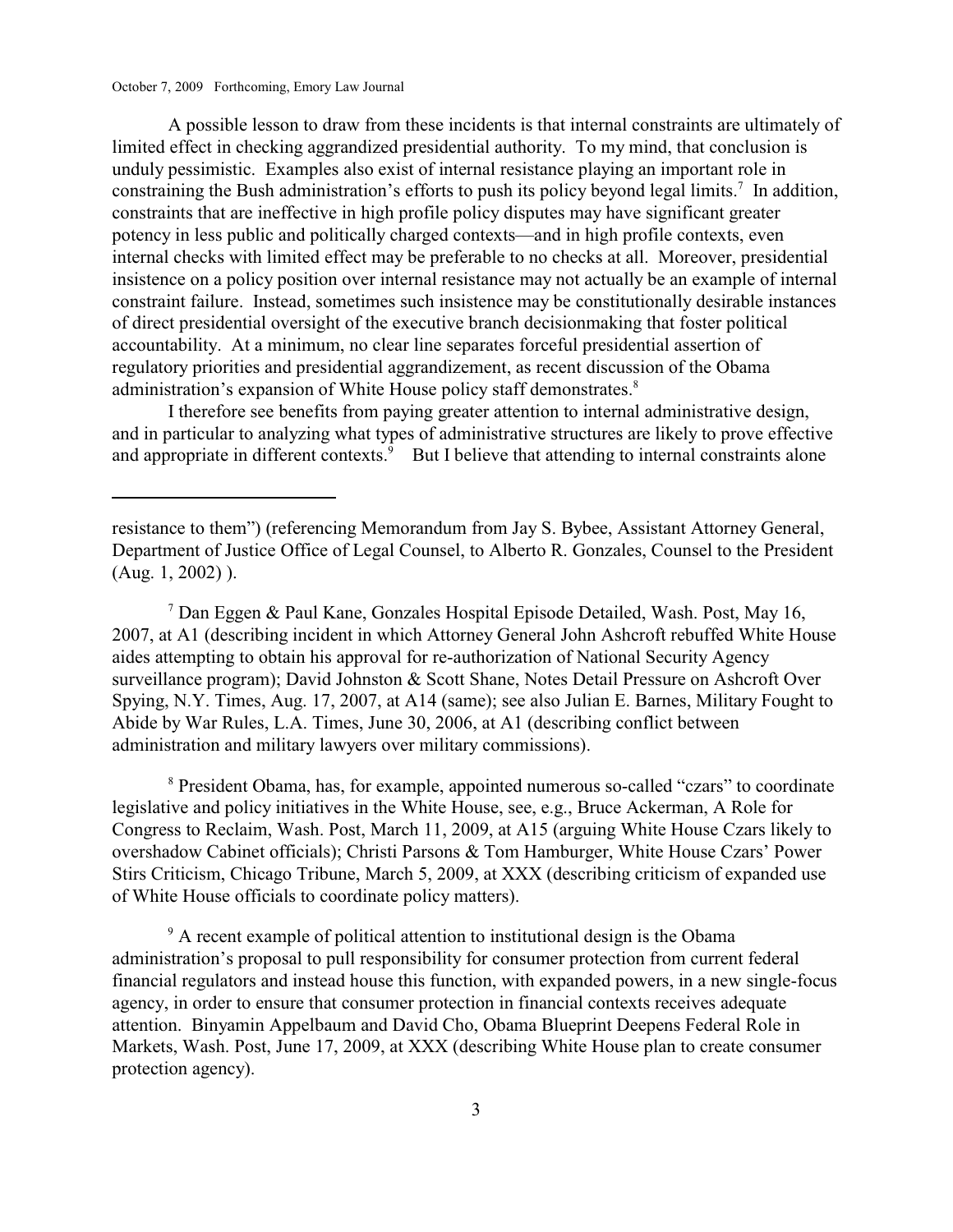A possible lesson to draw from these incidents is that internal constraints are ultimately of limited effect in checking aggrandized presidential authority. To my mind, that conclusion is unduly pessimistic. Examples also exist of internal resistance playing an important role in constraining the Bush administration's efforts to push its policy beyond legal limits.<sup>7</sup> In addition, constraints that are ineffective in high profile policy disputes may have significant greater potency in less public and politically charged contexts—and in high profile contexts, even internal checks with limited effect may be preferable to no checks at all. Moreover, presidential insistence on a policy position over internal resistance may not actually be an example of internal constraint failure. Instead, sometimes such insistence may be constitutionally desirable instances of direct presidential oversight of the executive branch decisionmaking that foster political accountability. At a minimum, no clear line separates forceful presidential assertion of regulatory priorities and presidential aggrandizement, as recent discussion of the Obama administration's expansion of White House policy staff demonstrates.<sup>8</sup>

I therefore see benefits from paying greater attention to internal administrative design, and in particular to analyzing what types of administrative structures are likely to prove effective and appropriate in different contexts.<sup>9</sup> But I believe that attending to internal constraints alone

<sup>7</sup> Dan Eggen & Paul Kane, Gonzales Hospital Episode Detailed, Wash. Post, May 16, 2007, at A1 (describing incident in which Attorney General John Ashcroft rebuffed White House aides attempting to obtain his approval for re-authorization of National Security Agency surveillance program); David Johnston & Scott Shane, Notes Detail Pressure on Ashcroft Over Spying, N.Y. Times, Aug. 17, 2007, at A14 (same); see also Julian E. Barnes, Military Fought to Abide by War Rules, L.A. Times, June 30, 2006, at A1 (describing conflict between administration and military lawyers over military commissions).

<sup>8</sup> President Obama, has, for example, appointed numerous so-called "czars" to coordinate legislative and policy initiatives in the White House, see, e.g., Bruce Ackerman, A Role for Congress to Reclaim, Wash. Post, March 11, 2009, at A15 (arguing White House Czars likely to overshadow Cabinet officials); Christi Parsons & Tom Hamburger, White House Czars' Power Stirs Criticism, Chicago Tribune, March 5, 2009, at XXX (describing criticism of expanded use of White House officials to coordinate policy matters).

<sup>9</sup> A recent example of political attention to institutional design is the Obama administration's proposal to pull responsibility for consumer protection from current federal financial regulators and instead house this function, with expanded powers, in a new single-focus agency, in order to ensure that consumer protection in financial contexts receives adequate attention. Binyamin Appelbaum and David Cho, Obama Blueprint Deepens Federal Role in Markets, Wash. Post, June 17, 2009, at XXX (describing White House plan to create consumer protection agency).

resistance to them") (referencing Memorandum from Jay S. Bybee, Assistant Attorney General, Department of Justice Office of Legal Counsel, to Alberto R. Gonzales, Counsel to the President (Aug. 1, 2002) ).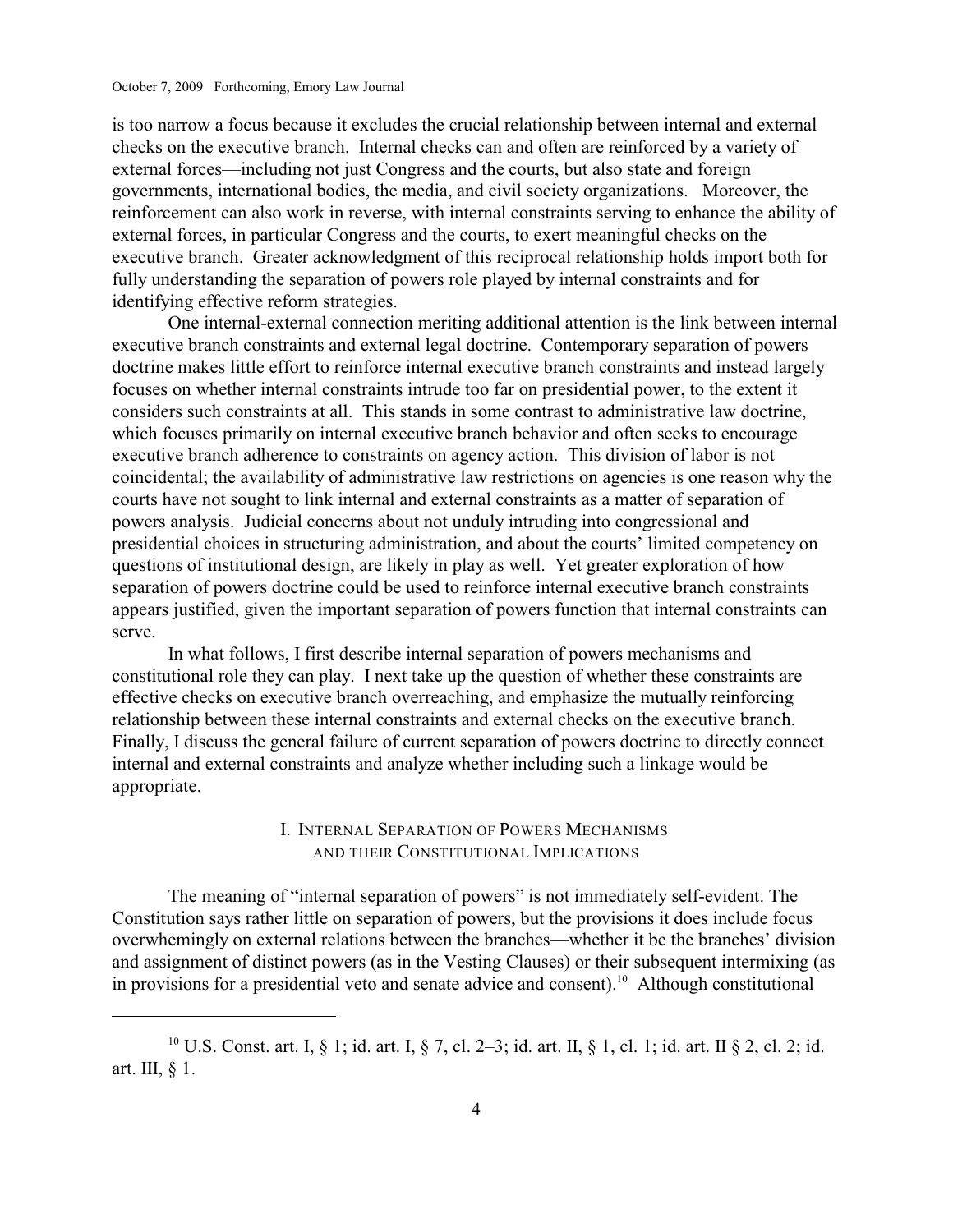is too narrow a focus because it excludes the crucial relationship between internal and external checks on the executive branch. Internal checks can and often are reinforced by a variety of external forces—including not just Congress and the courts, but also state and foreign governments, international bodies, the media, and civil society organizations. Moreover, the reinforcement can also work in reverse, with internal constraints serving to enhance the ability of external forces, in particular Congress and the courts, to exert meaningful checks on the executive branch. Greater acknowledgment of this reciprocal relationship holds import both for fully understanding the separation of powers role played by internal constraints and for identifying effective reform strategies.

One internal-external connection meriting additional attention is the link between internal executive branch constraints and external legal doctrine. Contemporary separation of powers doctrine makes little effort to reinforce internal executive branch constraints and instead largely focuses on whether internal constraints intrude too far on presidential power, to the extent it considers such constraints at all. This stands in some contrast to administrative law doctrine, which focuses primarily on internal executive branch behavior and often seeks to encourage executive branch adherence to constraints on agency action. This division of labor is not coincidental; the availability of administrative law restrictions on agencies is one reason why the courts have not sought to link internal and external constraints as a matter of separation of powers analysis. Judicial concerns about not unduly intruding into congressional and presidential choices in structuring administration, and about the courts' limited competency on questions of institutional design, are likely in play as well. Yet greater exploration of how separation of powers doctrine could be used to reinforce internal executive branch constraints appears justified, given the important separation of powers function that internal constraints can serve.

In what follows, I first describe internal separation of powers mechanisms and constitutional role they can play. I next take up the question of whether these constraints are effective checks on executive branch overreaching, and emphasize the mutually reinforcing relationship between these internal constraints and external checks on the executive branch. Finally, I discuss the general failure of current separation of powers doctrine to directly connect internal and external constraints and analyze whether including such a linkage would be appropriate.

# I. INTERNAL SEPARATION OF POWERS MECHANISMS AND THEIR CONSTITUTIONAL IMPLICATIONS

The meaning of "internal separation of powers" is not immediately self-evident. The Constitution says rather little on separation of powers, but the provisions it does include focus overwhemingly on external relations between the branches—whether it be the branches' division and assignment of distinct powers (as in the Vesting Clauses) or their subsequent intermixing (as in provisions for a presidential veto and senate advice and consent).<sup>10</sup> Although constitutional

<sup>&</sup>lt;sup>10</sup> U.S. Const. art. I, § 1; id. art. I, § 7, cl. 2–3; id. art. II, § 1, cl. 1; id. art. II § 2, cl. 2; id. art. III, § 1.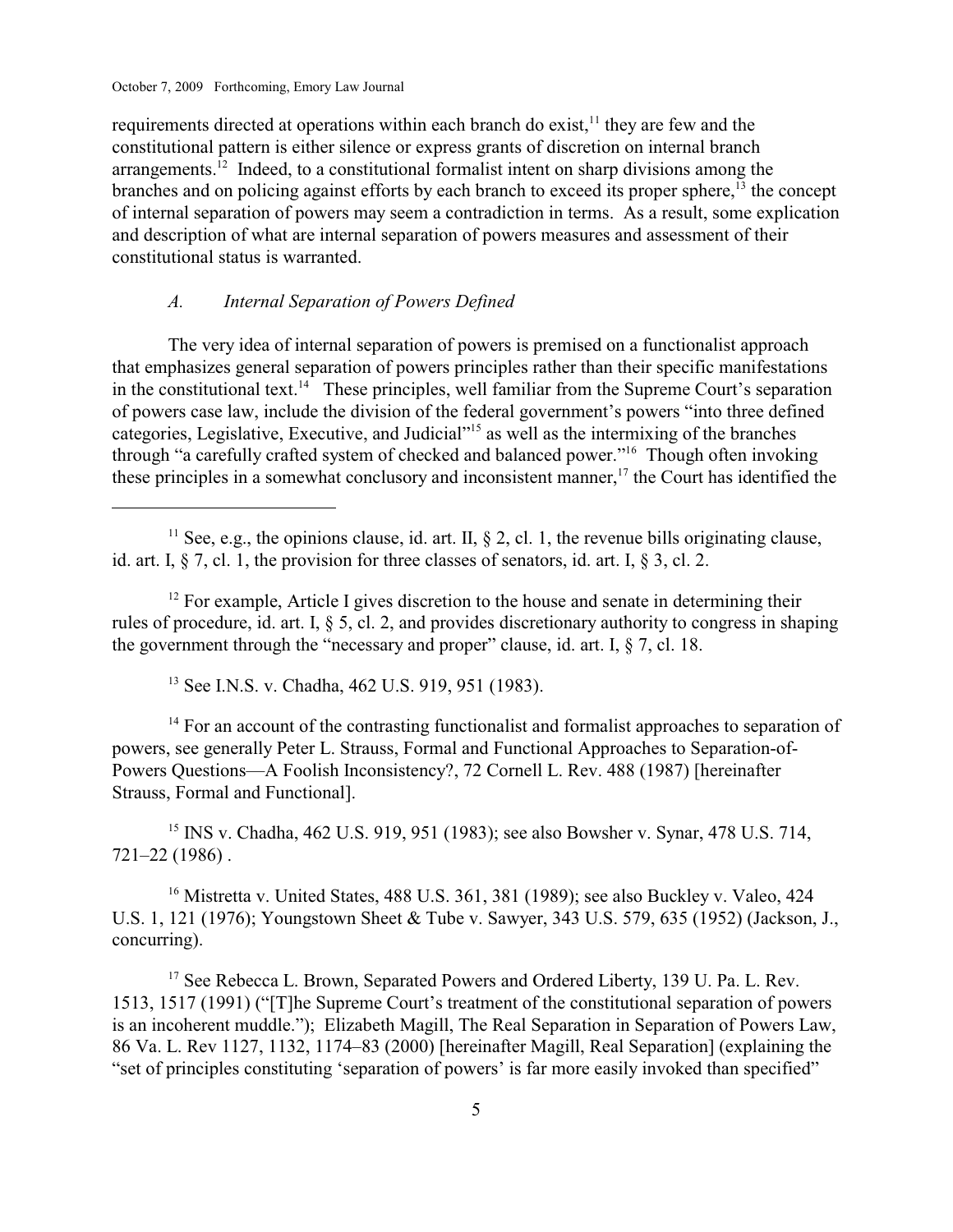requirements directed at operations within each branch do exist,  $\frac{11}{11}$  they are few and the constitutional pattern is either silence or express grants of discretion on internal branch arrangements.<sup>12</sup> Indeed, to a constitutional formalist intent on sharp divisions among the branches and on policing against efforts by each branch to exceed its proper sphere, $\frac{13}{13}$  the concept of internal separation of powers may seem a contradiction in terms. As a result, some explication and description of what are internal separation of powers measures and assessment of their constitutional status is warranted.

# *A. Internal Separation of Powers Defined*

The very idea of internal separation of powers is premised on a functionalist approach that emphasizes general separation of powers principles rather than their specific manifestations in the constitutional text.<sup>14</sup> These principles, well familiar from the Supreme Court's separation of powers case law, include the division of the federal government's powers "into three defined categories, Legislative, Executive, and Judicial"<sup>15</sup> as well as the intermixing of the branches through "a carefully crafted system of checked and balanced power."<sup>16</sup> Though often invoking these principles in a somewhat conclusory and inconsistent manner, $\frac{1}{7}$  the Court has identified the

<sup>11</sup> See, e.g., the opinions clause, id. art. II,  $\S$  2, cl. 1, the revenue bills originating clause, id. art. I, § 7, cl. 1, the provision for three classes of senators, id. art. I, § 3, cl. 2.

 $<sup>12</sup>$  For example, Article I gives discretion to the house and senate in determining their</sup> rules of procedure, id. art. I, § 5, cl. 2, and provides discretionary authority to congress in shaping the government through the "necessary and proper" clause, id. art. I,  $\delta$  7, cl. 18.

<sup>13</sup> See I.N.S. v. Chadha, 462 U.S. 919, 951 (1983).

 $<sup>14</sup>$  For an account of the contrasting functionalist and formalist approaches to separation of</sup> powers, see generally Peter L. Strauss, Formal and Functional Approaches to Separation-of-Powers Questions—A Foolish Inconsistency?, 72 Cornell L. Rev. 488 (1987) [hereinafter Strauss, Formal and Functional].

<sup>15</sup> INS v. Chadha, 462 U.S. 919, 951 (1983); see also Bowsher v. Synar, 478 U.S. 714, 721–22 (1986) .

<sup>16</sup> Mistretta v. United States, 488 U.S. 361, 381 (1989); see also Buckley v. Valeo, 424 U.S. 1, 121 (1976); Youngstown Sheet & Tube v. Sawyer, 343 U.S. 579, 635 (1952) (Jackson, J., concurring).

 $17$  See Rebecca L. Brown, Separated Powers and Ordered Liberty, 139 U. Pa. L. Rev. 1513, 1517 (1991) ("[T]he Supreme Court's treatment of the constitutional separation of powers is an incoherent muddle."); Elizabeth Magill, The Real Separation in Separation of Powers Law, 86 Va. L. Rev 1127, 1132, 1174–83 (2000) [hereinafter Magill, Real Separation] (explaining the "set of principles constituting 'separation of powers' is far more easily invoked than specified"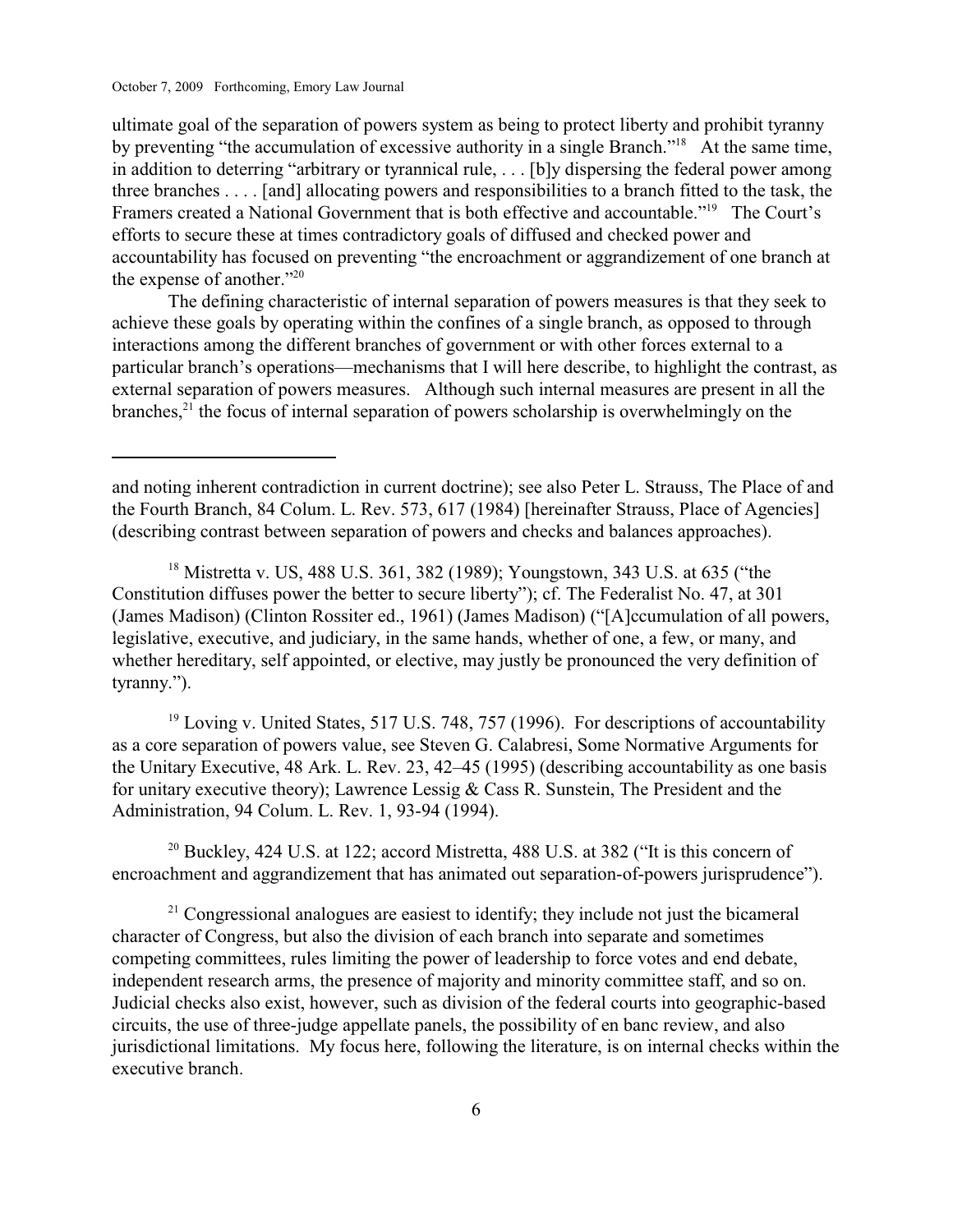ultimate goal of the separation of powers system as being to protect liberty and prohibit tyranny by preventing "the accumulation of excessive authority in a single Branch."<sup>18</sup> At the same time, in addition to deterring "arbitrary or tyrannical rule, . . . [b]y dispersing the federal power among three branches . . . . [and] allocating powers and responsibilities to a branch fitted to the task, the Framers created a National Government that is both effective and accountable."<sup>19</sup> The Court's efforts to secure these at times contradictory goals of diffused and checked power and accountability has focused on preventing "the encroachment or aggrandizement of one branch at the expense of another." $20$ 

The defining characteristic of internal separation of powers measures is that they seek to achieve these goals by operating within the confines of a single branch, as opposed to through interactions among the different branches of government or with other forces external to a particular branch's operations—mechanisms that I will here describe, to highlight the contrast, as external separation of powers measures. Although such internal measures are present in all the branches, $2<sup>1</sup>$  the focus of internal separation of powers scholarship is overwhelmingly on the

 $19$  Loving v. United States, 517 U.S. 748, 757 (1996). For descriptions of accountability as a core separation of powers value, see Steven G. Calabresi, Some Normative Arguments for the Unitary Executive, 48 Ark. L. Rev. 23, 42–45 (1995) (describing accountability as one basis for unitary executive theory); Lawrence Lessig & Cass R. Sunstein, The President and the Administration, 94 Colum. L. Rev. 1, 93-94 (1994).

<sup>20</sup> Buckley, 424 U.S. at 122; accord Mistretta, 488 U.S. at 382 ("It is this concern of encroachment and aggrandizement that has animated out separation-of-powers jurisprudence").

 $21$  Congressional analogues are easiest to identify; they include not just the bicameral character of Congress, but also the division of each branch into separate and sometimes competing committees, rules limiting the power of leadership to force votes and end debate, independent research arms, the presence of majority and minority committee staff, and so on. Judicial checks also exist, however, such as division of the federal courts into geographic-based circuits, the use of three-judge appellate panels, the possibility of en banc review, and also jurisdictional limitations. My focus here, following the literature, is on internal checks within the executive branch.

and noting inherent contradiction in current doctrine); see also Peter L. Strauss, The Place of and the Fourth Branch, 84 Colum. L. Rev. 573, 617 (1984) [hereinafter Strauss, Place of Agencies] (describing contrast between separation of powers and checks and balances approaches).

<sup>&</sup>lt;sup>18</sup> Mistretta v. US, 488 U.S. 361, 382 (1989); Youngstown, 343 U.S. at 635 ("the Constitution diffuses power the better to secure liberty"); cf. The Federalist No. 47, at 301 (James Madison) (Clinton Rossiter ed., 1961) (James Madison) ("[A]ccumulation of all powers, legislative, executive, and judiciary, in the same hands, whether of one, a few, or many, and whether hereditary, self appointed, or elective, may justly be pronounced the very definition of tyranny.").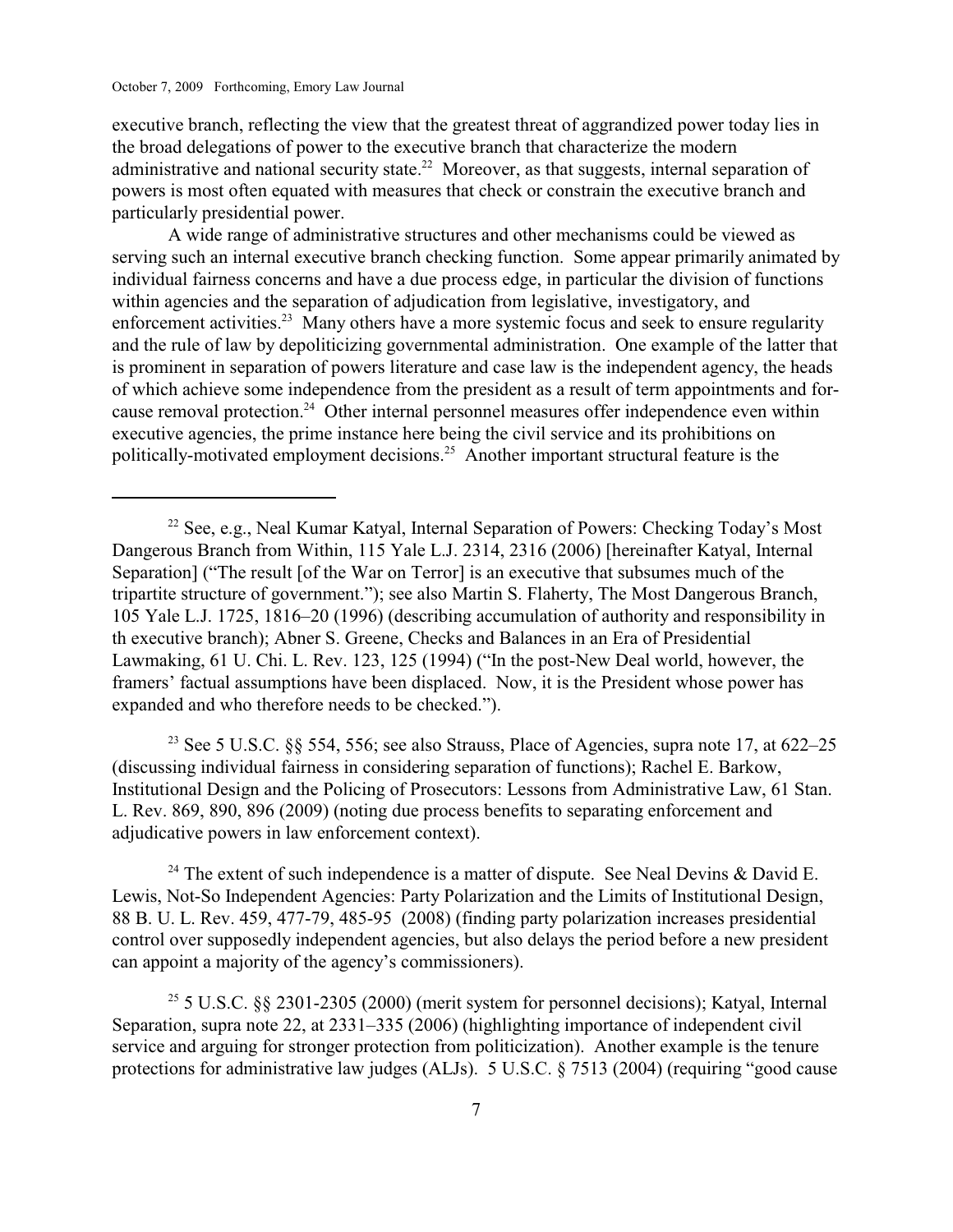executive branch, reflecting the view that the greatest threat of aggrandized power today lies in the broad delegations of power to the executive branch that characterize the modern administrative and national security state.<sup>22</sup> Moreover, as that suggests, internal separation of powers is most often equated with measures that check or constrain the executive branch and particularly presidential power.

A wide range of administrative structures and other mechanisms could be viewed as serving such an internal executive branch checking function. Some appear primarily animated by individual fairness concerns and have a due process edge, in particular the division of functions within agencies and the separation of adjudication from legislative, investigatory, and enforcement activities.<sup>23</sup> Many others have a more systemic focus and seek to ensure regularity and the rule of law by depoliticizing governmental administration. One example of the latter that is prominent in separation of powers literature and case law is the independent agency, the heads of which achieve some independence from the president as a result of term appointments and forcause removal protection.<sup>24</sup> Other internal personnel measures offer independence even within executive agencies, the prime instance here being the civil service and its prohibitions on politically-motivated employment decisions.<sup>25</sup> Another important structural feature is the

<sup>23</sup> See 5 U.S.C. §§ 554, 556; see also Strauss, Place of Agencies, supra note 17, at 622–25 (discussing individual fairness in considering separation of functions); Rachel E. Barkow, Institutional Design and the Policing of Prosecutors: Lessons from Administrative Law, 61 Stan. L. Rev. 869, 890, 896 (2009) (noting due process benefits to separating enforcement and adjudicative powers in law enforcement context).

<sup>24</sup> The extent of such independence is a matter of dispute. See Neal Devins & David E. Lewis, Not-So Independent Agencies: Party Polarization and the Limits of Institutional Design, 88 B. U. L. Rev. 459, 477-79, 485-95 (2008) (finding party polarization increases presidential control over supposedly independent agencies, but also delays the period before a new president can appoint a majority of the agency's commissioners).

 $25$  5 U.S.C. §§ 2301-2305 (2000) (merit system for personnel decisions); Katyal, Internal Separation, supra note 22, at 2331–335 (2006) (highlighting importance of independent civil service and arguing for stronger protection from politicization). Another example is the tenure protections for administrative law judges (ALJs). 5 U.S.C. § 7513 (2004) (requiring "good cause

 $22$  See, e.g., Neal Kumar Katyal, Internal Separation of Powers: Checking Today's Most Dangerous Branch from Within, 115 Yale L.J. 2314, 2316 (2006) [hereinafter Katyal, Internal Separation] ("The result [of the War on Terror] is an executive that subsumes much of the tripartite structure of government."); see also Martin S. Flaherty, The Most Dangerous Branch, 105 Yale L.J. 1725, 1816–20 (1996) (describing accumulation of authority and responsibility in th executive branch); Abner S. Greene, Checks and Balances in an Era of Presidential Lawmaking, 61 U. Chi. L. Rev. 123, 125 (1994) ("In the post-New Deal world, however, the framers' factual assumptions have been displaced. Now, it is the President whose power has expanded and who therefore needs to be checked.").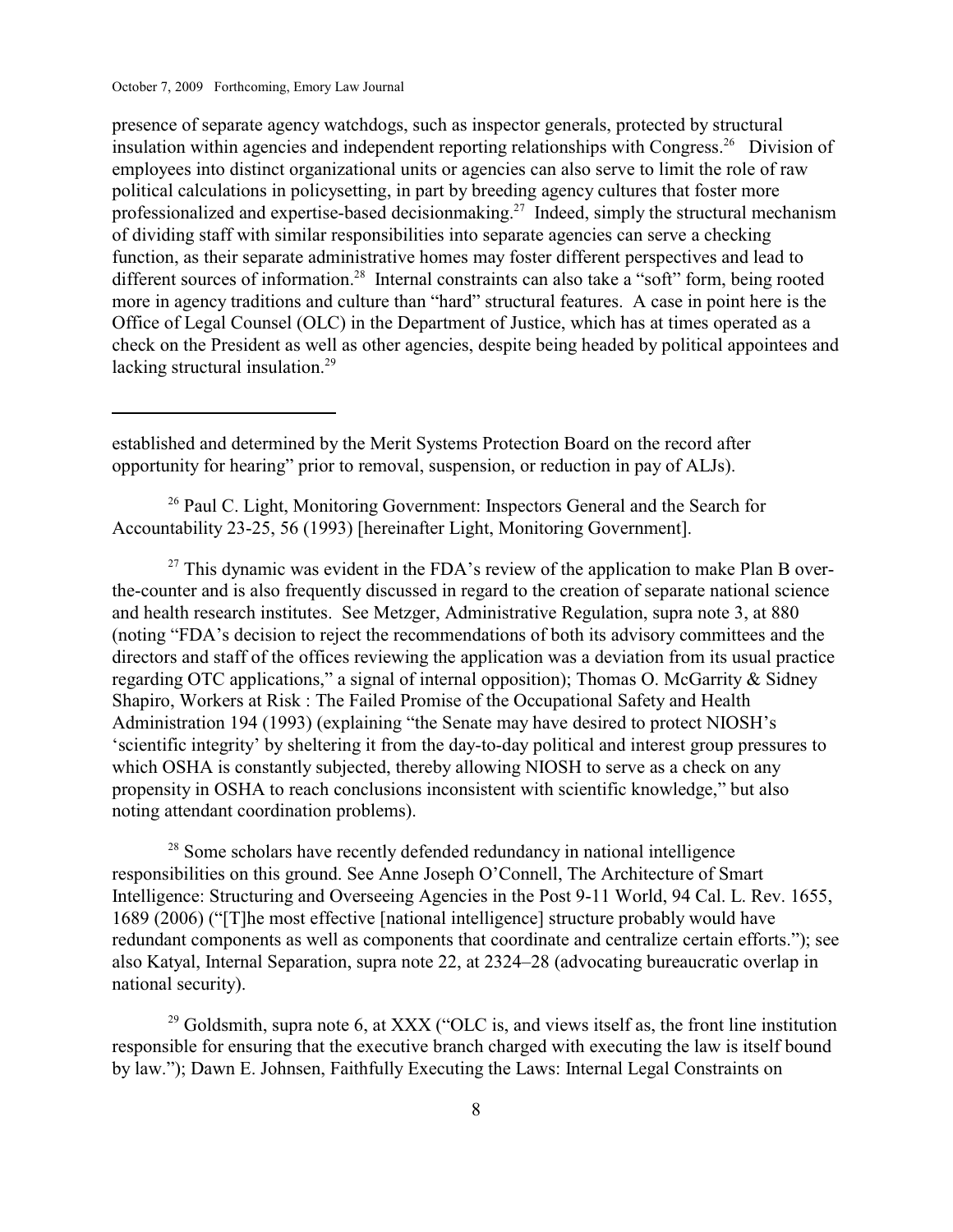presence of separate agency watchdogs, such as inspector generals, protected by structural insulation within agencies and independent reporting relationships with Congress.<sup>26</sup> Division of employees into distinct organizational units or agencies can also serve to limit the role of raw political calculations in policysetting, in part by breeding agency cultures that foster more professionalized and expertise-based decisionmaking.<sup>27</sup> Indeed, simply the structural mechanism of dividing staff with similar responsibilities into separate agencies can serve a checking function, as their separate administrative homes may foster different perspectives and lead to different sources of information.<sup>28</sup> Internal constraints can also take a "soft" form, being rooted more in agency traditions and culture than "hard" structural features. A case in point here is the Office of Legal Counsel (OLC) in the Department of Justice, which has at times operated as a check on the President as well as other agencies, despite being headed by political appointees and lacking structural insulation.<sup>29</sup>

established and determined by the Merit Systems Protection Board on the record after opportunity for hearing" prior to removal, suspension, or reduction in pay of ALJs).

 $26$  Paul C. Light, Monitoring Government: Inspectors General and the Search for Accountability 23-25, 56 (1993) [hereinafter Light, Monitoring Government].

 $27$  This dynamic was evident in the FDA's review of the application to make Plan B overthe-counter and is also frequently discussed in regard to the creation of separate national science and health research institutes. See Metzger, Administrative Regulation, supra note 3, at 880 (noting "FDA's decision to reject the recommendations of both its advisory committees and the directors and staff of the offices reviewing the application was a deviation from its usual practice regarding OTC applications," a signal of internal opposition); Thomas O. McGarrity & Sidney Shapiro, Workers at Risk : The Failed Promise of the Occupational Safety and Health Administration 194 (1993) (explaining "the Senate may have desired to protect NIOSH's 'scientific integrity' by sheltering it from the day-to-day political and interest group pressures to which OSHA is constantly subjected, thereby allowing NIOSH to serve as a check on any propensity in OSHA to reach conclusions inconsistent with scientific knowledge," but also noting attendant coordination problems).

 $28$  Some scholars have recently defended redundancy in national intelligence responsibilities on this ground. See Anne Joseph O'Connell, The Architecture of Smart Intelligence: Structuring and Overseeing Agencies in the Post 9-11 World, 94 Cal. L. Rev. 1655, 1689 (2006) ("[T]he most effective [national intelligence] structure probably would have redundant components as well as components that coordinate and centralize certain efforts."); see also Katyal, Internal Separation, supra note 22, at 2324–28 (advocating bureaucratic overlap in national security).

 $^{29}$  Goldsmith, supra note 6, at XXX ("OLC is, and views itself as, the front line institution responsible for ensuring that the executive branch charged with executing the law is itself bound by law."); Dawn E. Johnsen, Faithfully Executing the Laws: Internal Legal Constraints on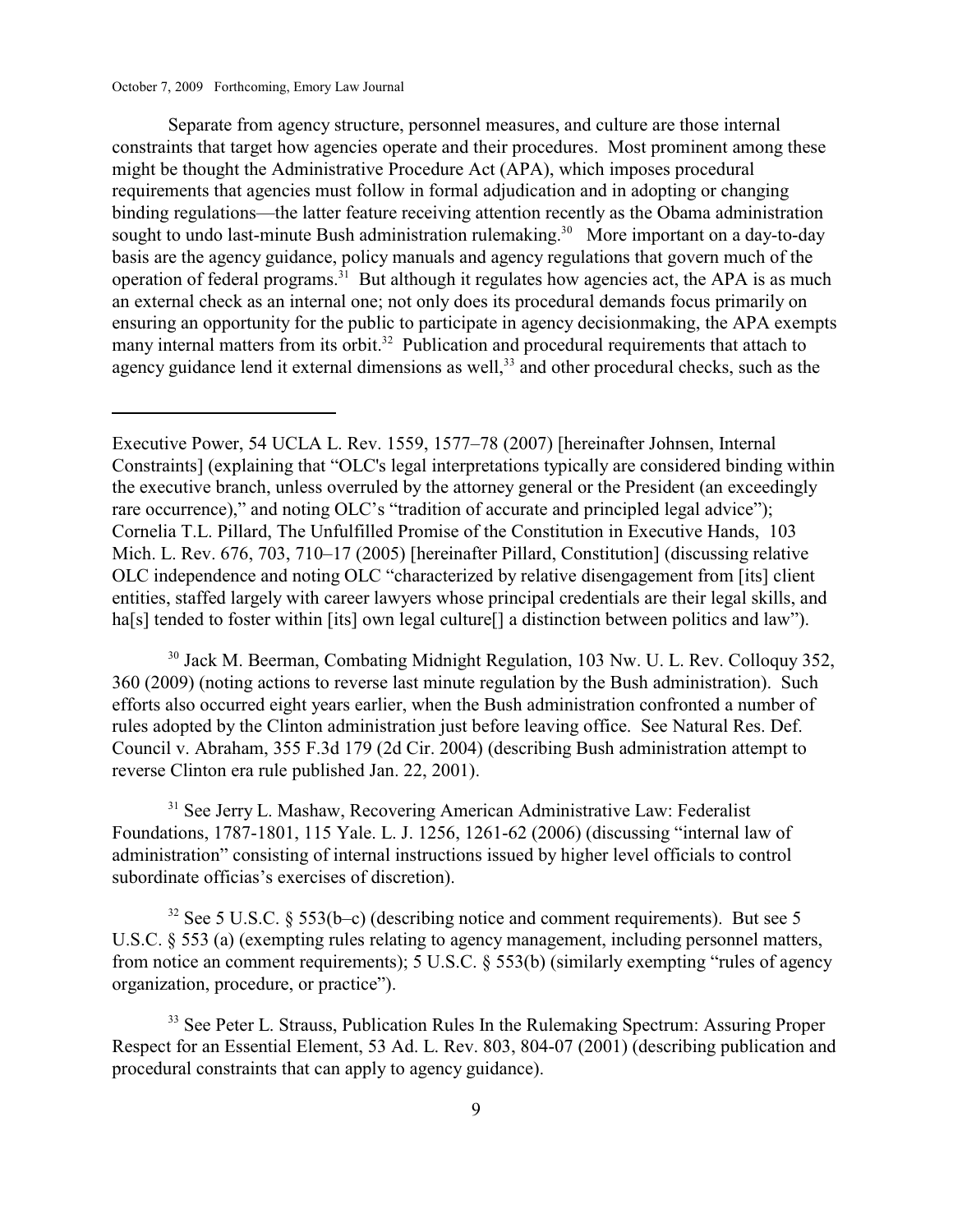Separate from agency structure, personnel measures, and culture are those internal constraints that target how agencies operate and their procedures. Most prominent among these might be thought the Administrative Procedure Act (APA), which imposes procedural requirements that agencies must follow in formal adjudication and in adopting or changing binding regulations—the latter feature receiving attention recently as the Obama administration sought to undo last-minute Bush administration rulemaking.<sup>30</sup> More important on a day-to-day basis are the agency guidance, policy manuals and agency regulations that govern much of the operation of federal programs.<sup> $31$ </sup> But although it regulates how agencies act, the APA is as much an external check as an internal one; not only does its procedural demands focus primarily on ensuring an opportunity for the public to participate in agency decisionmaking, the APA exempts many internal matters from its orbit.<sup>32</sup> Publication and procedural requirements that attach to agency guidance lend it external dimensions as well, $33$  and other procedural checks, such as the

<sup>30</sup> Jack M. Beerman, Combating Midnight Regulation, 103 Nw. U. L. Rev. Colloquy 352, 360 (2009) (noting actions to reverse last minute regulation by the Bush administration). Such efforts also occurred eight years earlier, when the Bush administration confronted a number of rules adopted by the Clinton administration just before leaving office. See Natural Res. Def. Council v. Abraham, 355 F.3d 179 (2d Cir. 2004) (describing Bush administration attempt to reverse Clinton era rule published Jan. 22, 2001).

<sup>31</sup> See Jerry L. Mashaw, Recovering American Administrative Law: Federalist Foundations, 1787-1801, 115 Yale. L. J. 1256, 1261-62 (2006) (discussing "internal law of administration" consisting of internal instructions issued by higher level officials to control subordinate officias's exercises of discretion).

<sup>32</sup> See 5 U.S.C. § 553(b–c) (describing notice and comment requirements). But see 5 U.S.C. § 553 (a) (exempting rules relating to agency management, including personnel matters, from notice an comment requirements); 5 U.S.C. § 553(b) (similarly exempting "rules of agency organization, procedure, or practice").

<sup>33</sup> See Peter L. Strauss, Publication Rules In the Rulemaking Spectrum: Assuring Proper Respect for an Essential Element, 53 Ad. L. Rev. 803, 804-07 (2001) (describing publication and procedural constraints that can apply to agency guidance).

Executive Power, 54 UCLA L. Rev. 1559, 1577–78 (2007) [hereinafter Johnsen, Internal Constraints] (explaining that "OLC's legal interpretations typically are considered binding within the executive branch, unless overruled by the attorney general or the President (an exceedingly rare occurrence)," and noting OLC's "tradition of accurate and principled legal advice"); Cornelia T.L. Pillard, The Unfulfilled Promise of the Constitution in Executive Hands, 103 Mich. L. Rev. 676, 703, 710–17 (2005) [hereinafter Pillard, Constitution] (discussing relative OLC independence and noting OLC "characterized by relative disengagement from [its] client entities, staffed largely with career lawyers whose principal credentials are their legal skills, and ha[s] tended to foster within [its] own legal culture<sup>[]</sup> a distinction between politics and law").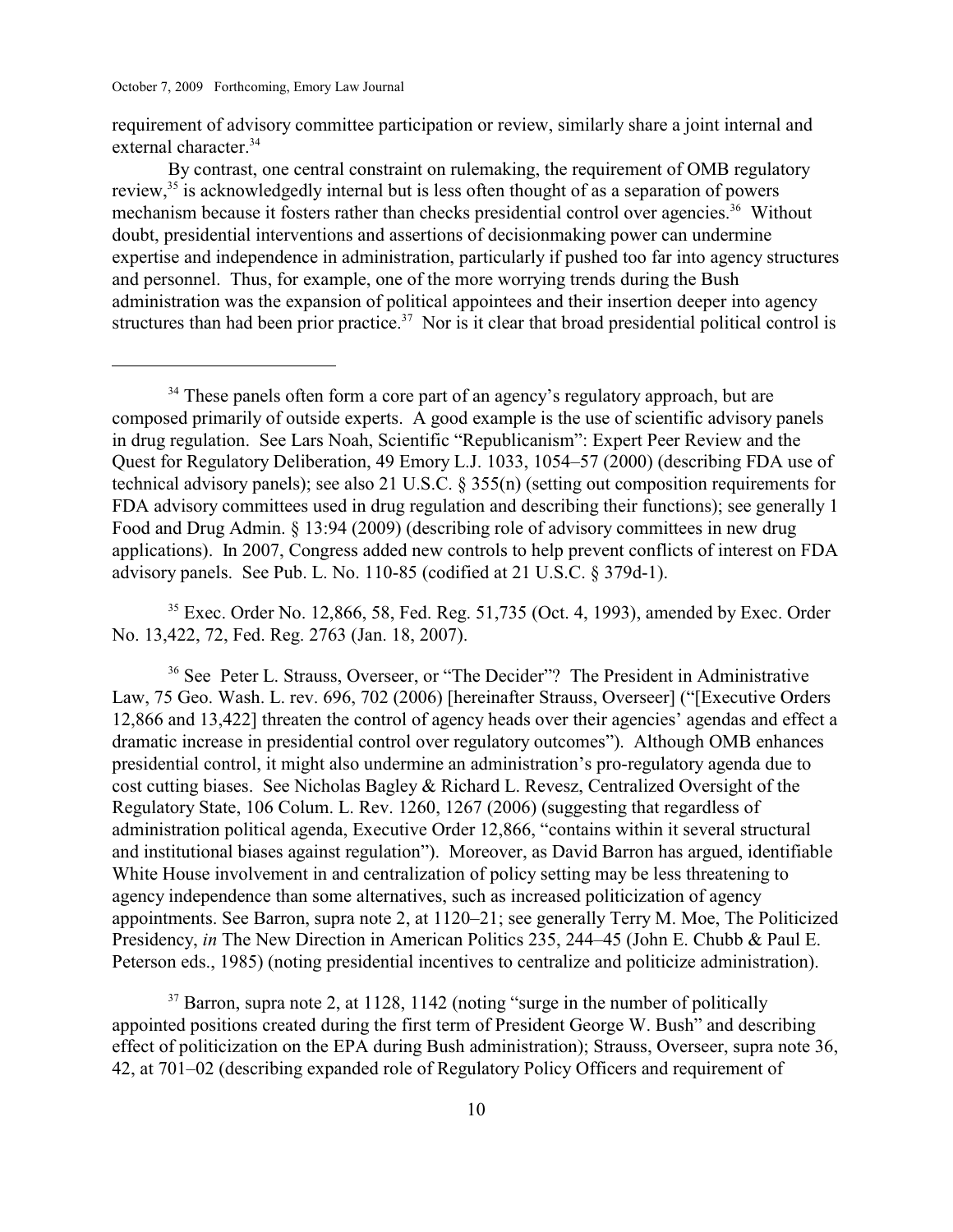requirement of advisory committee participation or review, similarly share a joint internal and external character.<sup>34</sup>

By contrast, one central constraint on rulemaking, the requirement of OMB regulatory review,  $35$  is acknowledgedly internal but is less often thought of as a separation of powers mechanism because it fosters rather than checks presidential control over agencies.<sup>36</sup> Without doubt, presidential interventions and assertions of decisionmaking power can undermine expertise and independence in administration, particularly if pushed too far into agency structures and personnel. Thus, for example, one of the more worrying trends during the Bush administration was the expansion of political appointees and their insertion deeper into agency structures than had been prior practice.<sup>37</sup> Nor is it clear that broad presidential political control is

 $35$  Exec. Order No. 12,866, 58, Fed. Reg. 51,735 (Oct. 4, 1993), amended by Exec. Order No. 13,422, 72, Fed. Reg. 2763 (Jan. 18, 2007).

<sup>36</sup> See Peter L. Strauss, Overseer, or "The Decider"? The President in Administrative Law, 75 Geo. Wash. L. rev. 696, 702 (2006) [hereinafter Strauss, Overseer] ("[Executive Orders 12,866 and 13,422] threaten the control of agency heads over their agencies' agendas and effect a dramatic increase in presidential control over regulatory outcomes"). Although OMB enhances presidential control, it might also undermine an administration's pro-regulatory agenda due to cost cutting biases. See Nicholas Bagley & Richard L. Revesz, Centralized Oversight of the Regulatory State, 106 Colum. L. Rev. 1260, 1267 (2006) (suggesting that regardless of administration political agenda, Executive Order 12,866, "contains within it several structural and institutional biases against regulation"). Moreover, as David Barron has argued, identifiable White House involvement in and centralization of policy setting may be less threatening to agency independence than some alternatives, such as increased politicization of agency appointments. See Barron, supra note 2, at 1120–21; see generally Terry M. Moe, The Politicized Presidency, *in* The New Direction in American Politics 235, 244–45 (John E. Chubb & Paul E. Peterson eds., 1985) (noting presidential incentives to centralize and politicize administration).

 $37$  Barron, supra note 2, at 1128, 1142 (noting "surge in the number of politically appointed positions created during the first term of President George W. Bush" and describing effect of politicization on the EPA during Bush administration); Strauss, Overseer, supra note 36, 42, at 701–02 (describing expanded role of Regulatory Policy Officers and requirement of

<sup>&</sup>lt;sup>34</sup> These panels often form a core part of an agency's regulatory approach, but are composed primarily of outside experts. A good example is the use of scientific advisory panels in drug regulation. See Lars Noah, Scientific "Republicanism": Expert Peer Review and the Quest for Regulatory Deliberation, 49 Emory L.J. 1033, 1054–57 (2000) (describing FDA use of technical advisory panels); see also 21 U.S.C. § 355(n) (setting out composition requirements for FDA advisory committees used in drug regulation and describing their functions); see generally 1 Food and Drug Admin. § 13:94 (2009) (describing role of advisory committees in new drug applications). In 2007, Congress added new controls to help prevent conflicts of interest on FDA advisory panels. See Pub. L. No. 110-85 (codified at 21 U.S.C. § 379d-1).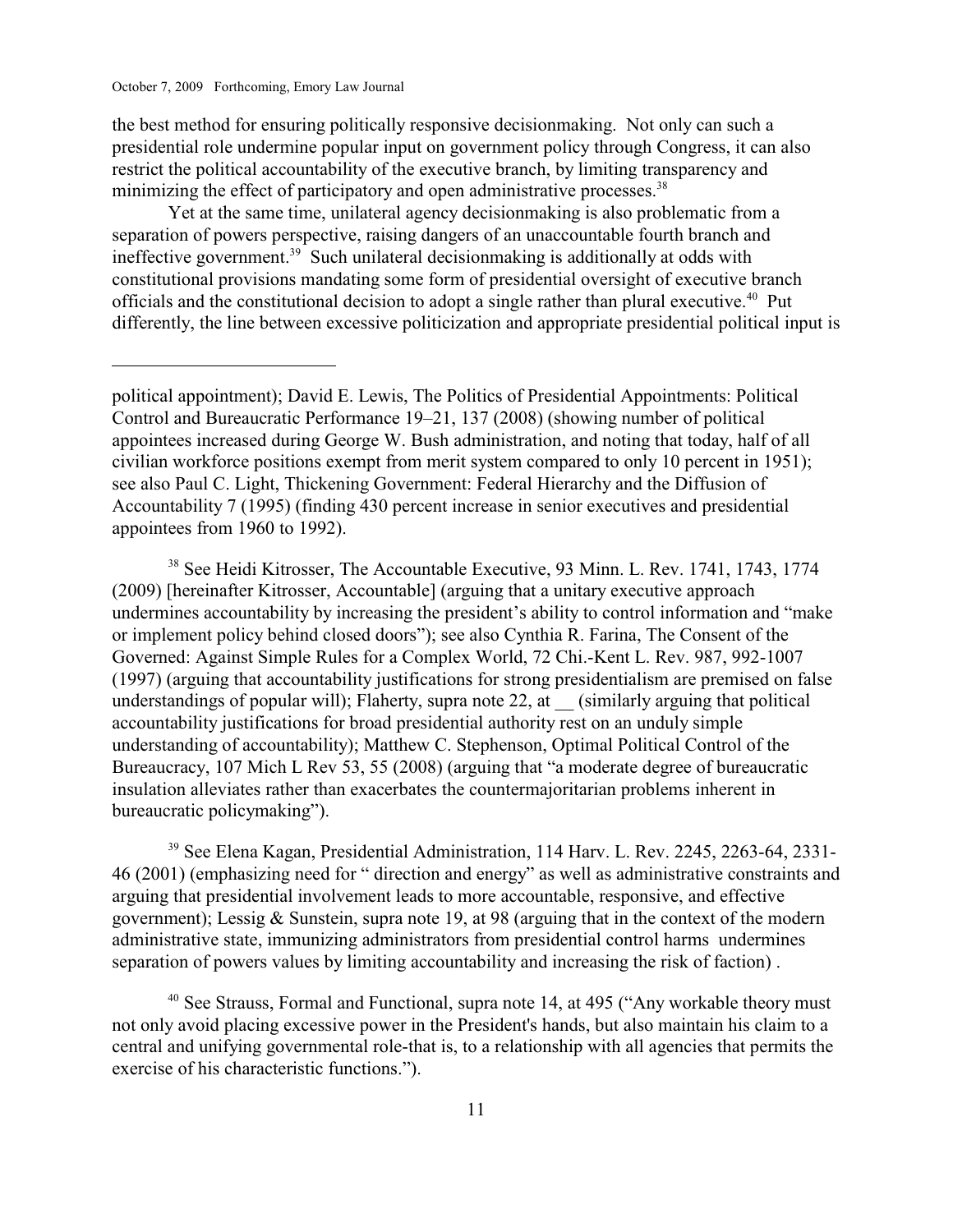the best method for ensuring politically responsive decisionmaking. Not only can such a presidential role undermine popular input on government policy through Congress, it can also restrict the political accountability of the executive branch, by limiting transparency and minimizing the effect of participatory and open administrative processes.<sup>38</sup>

Yet at the same time, unilateral agency decisionmaking is also problematic from a separation of powers perspective, raising dangers of an unaccountable fourth branch and ineffective government.<sup>39</sup> Such unilateral decision making is additionally at odds with constitutional provisions mandating some form of presidential oversight of executive branch officials and the constitutional decision to adopt a single rather than plural executive.<sup>40</sup> Put differently, the line between excessive politicization and appropriate presidential political input is

<sup>38</sup> See Heidi Kitrosser, The Accountable Executive, 93 Minn. L. Rev. 1741, 1743, 1774 (2009) [hereinafter Kitrosser, Accountable] (arguing that a unitary executive approach undermines accountability by increasing the president's ability to control information and "make or implement policy behind closed doors"); see also Cynthia R. Farina, The Consent of the Governed: Against Simple Rules for a Complex World, 72 Chi.-Kent L. Rev. 987, 992-1007 (1997) (arguing that accountability justifications for strong presidentialism are premised on false understandings of popular will); Flaherty, supra note 22, at (similarly arguing that political accountability justifications for broad presidential authority rest on an unduly simple understanding of accountability); Matthew C. Stephenson, Optimal Political Control of the Bureaucracy, 107 Mich L Rev 53, 55 (2008) (arguing that "a moderate degree of bureaucratic insulation alleviates rather than exacerbates the countermajoritarian problems inherent in bureaucratic policymaking").

<sup>39</sup> See Elena Kagan, Presidential Administration, 114 Harv. L. Rev. 2245, 2263-64, 2331-46 (2001) (emphasizing need for " direction and energy" as well as administrative constraints and arguing that presidential involvement leads to more accountable, responsive, and effective government); Lessig & Sunstein, supra note 19, at 98 (arguing that in the context of the modern administrative state, immunizing administrators from presidential control harms undermines separation of powers values by limiting accountability and increasing the risk of faction) .

 $40$  See Strauss, Formal and Functional, supra note 14, at 495 ("Any workable theory must not only avoid placing excessive power in the President's hands, but also maintain his claim to a central and unifying governmental role-that is, to a relationship with all agencies that permits the exercise of his characteristic functions.").

political appointment); David E. Lewis, The Politics of Presidential Appointments: Political Control and Bureaucratic Performance 19–21, 137 (2008) (showing number of political appointees increased during George W. Bush administration, and noting that today, half of all civilian workforce positions exempt from merit system compared to only 10 percent in 1951); see also Paul C. Light, Thickening Government: Federal Hierarchy and the Diffusion of Accountability 7 (1995) (finding 430 percent increase in senior executives and presidential appointees from 1960 to 1992).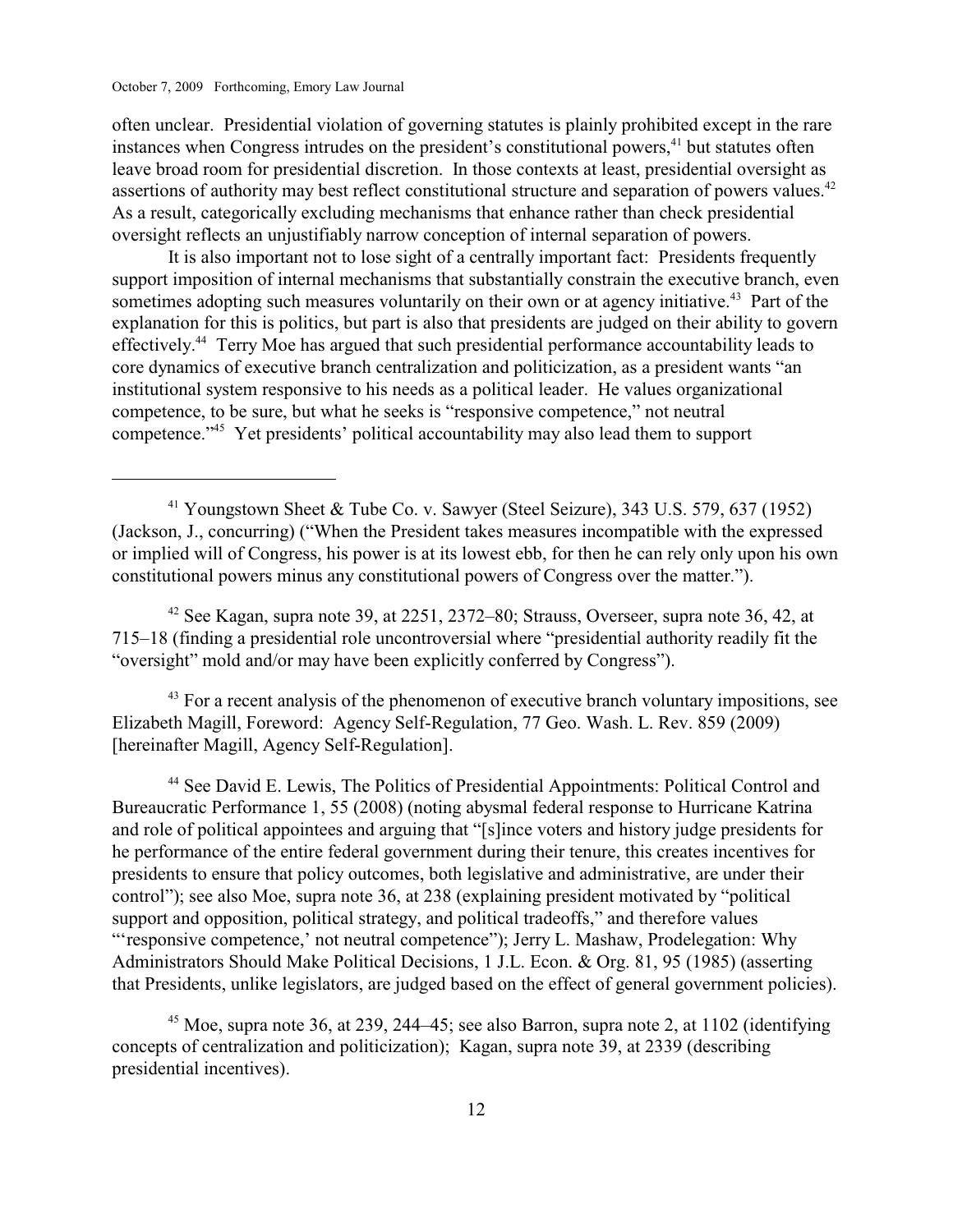often unclear. Presidential violation of governing statutes is plainly prohibited except in the rare instances when Congress intrudes on the president's constitutional powers, $41$  but statutes often leave broad room for presidential discretion. In those contexts at least, presidential oversight as assertions of authority may best reflect constitutional structure and separation of powers values.<sup>42</sup> As a result, categorically excluding mechanisms that enhance rather than check presidential oversight reflects an unjustifiably narrow conception of internal separation of powers.

It is also important not to lose sight of a centrally important fact: Presidents frequently support imposition of internal mechanisms that substantially constrain the executive branch, even sometimes adopting such measures voluntarily on their own or at agency initiative.<sup>43</sup> Part of the explanation for this is politics, but part is also that presidents are judged on their ability to govern effectively.<sup>44</sup> Terry Moe has argued that such presidential performance accountability leads to core dynamics of executive branch centralization and politicization, as a president wants "an institutional system responsive to his needs as a political leader. He values organizational competence, to be sure, but what he seeks is "responsive competence," not neutral competence."<sup>45</sup> Yet presidents' political accountability may also lead them to support

 $43$  For a recent analysis of the phenomenon of executive branch voluntary impositions, see Elizabeth Magill, Foreword: Agency Self-Regulation, 77 Geo. Wash. L. Rev. 859 (2009) [hereinafter Magill, Agency Self-Regulation].

<sup>44</sup> See David E. Lewis, The Politics of Presidential Appointments: Political Control and Bureaucratic Performance 1, 55 (2008) (noting abysmal federal response to Hurricane Katrina and role of political appointees and arguing that "[s]ince voters and history judge presidents for he performance of the entire federal government during their tenure, this creates incentives for presidents to ensure that policy outcomes, both legislative and administrative, are under their control"); see also Moe, supra note 36, at 238 (explaining president motivated by "political support and opposition, political strategy, and political tradeoffs," and therefore values "'responsive competence,' not neutral competence"); Jerry L. Mashaw, Prodelegation: Why Administrators Should Make Political Decisions, 1 J.L. Econ. & Org. 81, 95 (1985) (asserting that Presidents, unlike legislators, are judged based on the effect of general government policies).

<sup>45</sup> Moe, supra note 36, at 239, 244–45; see also Barron, supra note 2, at 1102 (identifying concepts of centralization and politicization); Kagan, supra note 39, at 2339 (describing presidential incentives).

<sup>&</sup>lt;sup>41</sup> Youngstown Sheet & Tube Co. v. Sawyer (Steel Seizure), 343 U.S. 579, 637 (1952) (Jackson, J., concurring) ("When the President takes measures incompatible with the expressed or implied will of Congress, his power is at its lowest ebb, for then he can rely only upon his own constitutional powers minus any constitutional powers of Congress over the matter.").

 $42$  See Kagan, supra note 39, at 2251, 2372–80; Strauss, Overseer, supra note 36, 42, at 715–18 (finding a presidential role uncontroversial where "presidential authority readily fit the "oversight" mold and/or may have been explicitly conferred by Congress").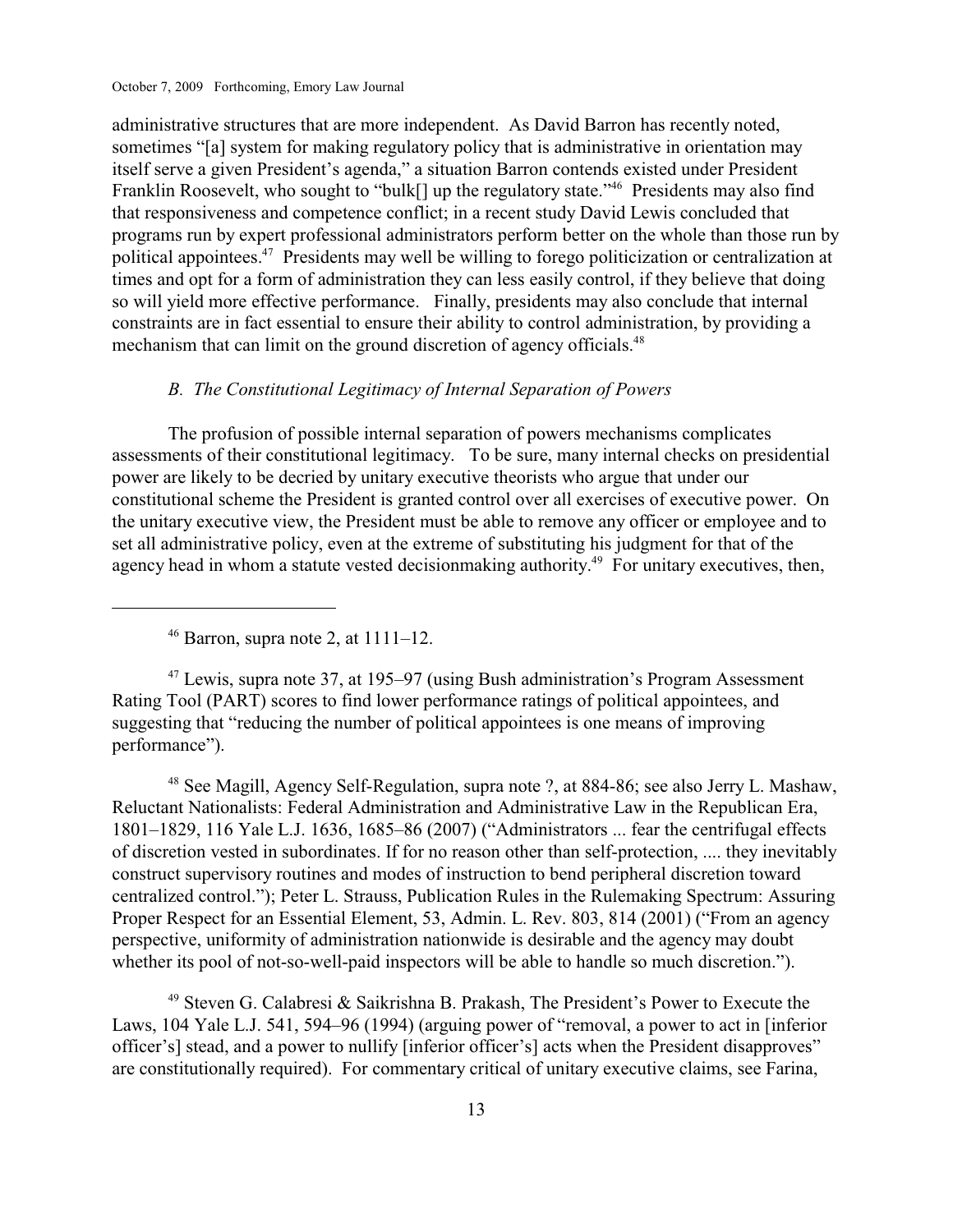administrative structures that are more independent. As David Barron has recently noted, sometimes "[a] system for making regulatory policy that is administrative in orientation may itself serve a given President's agenda," a situation Barron contends existed under President Franklin Roosevelt, who sought to "bulk[] up the regulatory state."<sup>46</sup> Presidents may also find that responsiveness and competence conflict; in a recent study David Lewis concluded that programs run by expert professional administrators perform better on the whole than those run by political appointees.<sup> $47$ </sup> Presidents may well be willing to forego politicization or centralization at times and opt for a form of administration they can less easily control, if they believe that doing so will yield more effective performance. Finally, presidents may also conclude that internal constraints are in fact essential to ensure their ability to control administration, by providing a mechanism that can limit on the ground discretion of agency officials.<sup>48</sup>

# *B. The Constitutional Legitimacy of Internal Separation of Powers*

The profusion of possible internal separation of powers mechanisms complicates assessments of their constitutional legitimacy. To be sure, many internal checks on presidential power are likely to be decried by unitary executive theorists who argue that under our constitutional scheme the President is granted control over all exercises of executive power. On the unitary executive view, the President must be able to remove any officer or employee and to set all administrative policy, even at the extreme of substituting his judgment for that of the agency head in whom a statute vested decision making authority.<sup>49</sup> For unitary executives, then,

 $47$  Lewis, supra note 37, at 195–97 (using Bush administration's Program Assessment Rating Tool (PART) scores to find lower performance ratings of political appointees, and suggesting that "reducing the number of political appointees is one means of improving performance").

<sup>48</sup> See Magill, Agency Self-Regulation, supra note ?, at 884-86; see also Jerry L. Mashaw, Reluctant Nationalists: Federal Administration and Administrative Law in the Republican Era, 1801–1829, 116 Yale L.J. 1636, 1685–86 (2007) ("Administrators ... fear the centrifugal effects of discretion vested in subordinates. If for no reason other than self-protection, .... they inevitably construct supervisory routines and modes of instruction to bend peripheral discretion toward centralized control."); Peter L. Strauss, Publication Rules in the Rulemaking Spectrum: Assuring Proper Respect for an Essential Element, 53, Admin. L. Rev. 803, 814 (2001) ("From an agency perspective, uniformity of administration nationwide is desirable and the agency may doubt whether its pool of not-so-well-paid inspectors will be able to handle so much discretion.").

 $49$  Steven G. Calabresi & Saikrishna B. Prakash, The President's Power to Execute the Laws, 104 Yale L.J. 541, 594–96 (1994) (arguing power of "removal, a power to act in [inferior officer's] stead, and a power to nullify [inferior officer's] acts when the President disapproves" are constitutionally required). For commentary critical of unitary executive claims, see Farina,

 $46$  Barron, supra note 2, at  $1111-12$ .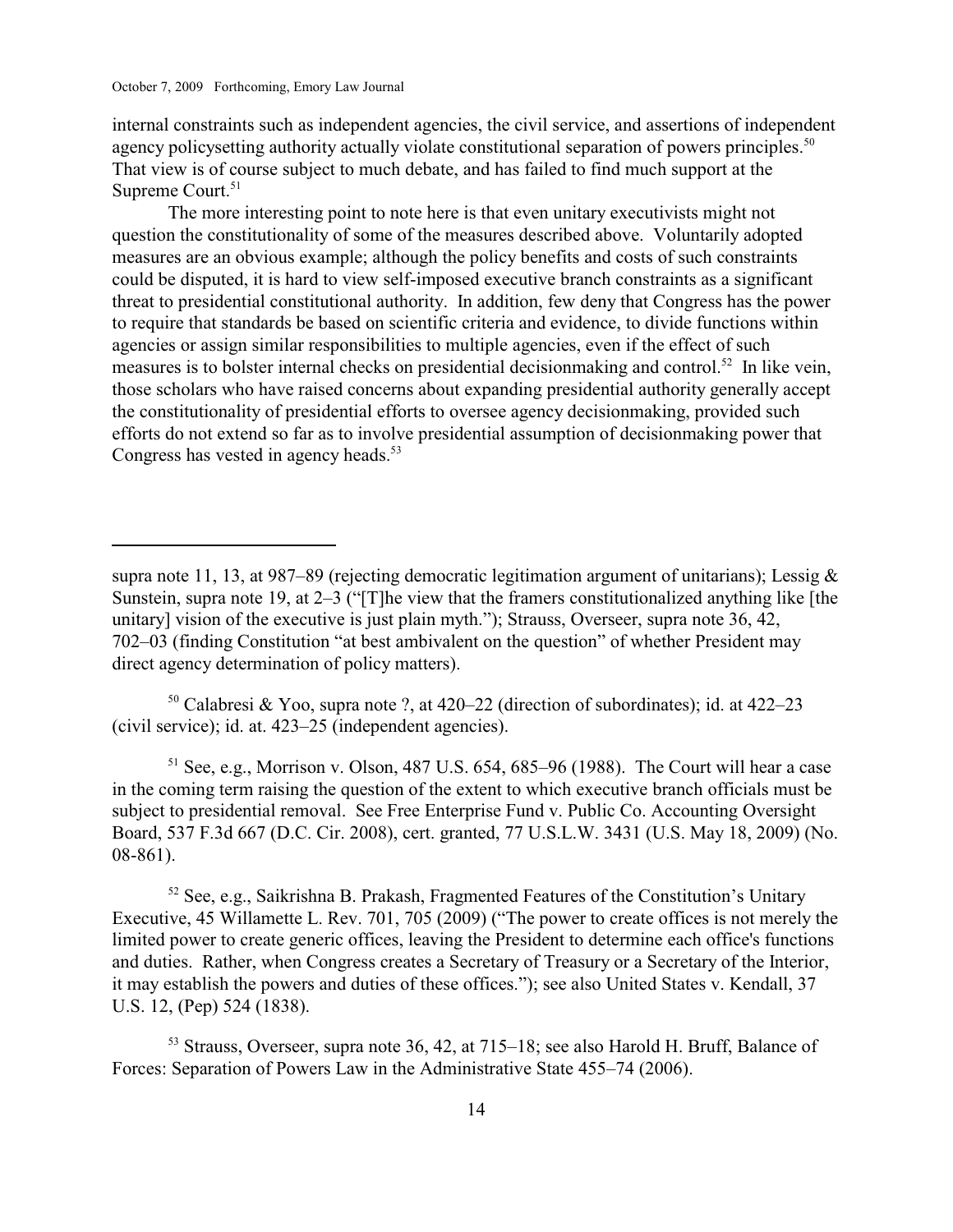internal constraints such as independent agencies, the civil service, and assertions of independent agency policysetting authority actually violate constitutional separation of powers principles.<sup>50</sup> That view is of course subject to much debate, and has failed to find much support at the Supreme Court.<sup>51</sup>

The more interesting point to note here is that even unitary executivists might not question the constitutionality of some of the measures described above. Voluntarily adopted measures are an obvious example; although the policy benefits and costs of such constraints could be disputed, it is hard to view self-imposed executive branch constraints as a significant threat to presidential constitutional authority. In addition, few deny that Congress has the power to require that standards be based on scientific criteria and evidence, to divide functions within agencies or assign similar responsibilities to multiple agencies, even if the effect of such measures is to bolster internal checks on presidential decision making and control.<sup>52</sup> In like vein, those scholars who have raised concerns about expanding presidential authority generally accept the constitutionality of presidential efforts to oversee agency decisionmaking, provided such efforts do not extend so far as to involve presidential assumption of decisionmaking power that Congress has vested in agency heads. 53

<sup>50</sup> Calabresi & Yoo, supra note ?, at  $420-22$  (direction of subordinates); id. at  $422-23$ (civil service); id. at. 423–25 (independent agencies).

 $<sup>51</sup>$  See, e.g., Morrison v. Olson, 487 U.S. 654, 685–96 (1988). The Court will hear a case</sup> in the coming term raising the question of the extent to which executive branch officials must be subject to presidential removal. See Free Enterprise Fund v. Public Co. Accounting Oversight Board, 537 F.3d 667 (D.C. Cir. 2008), cert. granted, 77 U.S.L.W. 3431 (U.S. May 18, 2009) (No. 08-861).

52 See, e.g., Saikrishna B. Prakash, Fragmented Features of the Constitution's Unitary Executive, 45 Willamette L. Rev. 701, 705 (2009) ("The power to create offices is not merely the limited power to create generic offices, leaving the President to determine each office's functions and duties. Rather, when Congress creates a Secretary of Treasury or a Secretary of the Interior, it may establish the powers and duties of these offices."); see also United States v. Kendall, 37 U.S. 12, (Pep) 524 (1838).

 $53$  Strauss, Overseer, supra note 36, 42, at 715–18; see also Harold H. Bruff, Balance of Forces: Separation of Powers Law in the Administrative State 455–74 (2006).

supra note 11, 13, at 987–89 (rejecting democratic legitimation argument of unitarians); Lessig  $\&$ Sunstein, supra note 19, at 2–3 ("[T]he view that the framers constitutionalized anything like [the unitary] vision of the executive is just plain myth."); Strauss, Overseer, supra note 36, 42, 702–03 (finding Constitution "at best ambivalent on the question" of whether President may direct agency determination of policy matters).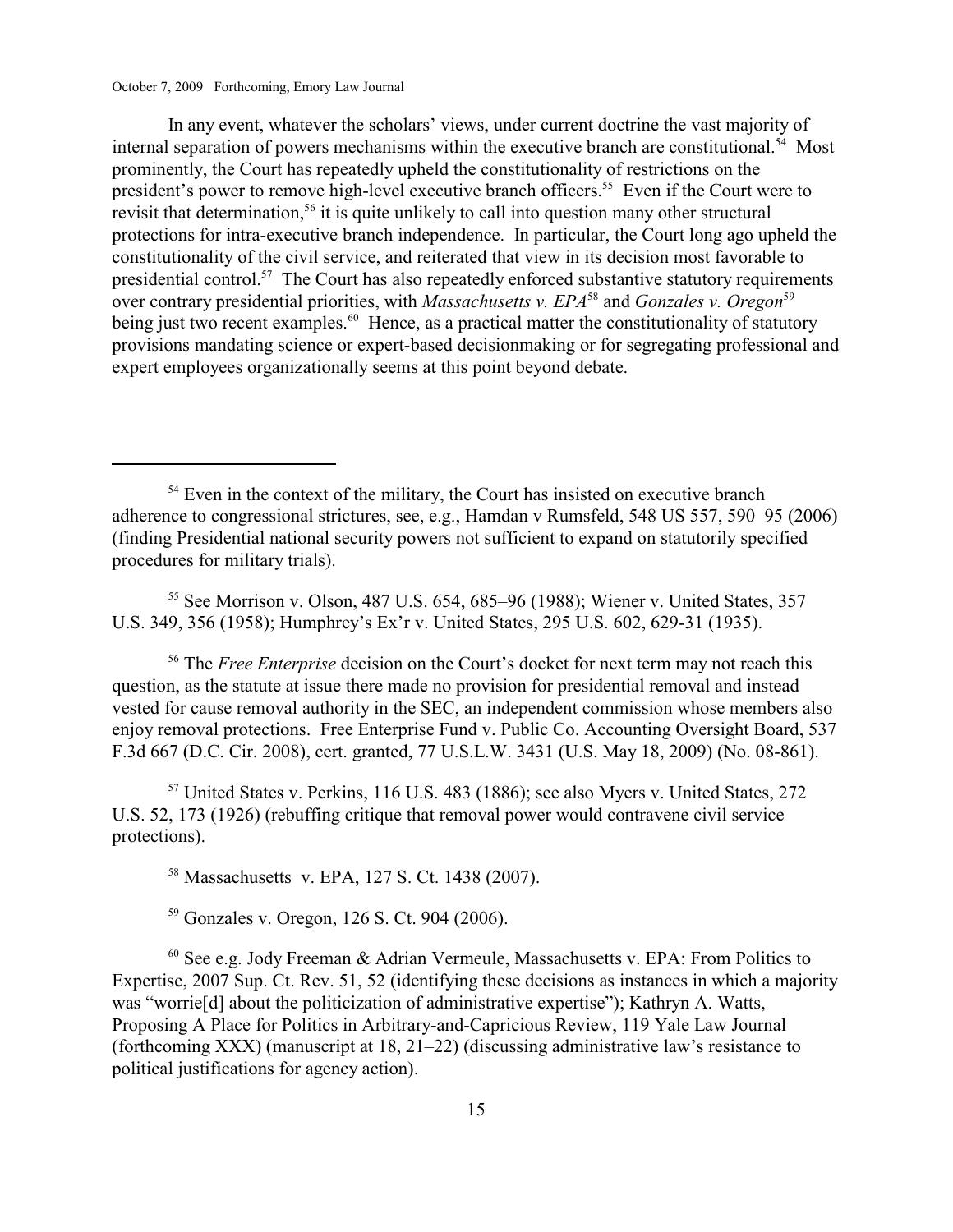In any event, whatever the scholars' views, under current doctrine the vast majority of internal separation of powers mechanisms within the executive branch are constitutional.<sup>54</sup> Most prominently, the Court has repeatedly upheld the constitutionality of restrictions on the president's power to remove high-level executive branch officers.<sup>55</sup> Even if the Court were to revisit that determination,<sup> $56$ </sup> it is quite unlikely to call into question many other structural protections for intra-executive branch independence. In particular, the Court long ago upheld the constitutionality of the civil service, and reiterated that view in its decision most favorable to presidential control.<sup>57</sup> The Court has also repeatedly enforced substantive statutory requirements over contrary presidential priorities, with *Massachusetts v. EPA*<sup>58</sup> and *Gonzales v. Oregon*<sup>59</sup> being just two recent examples.<sup>60</sup> Hence, as a practical matter the constitutionality of statutory provisions mandating science or expert-based decisionmaking or for segregating professional and expert employees organizationally seems at this point beyond debate.

 $55$  See Morrison v. Olson, 487 U.S. 654, 685–96 (1988); Wiener v. United States, 357 U.S. 349, 356 (1958); Humphrey's Ex'r v. United States, 295 U.S. 602, 629-31 (1935).

<sup>56</sup> The *Free Enterprise* decision on the Court's docket for next term may not reach this question, as the statute at issue there made no provision for presidential removal and instead vested for cause removal authority in the SEC, an independent commission whose members also enjoy removal protections. Free Enterprise Fund v. Public Co. Accounting Oversight Board, 537 F.3d 667 (D.C. Cir. 2008), cert. granted, 77 U.S.L.W. 3431 (U.S. May 18, 2009) (No. 08-861).

 $57$  United States v. Perkins, 116 U.S. 483 (1886); see also Myers v. United States, 272 U.S. 52, 173 (1926) (rebuffing critique that removal power would contravene civil service protections).

<sup>58</sup> Massachusetts v. EPA, 127 S. Ct. 1438 (2007).

<sup>59</sup> Gonzales v. Oregon, 126 S. Ct. 904 (2006).

 $60$  See e.g. Jody Freeman & Adrian Vermeule, Massachusetts v. EPA: From Politics to Expertise, 2007 Sup. Ct. Rev. 51, 52 (identifying these decisions as instances in which a majority was "worrie[d] about the politicization of administrative expertise"); Kathryn A. Watts, Proposing A Place for Politics in Arbitrary-and-Capricious Review, 119 Yale Law Journal (forthcoming XXX) (manuscript at 18, 21–22) (discussing administrative law's resistance to political justifications for agency action).

 $54$  Even in the context of the military, the Court has insisted on executive branch adherence to congressional strictures, see, e.g., Hamdan v Rumsfeld, 548 US 557, 590–95 (2006) (finding Presidential national security powers not sufficient to expand on statutorily specified procedures for military trials).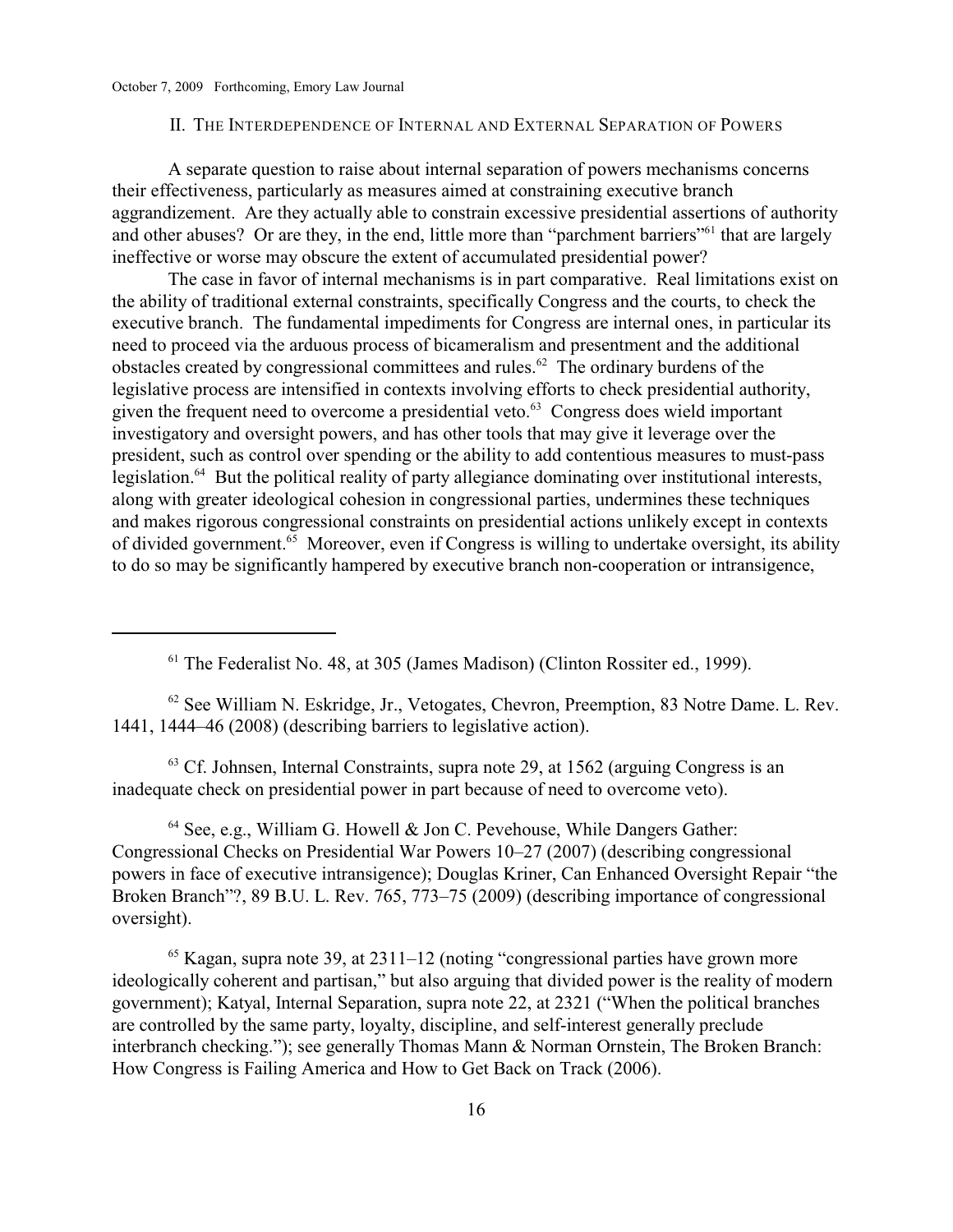#### II. THE INTERDEPENDENCE OF INTERNAL AND EXTERNAL SEPARATION OF POWERS

A separate question to raise about internal separation of powers mechanisms concerns their effectiveness, particularly as measures aimed at constraining executive branch aggrandizement. Are they actually able to constrain excessive presidential assertions of authority and other abuses? Or are they, in the end, little more than "parchment barriers" that are largely ineffective or worse may obscure the extent of accumulated presidential power?

The case in favor of internal mechanisms is in part comparative. Real limitations exist on the ability of traditional external constraints, specifically Congress and the courts, to check the executive branch. The fundamental impediments for Congress are internal ones, in particular its need to proceed via the arduous process of bicameralism and presentment and the additional obstacles created by congressional committees and rules.<sup> $62$ </sup> The ordinary burdens of the legislative process are intensified in contexts involving efforts to check presidential authority, given the frequent need to overcome a presidential veto. $63$  Congress does wield important investigatory and oversight powers, and has other tools that may give it leverage over the president, such as control over spending or the ability to add contentious measures to must-pass legislation.<sup>64</sup> But the political reality of party allegiance dominating over institutional interests, along with greater ideological cohesion in congressional parties, undermines these techniques and makes rigorous congressional constraints on presidential actions unlikely except in contexts of divided government.  $\frac{1}{65}$  Moreover, even if Congress is willing to undertake oversight, its ability to do so may be significantly hampered by executive branch non-cooperation or intransigence,

<sup>61</sup> The Federalist No. 48, at 305 (James Madison) (Clinton Rossiter ed., 1999).

 $62$  See William N. Eskridge, Jr., Vetogates, Chevron, Preemption, 83 Notre Dame. L. Rev. 1441, 1444–46 (2008) (describing barriers to legislative action).

 $63$  Cf. Johnsen, Internal Constraints, supra note 29, at 1562 (arguing Congress is an inadequate check on presidential power in part because of need to overcome veto).

 $64$  See, e.g., William G. Howell & Jon C. Pevehouse, While Dangers Gather: Congressional Checks on Presidential War Powers 10–27 (2007) (describing congressional powers in face of executive intransigence); Douglas Kriner, Can Enhanced Oversight Repair "the Broken Branch"?, 89 B.U. L. Rev. 765, 773–75 (2009) (describing importance of congressional oversight).

 $65$  Kagan, supra note 39, at 2311–12 (noting "congressional parties have grown more ideologically coherent and partisan," but also arguing that divided power is the reality of modern government); Katyal, Internal Separation, supra note 22, at 2321 ("When the political branches are controlled by the same party, loyalty, discipline, and self-interest generally preclude interbranch checking."); see generally Thomas Mann & Norman Ornstein, The Broken Branch: How Congress is Failing America and How to Get Back on Track (2006).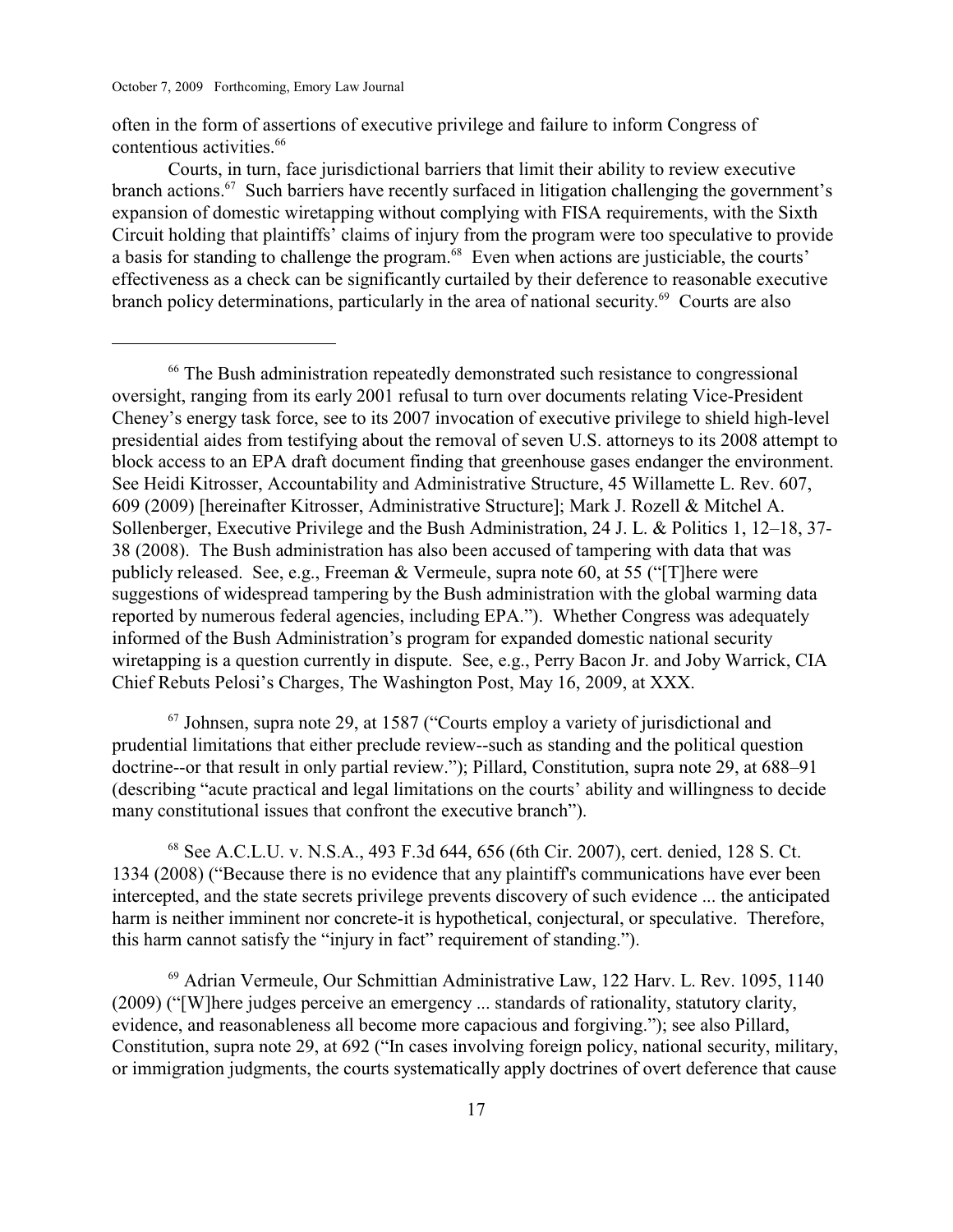often in the form of assertions of executive privilege and failure to inform Congress of contentious activities.<sup>66</sup>

Courts, in turn, face jurisdictional barriers that limit their ability to review executive branch actions.  $67$  Such barriers have recently surfaced in litigation challenging the government's expansion of domestic wiretapping without complying with FISA requirements, with the Sixth Circuit holding that plaintiffs' claims of injury from the program were too speculative to provide a basis for standing to challenge the program.  $\frac{68}{68}$  Even when actions are justiciable, the courts' effectiveness as a check can be significantly curtailed by their deference to reasonable executive branch policy determinations, particularly in the area of national security.<sup> $69$ </sup> Courts are also

<sup>66</sup> The Bush administration repeatedly demonstrated such resistance to congressional oversight, ranging from its early 2001 refusal to turn over documents relating Vice-President Cheney's energy task force, see to its 2007 invocation of executive privilege to shield high-level presidential aides from testifying about the removal of seven U.S. attorneys to its 2008 attempt to block access to an EPA draft document finding that greenhouse gases endanger the environment. See Heidi Kitrosser, Accountability and Administrative Structure, 45 Willamette L. Rev. 607, 609 (2009) [hereinafter Kitrosser, Administrative Structure]; Mark J. Rozell & Mitchel A. Sollenberger, Executive Privilege and the Bush Administration, 24 J. L. & Politics 1, 12–18, 37- 38 (2008). The Bush administration has also been accused of tampering with data that was publicly released. See, e.g., Freeman & Vermeule, supra note 60, at 55 ("[T]here were suggestions of widespread tampering by the Bush administration with the global warming data reported by numerous federal agencies, including EPA."). Whether Congress was adequately informed of the Bush Administration's program for expanded domestic national security wiretapping is a question currently in dispute. See, e.g., Perry Bacon Jr. and Joby Warrick, CIA Chief Rebuts Pelosi's Charges, The Washington Post, May 16, 2009, at XXX.

 $67$  Johnsen, supra note 29, at 1587 ("Courts employ a variety of jurisdictional and prudential limitations that either preclude review--such as standing and the political question doctrine--or that result in only partial review."); Pillard, Constitution, supra note 29, at 688–91 (describing "acute practical and legal limitations on the courts' ability and willingness to decide many constitutional issues that confront the executive branch").

<sup>68</sup> See A.C.L.U. v. N.S.A., 493 F.3d 644, 656 (6th Cir. 2007), cert. denied, 128 S. Ct. 1334 (2008) ("Because there is no evidence that any plaintiff's communications have ever been intercepted, and the state secrets privilege prevents discovery of such evidence ... the anticipated harm is neither imminent nor concrete-it is hypothetical, conjectural, or speculative. Therefore, this harm cannot satisfy the "injury in fact" requirement of standing.").

<sup>69</sup> Adrian Vermeule, Our Schmittian Administrative Law, 122 Harv. L. Rev. 1095, 1140 (2009) ("[W]here judges perceive an emergency ... standards of rationality, statutory clarity, evidence, and reasonableness all become more capacious and forgiving."); see also Pillard, Constitution, supra note 29, at 692 ("In cases involving foreign policy, national security, military, or immigration judgments, the courts systematically apply doctrines of overt deference that cause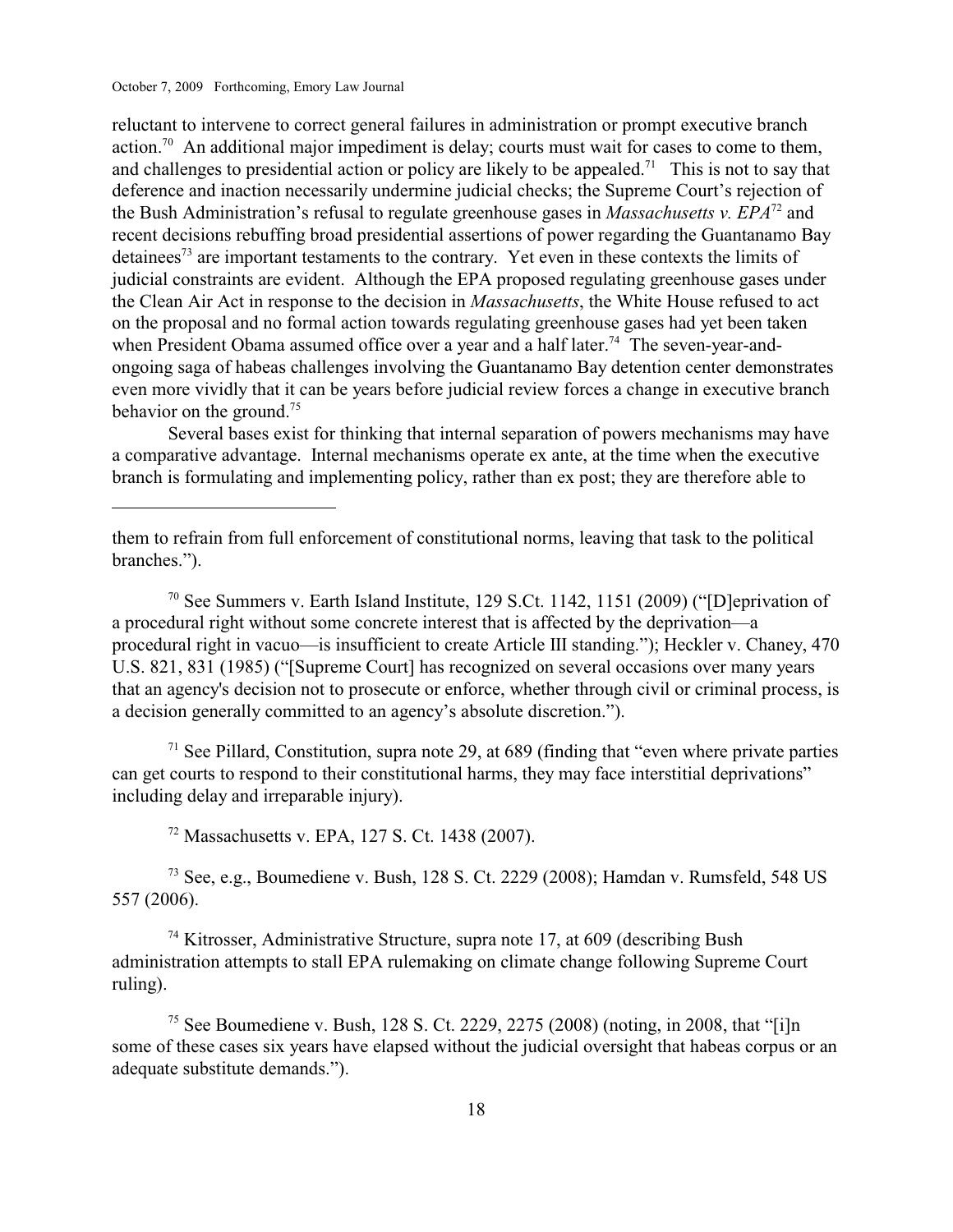reluctant to intervene to correct general failures in administration or prompt executive branch action.<sup>70</sup> An additional major impediment is delay; courts must wait for cases to come to them, and challenges to presidential action or policy are likely to be appealed.<sup>71</sup> This is not to say that deference and inaction necessarily undermine judicial checks; the Supreme Court's rejection of the Bush Administration's refusal to regulate greenhouse gases in *Massachusetts v. EPA*<sup> $72$ </sup> and recent decisions rebuffing broad presidential assertions of power regarding the Guantanamo Bay detainees<sup> $73$ </sup> are important testaments to the contrary. Yet even in these contexts the limits of judicial constraints are evident. Although the EPA proposed regulating greenhouse gases under the Clean Air Act in response to the decision in *Massachusetts*, the White House refused to act on the proposal and no formal action towards regulating greenhouse gases had yet been taken when President Obama assumed office over a year and a half later.<sup>74</sup> The seven-year-andongoing saga of habeas challenges involving the Guantanamo Bay detention center demonstrates even more vividly that it can be years before judicial review forces a change in executive branch behavior on the ground.<sup>75</sup>

Several bases exist for thinking that internal separation of powers mechanisms may have a comparative advantage. Internal mechanisms operate ex ante, at the time when the executive branch is formulating and implementing policy, rather than ex post; they are therefore able to

 $\frac{70}{10}$  See Summers v. Earth Island Institute, 129 S.Ct. 1142, 1151 (2009) ("[D]eprivation of a procedural right without some concrete interest that is affected by the deprivation—a procedural right in vacuo—is insufficient to create Article III standing."); Heckler v. Chaney, 470 U.S. 821, 831 (1985) ("[Supreme Court] has recognized on several occasions over many years that an agency's decision not to prosecute or enforce, whether through civil or criminal process, is a decision generally committed to an agency's absolute discretion.").

 $<sup>71</sup>$  See Pillard, Constitution, supra note 29, at 689 (finding that "even where private parties")</sup> can get courts to respond to their constitutional harms, they may face interstitial deprivations" including delay and irreparable injury).

<sup>72</sup> Massachusetts v. EPA, 127 S. Ct. 1438 (2007).

 $<sup>73</sup>$  See, e.g., Boumediene v. Bush, 128 S. Ct. 2229 (2008); Hamdan v. Rumsfeld, 548 US</sup> 557 (2006).

 $74$  Kitrosser, Administrative Structure, supra note 17, at 609 (describing Bush administration attempts to stall EPA rulemaking on climate change following Supreme Court ruling).

<sup>75</sup> See Boumediene v. Bush, 128 S. Ct. 2229, 2275 (2008) (noting, in 2008, that "[i]n some of these cases six years have elapsed without the judicial oversight that habeas corpus or an adequate substitute demands.").

them to refrain from full enforcement of constitutional norms, leaving that task to the political branches.").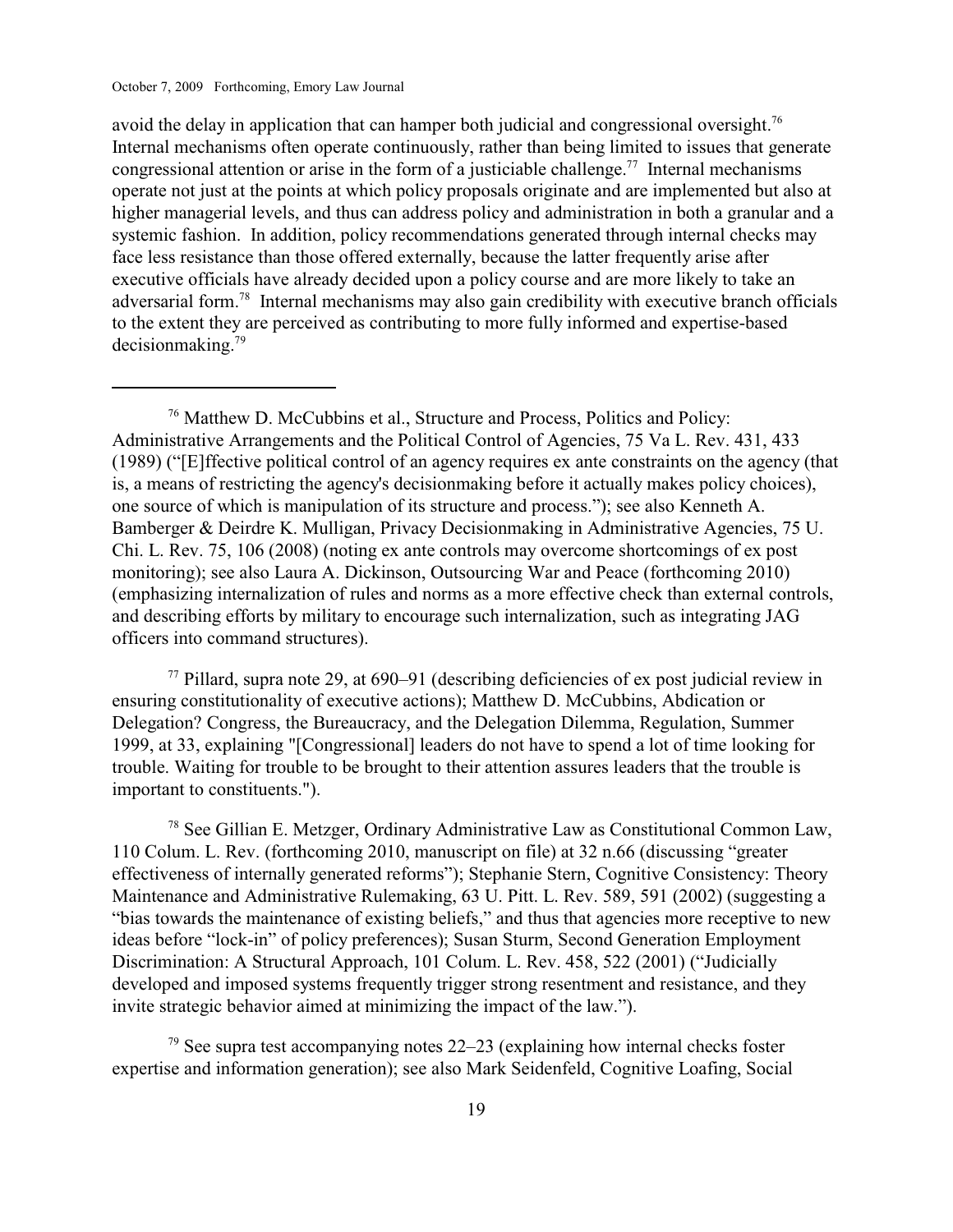avoid the delay in application that can hamper both judicial and congressional oversight.<sup>76</sup> Internal mechanisms often operate continuously, rather than being limited to issues that generate congressional attention or arise in the form of a justiciable challenge.<sup>77</sup> Internal mechanisms operate not just at the points at which policy proposals originate and are implemented but also at higher managerial levels, and thus can address policy and administration in both a granular and a systemic fashion. In addition, policy recommendations generated through internal checks may face less resistance than those offered externally, because the latter frequently arise after executive officials have already decided upon a policy course and are more likely to take an adversarial form.<sup>78</sup> Internal mechanisms may also gain credibility with executive branch officials to the extent they are perceived as contributing to more fully informed and expertise-based  $decision making.<sup>79</sup>$ 

<sup>76</sup> Matthew D. McCubbins et al., Structure and Process, Politics and Policy: Administrative Arrangements and the Political Control of Agencies, 75 Va L. Rev. 431, 433 (1989) ("[E]ffective political control of an agency requires ex ante constraints on the agency (that is, a means of restricting the agency's decisionmaking before it actually makes policy choices), one source of which is manipulation of its structure and process."); see also Kenneth A. Bamberger & Deirdre K. Mulligan, Privacy Decisionmaking in Administrative Agencies, 75 U. Chi. L. Rev. 75, 106 (2008) (noting ex ante controls may overcome shortcomings of ex post monitoring); see also Laura A. Dickinson, Outsourcing War and Peace (forthcoming 2010) (emphasizing internalization of rules and norms as a more effective check than external controls, and describing efforts by military to encourage such internalization, such as integrating JAG officers into command structures).

 $^{77}$  Pillard, supra note 29, at 690–91 (describing deficiencies of ex post judicial review in ensuring constitutionality of executive actions); Matthew D. McCubbins, Abdication or Delegation? Congress, the Bureaucracy, and the Delegation Dilemma, Regulation, Summer 1999, at 33, explaining "[Congressional] leaders do not have to spend a lot of time looking for trouble. Waiting for trouble to be brought to their attention assures leaders that the trouble is important to constituents.").

 $78$  See Gillian E. Metzger, Ordinary Administrative Law as Constitutional Common Law, 110 Colum. L. Rev. (forthcoming 2010, manuscript on file) at 32 n.66 (discussing "greater effectiveness of internally generated reforms"); Stephanie Stern, Cognitive Consistency: Theory Maintenance and Administrative Rulemaking, 63 U. Pitt. L. Rev. 589, 591 (2002) (suggesting a "bias towards the maintenance of existing beliefs," and thus that agencies more receptive to new ideas before "lock-in" of policy preferences); Susan Sturm, Second Generation Employment Discrimination: A Structural Approach, 101 Colum. L. Rev. 458, 522 (2001) ("Judicially developed and imposed systems frequently trigger strong resentment and resistance, and they invite strategic behavior aimed at minimizing the impact of the law.").

 $\frac{79}{2}$  See supra test accompanying notes 22–23 (explaining how internal checks foster expertise and information generation); see also Mark Seidenfeld, Cognitive Loafing, Social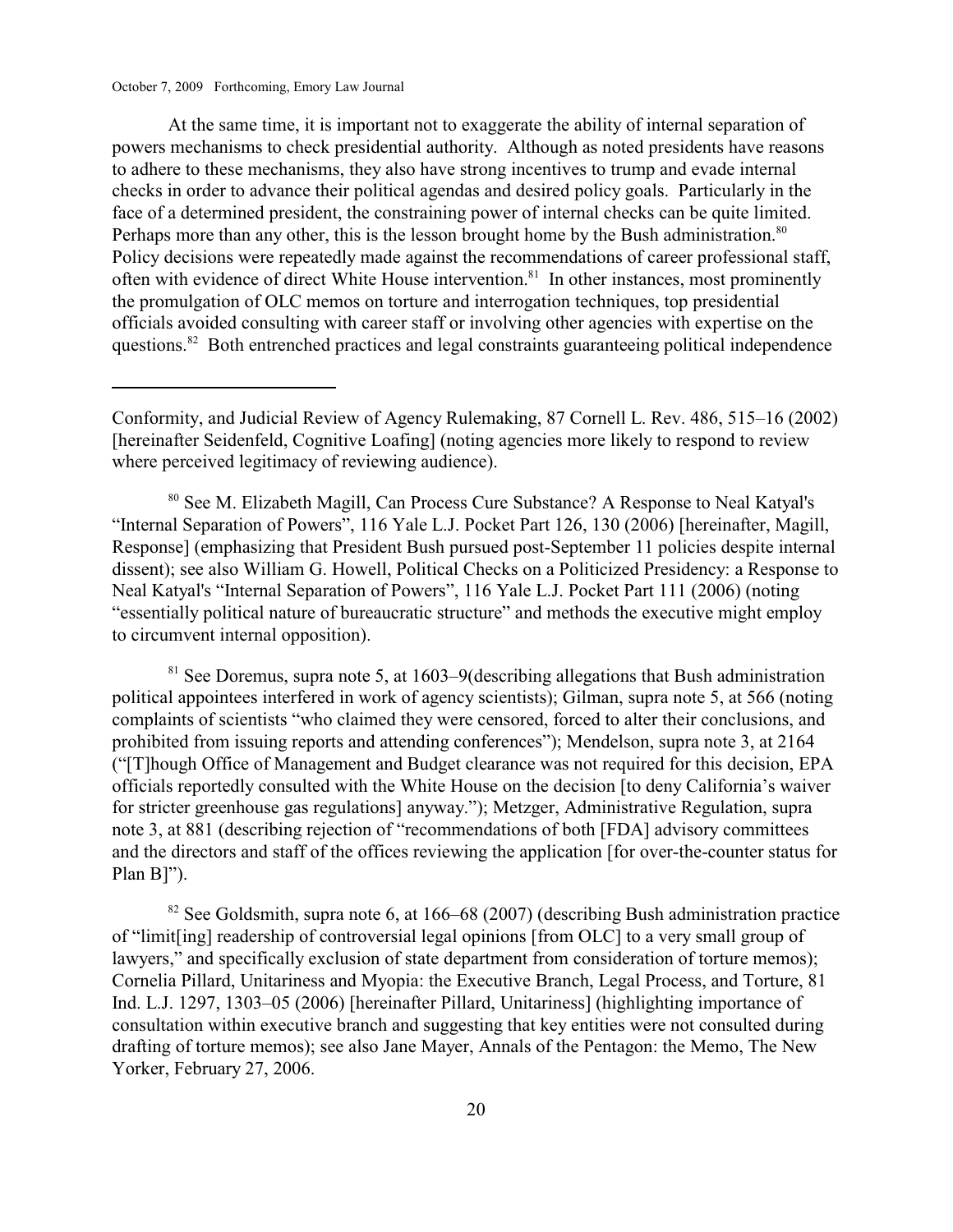At the same time, it is important not to exaggerate the ability of internal separation of powers mechanisms to check presidential authority. Although as noted presidents have reasons to adhere to these mechanisms, they also have strong incentives to trump and evade internal checks in order to advance their political agendas and desired policy goals. Particularly in the face of a determined president, the constraining power of internal checks can be quite limited. Perhaps more than any other, this is the lesson brought home by the Bush administration.<sup>80</sup> Policy decisions were repeatedly made against the recommendations of career professional staff, often with evidence of direct White House intervention.<sup>81</sup> In other instances, most prominently the promulgation of OLC memos on torture and interrogation techniques, top presidential officials avoided consulting with career staff or involving other agencies with expertise on the questions.<sup>82</sup> Both entrenched practices and legal constraints guaranteeing political independence

<sup>80</sup> See M. Elizabeth Magill, Can Process Cure Substance? A Response to Neal Katyal's "Internal Separation of Powers", 116 Yale L.J. Pocket Part 126, 130 (2006) [hereinafter, Magill, Response] (emphasizing that President Bush pursued post-September 11 policies despite internal dissent); see also William G. Howell, Political Checks on a Politicized Presidency: a Response to Neal Katyal's "Internal Separation of Powers", 116 Yale L.J. Pocket Part 111 (2006) (noting "essentially political nature of bureaucratic structure" and methods the executive might employ to circumvent internal opposition).

 $81$  See Doremus, supra note 5, at 1603–9(describing allegations that Bush administration political appointees interfered in work of agency scientists); Gilman, supra note 5, at 566 (noting complaints of scientists "who claimed they were censored, forced to alter their conclusions, and prohibited from issuing reports and attending conferences"); Mendelson, supra note 3, at 2164 ("[T]hough Office of Management and Budget clearance was not required for this decision, EPA officials reportedly consulted with the White House on the decision [to deny California's waiver for stricter greenhouse gas regulations] anyway."); Metzger, Administrative Regulation, supra note 3, at 881 (describing rejection of "recommendations of both [FDA] advisory committees and the directors and staff of the offices reviewing the application [for over-the-counter status for Plan B]").

 $82$  See Goldsmith, supra note 6, at 166–68 (2007) (describing Bush administration practice of "limit[ing] readership of controversial legal opinions [from OLC] to a very small group of lawyers," and specifically exclusion of state department from consideration of torture memos); Cornelia Pillard, Unitariness and Myopia: the Executive Branch, Legal Process, and Torture, 81 Ind. L.J. 1297, 1303–05 (2006) [hereinafter Pillard, Unitariness] (highlighting importance of consultation within executive branch and suggesting that key entities were not consulted during drafting of torture memos); see also Jane Mayer, Annals of the Pentagon: the Memo, The New Yorker, February 27, 2006.

Conformity, and Judicial Review of Agency Rulemaking, 87 Cornell L. Rev. 486, 515–16 (2002) [hereinafter Seidenfeld, Cognitive Loafing] (noting agencies more likely to respond to review where perceived legitimacy of reviewing audience).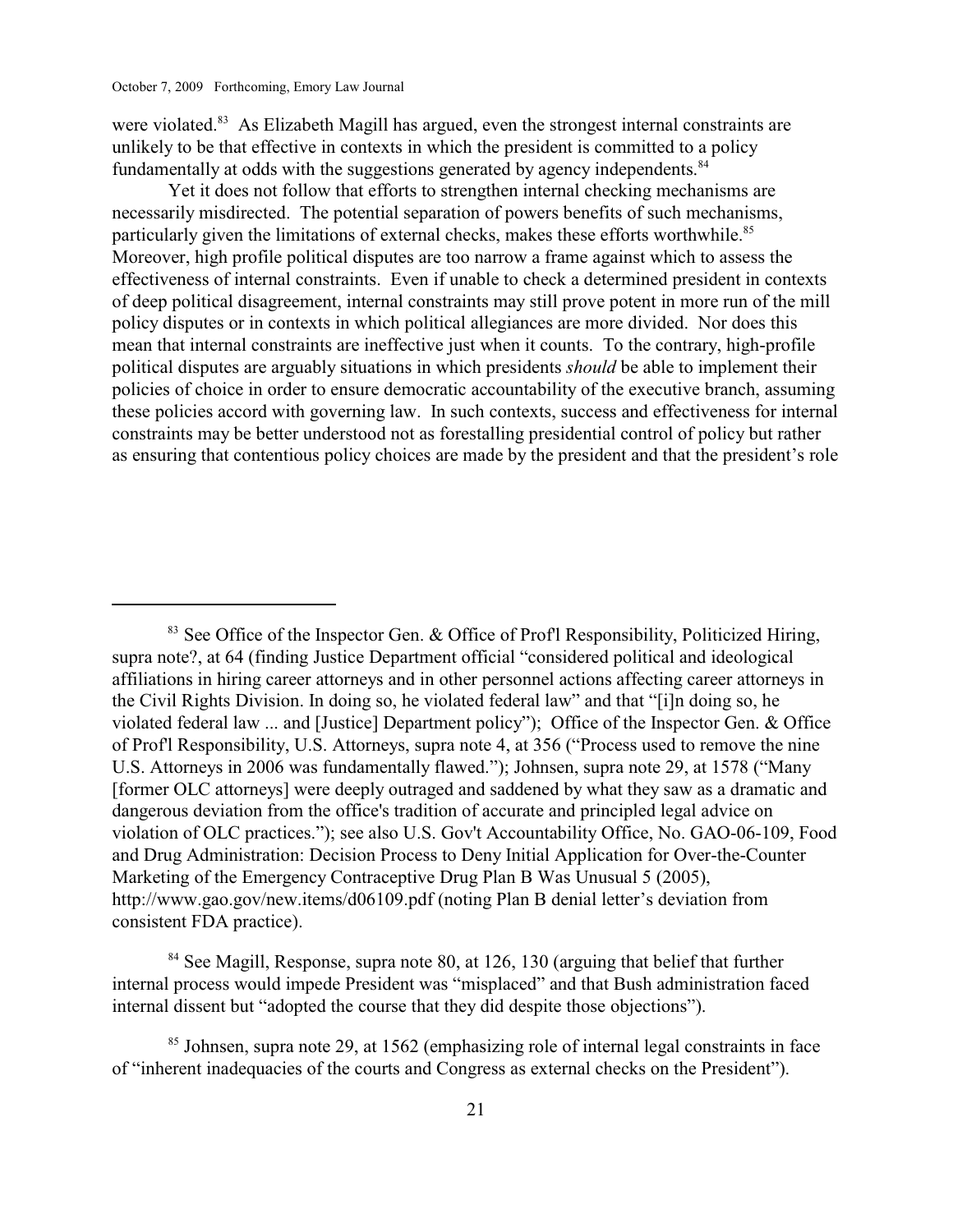were violated.<sup>83</sup> As Elizabeth Magill has argued, even the strongest internal constraints are unlikely to be that effective in contexts in which the president is committed to a policy fundamentally at odds with the suggestions generated by agency independents.<sup>84</sup>

Yet it does not follow that efforts to strengthen internal checking mechanisms are necessarily misdirected. The potential separation of powers benefits of such mechanisms, particularly given the limitations of external checks, makes these efforts worthwhile.<sup>85</sup> Moreover, high profile political disputes are too narrow a frame against which to assess the effectiveness of internal constraints. Even if unable to check a determined president in contexts of deep political disagreement, internal constraints may still prove potent in more run of the mill policy disputes or in contexts in which political allegiances are more divided. Nor does this mean that internal constraints are ineffective just when it counts. To the contrary, high-profile political disputes are arguably situations in which presidents *should* be able to implement their policies of choice in order to ensure democratic accountability of the executive branch, assuming these policies accord with governing law. In such contexts, success and effectiveness for internal constraints may be better understood not as forestalling presidential control of policy but rather as ensuring that contentious policy choices are made by the president and that the president's role

 $83$  See Office of the Inspector Gen. & Office of Profl Responsibility, Politicized Hiring, supra note?, at 64 (finding Justice Department official "considered political and ideological affiliations in hiring career attorneys and in other personnel actions affecting career attorneys in the Civil Rights Division. In doing so, he violated federal law" and that "[i]n doing so, he violated federal law ... and [Justice] Department policy"); Office of the Inspector Gen. & Office of Prof'l Responsibility, U.S. Attorneys, supra note 4, at 356 ("Process used to remove the nine U.S. Attorneys in 2006 was fundamentally flawed."); Johnsen, supra note 29, at 1578 ("Many [former OLC attorneys] were deeply outraged and saddened by what they saw as a dramatic and dangerous deviation from the office's tradition of accurate and principled legal advice on violation of OLC practices."); see also U.S. Gov't Accountability Office, No. GAO-06-109, Food and Drug Administration: Decision Process to Deny Initial Application for Over-the-Counter Marketing of the Emergency Contraceptive Drug Plan B Was Unusual 5 (2005), http://www.gao.gov/new.items/d06109.pdf (noting Plan B denial letter's deviation from consistent FDA practice).

 $84$  See Magill, Response, supra note 80, at 126, 130 (arguing that belief that further internal process would impede President was "misplaced" and that Bush administration faced internal dissent but "adopted the course that they did despite those objections").

 $85$  Johnsen, supra note 29, at 1562 (emphasizing role of internal legal constraints in face of "inherent inadequacies of the courts and Congress as external checks on the President").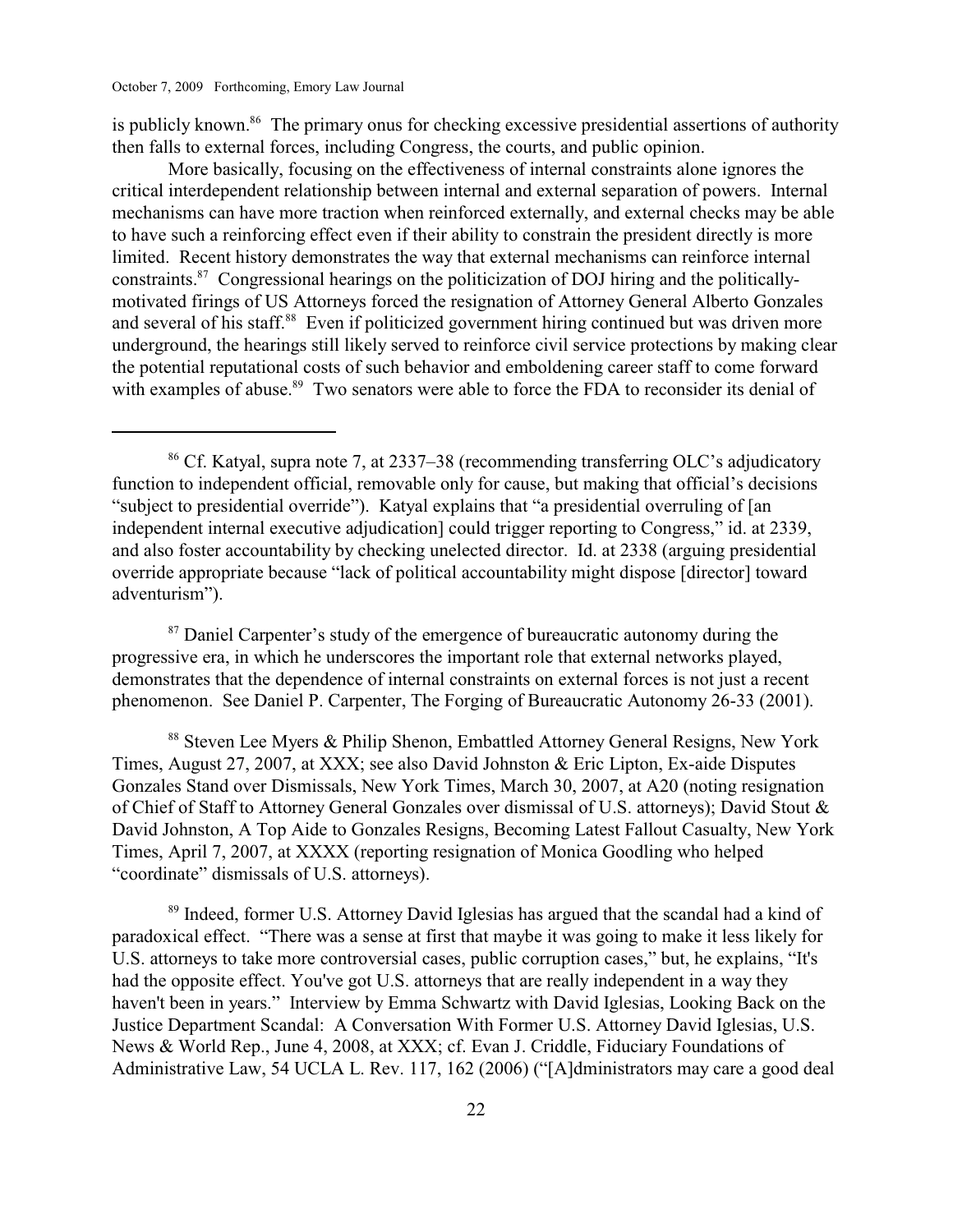is publicly known.<sup>86</sup> The primary onus for checking excessive presidential assertions of authority then falls to external forces, including Congress, the courts, and public opinion.

More basically, focusing on the effectiveness of internal constraints alone ignores the critical interdependent relationship between internal and external separation of powers. Internal mechanisms can have more traction when reinforced externally, and external checks may be able to have such a reinforcing effect even if their ability to constrain the president directly is more limited. Recent history demonstrates the way that external mechanisms can reinforce internal constraints. $^{87}$  Congressional hearings on the politicization of DOJ hiring and the politicallymotivated firings of US Attorneys forced the resignation of Attorney General Alberto Gonzales and several of his staff.<sup>88</sup> Even if politicized government hiring continued but was driven more underground, the hearings still likely served to reinforce civil service protections by making clear the potential reputational costs of such behavior and emboldening career staff to come forward with examples of abuse.<sup>89</sup> Two senators were able to force the FDA to reconsider its denial of

 $87$  Daniel Carpenter's study of the emergence of bureaucratic autonomy during the progressive era, in which he underscores the important role that external networks played, demonstrates that the dependence of internal constraints on external forces is not just a recent phenomenon. See Daniel P. Carpenter, The Forging of Bureaucratic Autonomy 26-33 (2001).

<sup>88</sup> Steven Lee Myers & Philip Shenon, Embattled Attorney General Resigns, New York Times, August 27, 2007, at XXX; see also David Johnston & Eric Lipton, Ex-aide Disputes Gonzales Stand over Dismissals, New York Times, March 30, 2007, at A20 (noting resignation of Chief of Staff to Attorney General Gonzales over dismissal of U.S. attorneys); David Stout & David Johnston, A Top Aide to Gonzales Resigns, Becoming Latest Fallout Casualty, New York Times, April 7, 2007, at XXXX (reporting resignation of Monica Goodling who helped "coordinate" dismissals of U.S. attorneys).

<sup>89</sup> Indeed, former U.S. Attorney David Iglesias has argued that the scandal had a kind of paradoxical effect. "There was a sense at first that maybe it was going to make it less likely for U.S. attorneys to take more controversial cases, public corruption cases," but, he explains, "It's had the opposite effect. You've got U.S. attorneys that are really independent in a way they haven't been in years." Interview by Emma Schwartz with David Iglesias, Looking Back on the Justice Department Scandal: A Conversation With Former U.S. Attorney David Iglesias, U.S. News & World Rep., June 4, 2008, at XXX; cf. Evan J. Criddle, Fiduciary Foundations of Administrative Law, 54 UCLA L. Rev. 117, 162 (2006) ("[A]dministrators may care a good deal

<sup>&</sup>lt;sup>86</sup> Cf. Katyal, supra note 7, at 2337–38 (recommending transferring OLC's adjudicatory function to independent official, removable only for cause, but making that official's decisions "subject to presidential override"). Katyal explains that "a presidential overruling of [an independent internal executive adjudication] could trigger reporting to Congress," id. at 2339, and also foster accountability by checking unelected director. Id. at 2338 (arguing presidential override appropriate because "lack of political accountability might dispose [director] toward adventurism").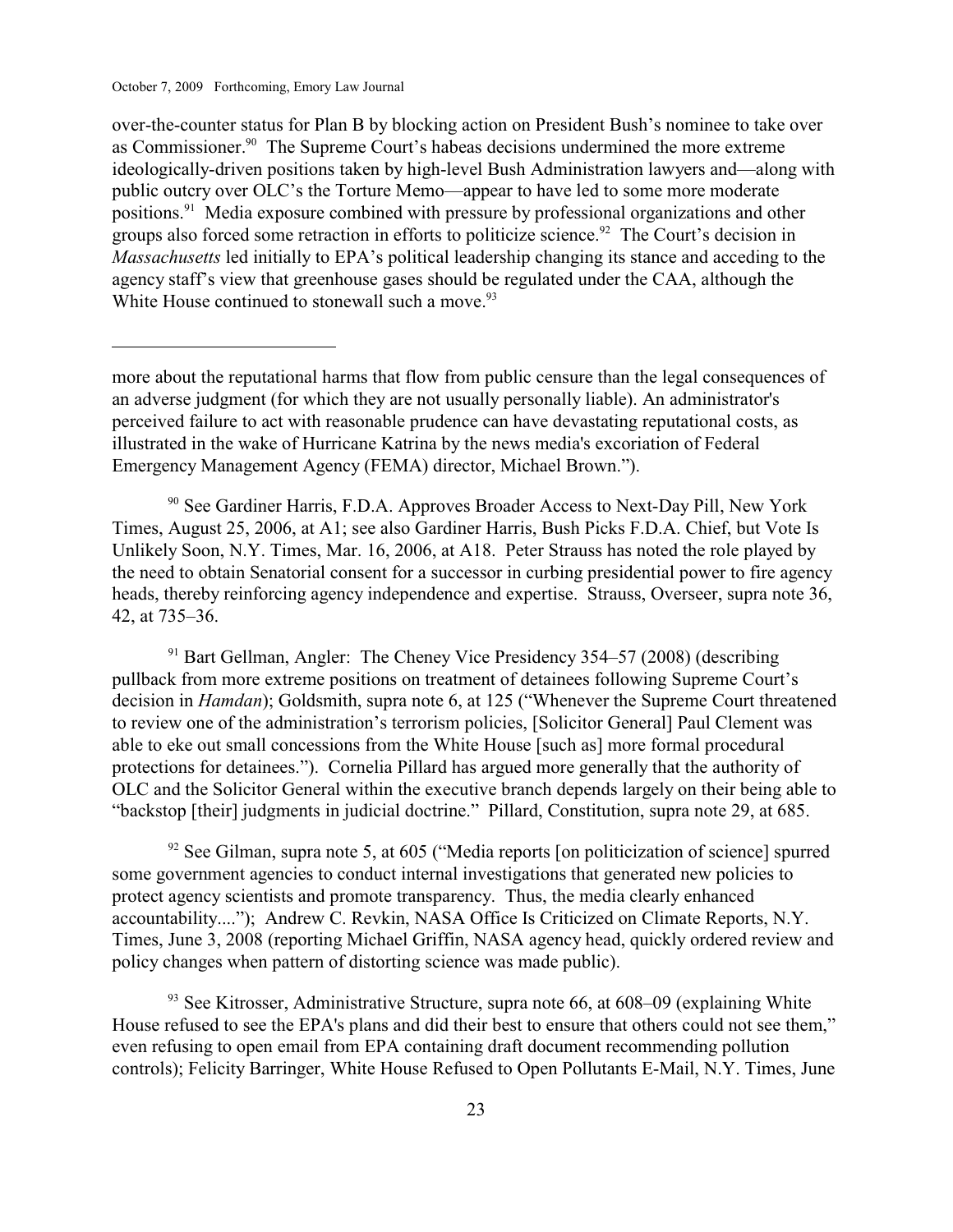over-the-counter status for Plan B by blocking action on President Bush's nominee to take over as Commissioner.<sup>90</sup> The Supreme Court's habeas decisions undermined the more extreme ideologically-driven positions taken by high-level Bush Administration lawyers and—along with public outcry over OLC's the Torture Memo—appear to have led to some more moderate positions.<sup>91</sup> Media exposure combined with pressure by professional organizations and other groups also forced some retraction in efforts to politicize science.<sup>92</sup> The Court's decision in *Massachusetts* led initially to EPA's political leadership changing its stance and acceding to the agency staff's view that greenhouse gases should be regulated under the CAA, although the White House continued to stonewall such a move.<sup>93</sup>

more about the reputational harms that flow from public censure than the legal consequences of an adverse judgment (for which they are not usually personally liable). An administrator's perceived failure to act with reasonable prudence can have devastating reputational costs, as illustrated in the wake of Hurricane Katrina by the news media's excoriation of Federal Emergency Management Agency (FEMA) director, Michael Brown.").

 $90$  See Gardiner Harris, F.D.A. Approves Broader Access to Next-Day Pill, New York Times, August 25, 2006, at A1; see also Gardiner Harris, Bush Picks F.D.A. Chief, but Vote Is Unlikely Soon, N.Y. Times, Mar. 16, 2006, at A18. Peter Strauss has noted the role played by the need to obtain Senatorial consent for a successor in curbing presidential power to fire agency heads, thereby reinforcing agency independence and expertise. Strauss, Overseer, supra note 36, 42, at 735–36.

 $91$  Bart Gellman, Angler: The Cheney Vice Presidency 354–57 (2008) (describing pullback from more extreme positions on treatment of detainees following Supreme Court's decision in *Hamdan*); Goldsmith, supra note 6, at 125 ("Whenever the Supreme Court threatened to review one of the administration's terrorism policies, [Solicitor General] Paul Clement was able to eke out small concessions from the White House [such as] more formal procedural protections for detainees."). Cornelia Pillard has argued more generally that the authority of OLC and the Solicitor General within the executive branch depends largely on their being able to "backstop [their] judgments in judicial doctrine." Pillard, Constitution, supra note 29, at 685.

 $\frac{92}{2}$  See Gilman, supra note 5, at 605 ("Media reports [on politicization of science] spurred some government agencies to conduct internal investigations that generated new policies to protect agency scientists and promote transparency. Thus, the media clearly enhanced accountability...."); Andrew C. Revkin, NASA Office Is Criticized on Climate Reports, N.Y. Times, June 3, 2008 (reporting Michael Griffin, NASA agency head, quickly ordered review and policy changes when pattern of distorting science was made public).

 $93$  See Kitrosser, Administrative Structure, supra note 66, at 608–09 (explaining White House refused to see the EPA's plans and did their best to ensure that others could not see them," even refusing to open email from EPA containing draft document recommending pollution controls); Felicity Barringer, White House Refused to Open Pollutants E-Mail, N.Y. Times, June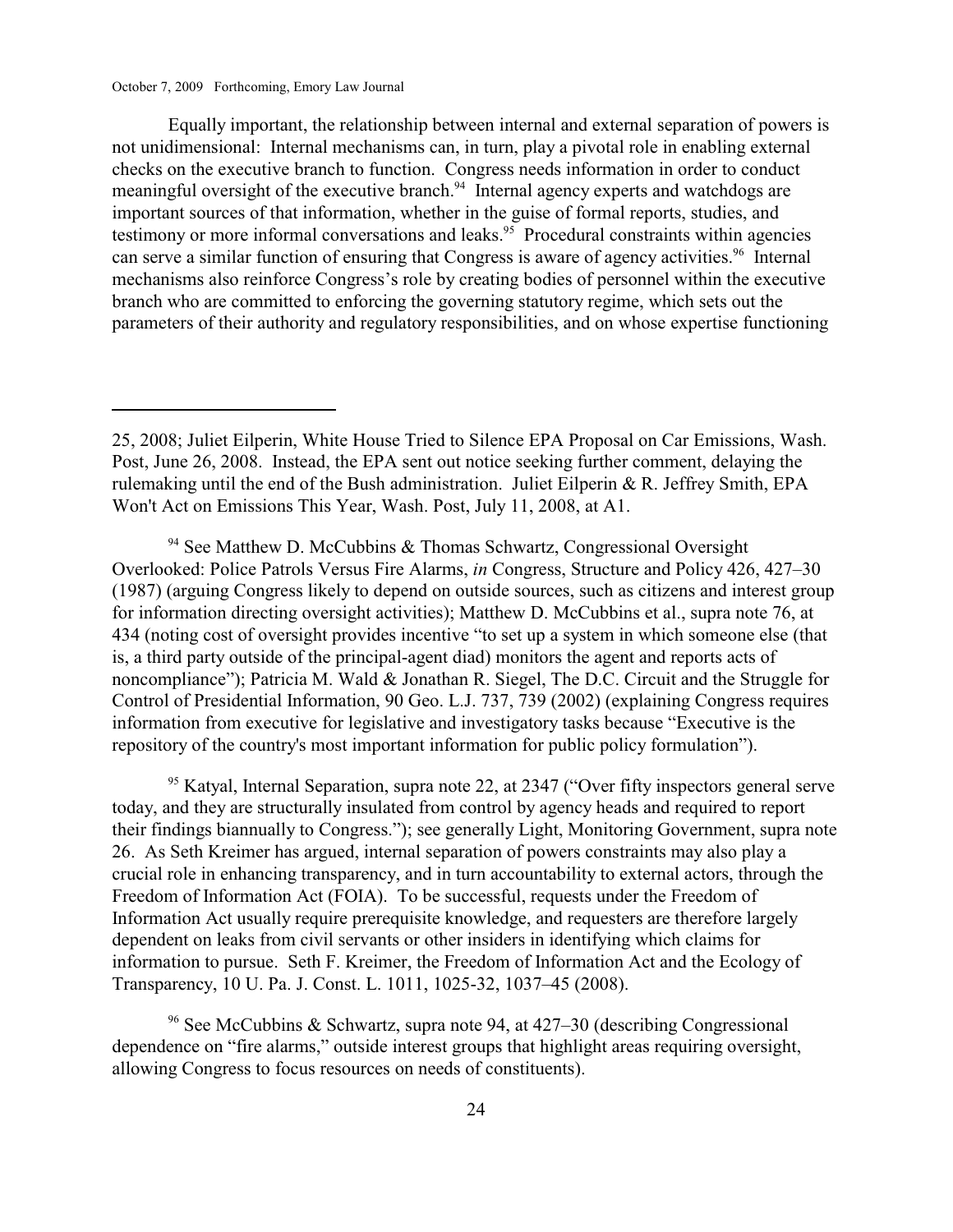Equally important, the relationship between internal and external separation of powers is not unidimensional: Internal mechanisms can, in turn, play a pivotal role in enabling external checks on the executive branch to function. Congress needs information in order to conduct meaningful oversight of the executive branch.<sup>94</sup> Internal agency experts and watchdogs are important sources of that information, whether in the guise of formal reports, studies, and testimony or more informal conversations and leaks.<sup>95</sup> Procedural constraints within agencies can serve a similar function of ensuring that Congress is aware of agency activities.<sup>96</sup> Internal mechanisms also reinforce Congress's role by creating bodies of personnel within the executive branch who are committed to enforcing the governing statutory regime, which sets out the parameters of their authority and regulatory responsibilities, and on whose expertise functioning

 $94$  See Matthew D. McCubbins & Thomas Schwartz, Congressional Oversight Overlooked: Police Patrols Versus Fire Alarms, *in* Congress, Structure and Policy 426, 427–30 (1987) (arguing Congress likely to depend on outside sources, such as citizens and interest group for information directing oversight activities); Matthew D. McCubbins et al., supra note 76, at 434 (noting cost of oversight provides incentive "to set up a system in which someone else (that is, a third party outside of the principal-agent diad) monitors the agent and reports acts of noncompliance"); Patricia M. Wald & Jonathan R. Siegel, The D.C. Circuit and the Struggle for Control of Presidential Information, 90 Geo. L.J. 737, 739 (2002) (explaining Congress requires information from executive for legislative and investigatory tasks because "Executive is the repository of the country's most important information for public policy formulation").

 $95$  Katyal, Internal Separation, supra note 22, at 2347 ("Over fifty inspectors general serve today, and they are structurally insulated from control by agency heads and required to report their findings biannually to Congress."); see generally Light, Monitoring Government, supra note 26. As Seth Kreimer has argued, internal separation of powers constraints may also play a crucial role in enhancing transparency, and in turn accountability to external actors, through the Freedom of Information Act (FOIA). To be successful, requests under the Freedom of Information Act usually require prerequisite knowledge, and requesters are therefore largely dependent on leaks from civil servants or other insiders in identifying which claims for information to pursue. Seth F. Kreimer, the Freedom of Information Act and the Ecology of Transparency, 10 U. Pa. J. Const. L. 1011, 1025-32, 1037–45 (2008).

<sup>96</sup> See McCubbins & Schwartz, supra note 94, at  $427-30$  (describing Congressional dependence on "fire alarms," outside interest groups that highlight areas requiring oversight, allowing Congress to focus resources on needs of constituents).

<sup>25, 2008;</sup> Juliet Eilperin, White House Tried to Silence EPA Proposal on Car Emissions, Wash. Post, June 26, 2008. Instead, the EPA sent out notice seeking further comment, delaying the rulemaking until the end of the Bush administration. Juliet Eilperin & R. Jeffrey Smith, EPA Won't Act on Emissions This Year, Wash. Post, July 11, 2008, at A1.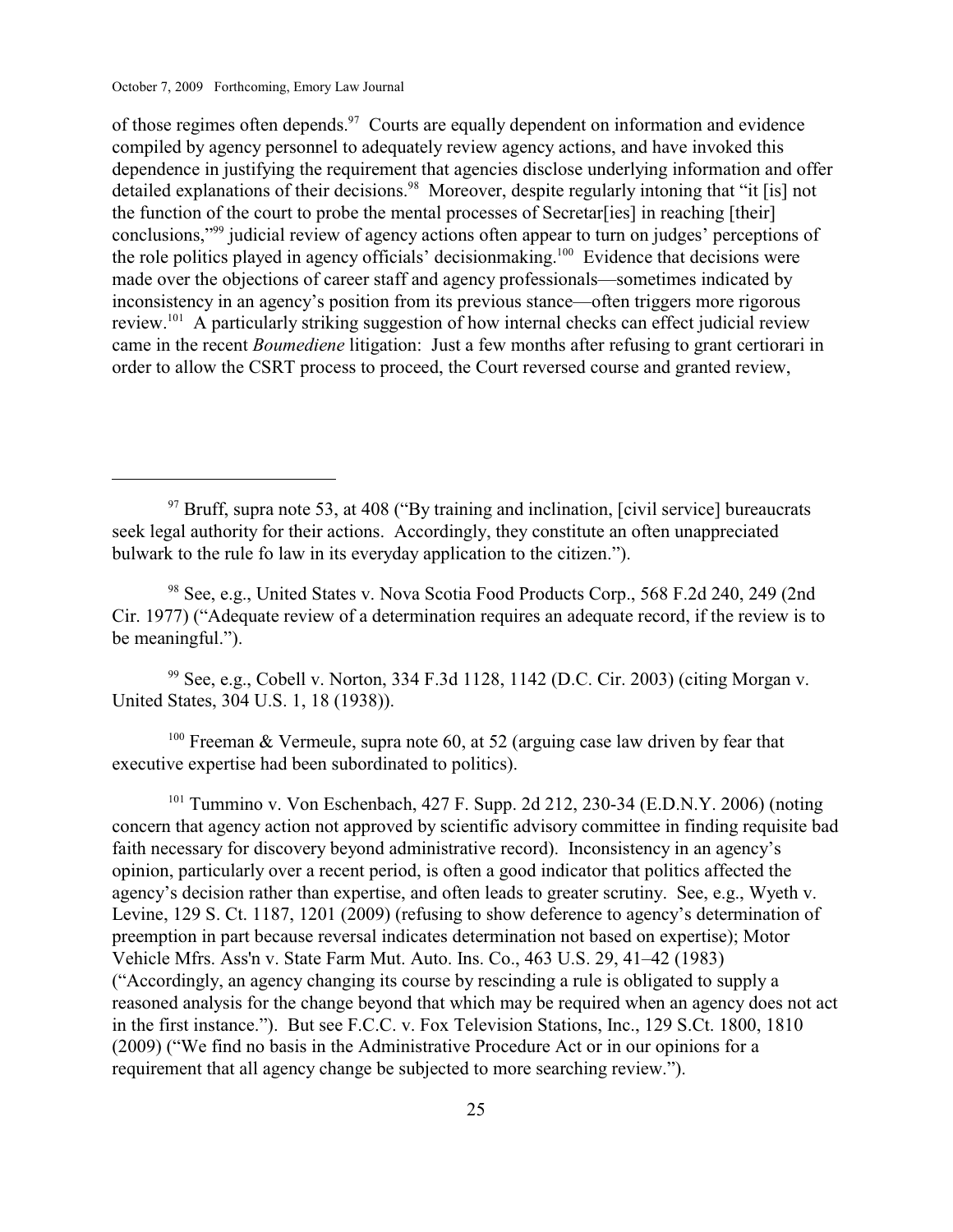of those regimes often depends. $97$  Courts are equally dependent on information and evidence compiled by agency personnel to adequately review agency actions, and have invoked this dependence in justifying the requirement that agencies disclose underlying information and offer detailed explanations of their decisions.<sup>98</sup> Moreover, despite regularly intoning that "it [is] not the function of the court to probe the mental processes of Secretar[ies] in reaching [their] conclusions,"<sup>99</sup> judicial review of agency actions often appear to turn on judges' perceptions of the role politics played in agency officials' decisionmaking.<sup>100</sup> Evidence that decisions were made over the objections of career staff and agency professionals—sometimes indicated by inconsistency in an agency's position from its previous stance—often triggers more rigorous review.<sup>101</sup> A particularly striking suggestion of how internal checks can effect judicial review came in the recent *Boumediene* litigation: Just a few months after refusing to grant certiorari in order to allow the CSRT process to proceed, the Court reversed course and granted review,

 $99$  See, e.g., Cobell v. Norton, 334 F.3d 1128, 1142 (D.C. Cir. 2003) (citing Morgan v. United States, 304 U.S. 1, 18 (1938)).

<sup>100</sup> Freeman & Vermeule, supra note 60, at 52 (arguing case law driven by fear that executive expertise had been subordinated to politics).

<sup>101</sup> Tummino v. Von Eschenbach, 427 F. Supp. 2d 212, 230-34 (E.D.N.Y. 2006) (noting concern that agency action not approved by scientific advisory committee in finding requisite bad faith necessary for discovery beyond administrative record). Inconsistency in an agency's opinion, particularly over a recent period, is often a good indicator that politics affected the agency's decision rather than expertise, and often leads to greater scrutiny. See, e.g., Wyeth v. Levine, 129 S. Ct. 1187, 1201 (2009) (refusing to show deference to agency's determination of preemption in part because reversal indicates determination not based on expertise); Motor Vehicle Mfrs. Ass'n v. State Farm Mut. Auto. Ins. Co., 463 U.S. 29, 41–42 (1983) ("Accordingly, an agency changing its course by rescinding a rule is obligated to supply a reasoned analysis for the change beyond that which may be required when an agency does not act in the first instance."). But see F.C.C. v. Fox Television Stations, Inc., 129 S.Ct. 1800, 1810 (2009) ("We find no basis in the Administrative Procedure Act or in our opinions for a requirement that all agency change be subjected to more searching review.").

 $97$  Bruff, supra note 53, at 408 ("By training and inclination, [civil service] bureaucrats seek legal authority for their actions. Accordingly, they constitute an often unappreciated bulwark to the rule fo law in its everyday application to the citizen.").

<sup>&</sup>lt;sup>98</sup> See, e.g., United States v. Nova Scotia Food Products Corp., 568 F.2d 240, 249 (2nd Cir. 1977) ("Adequate review of a determination requires an adequate record, if the review is to be meaningful.").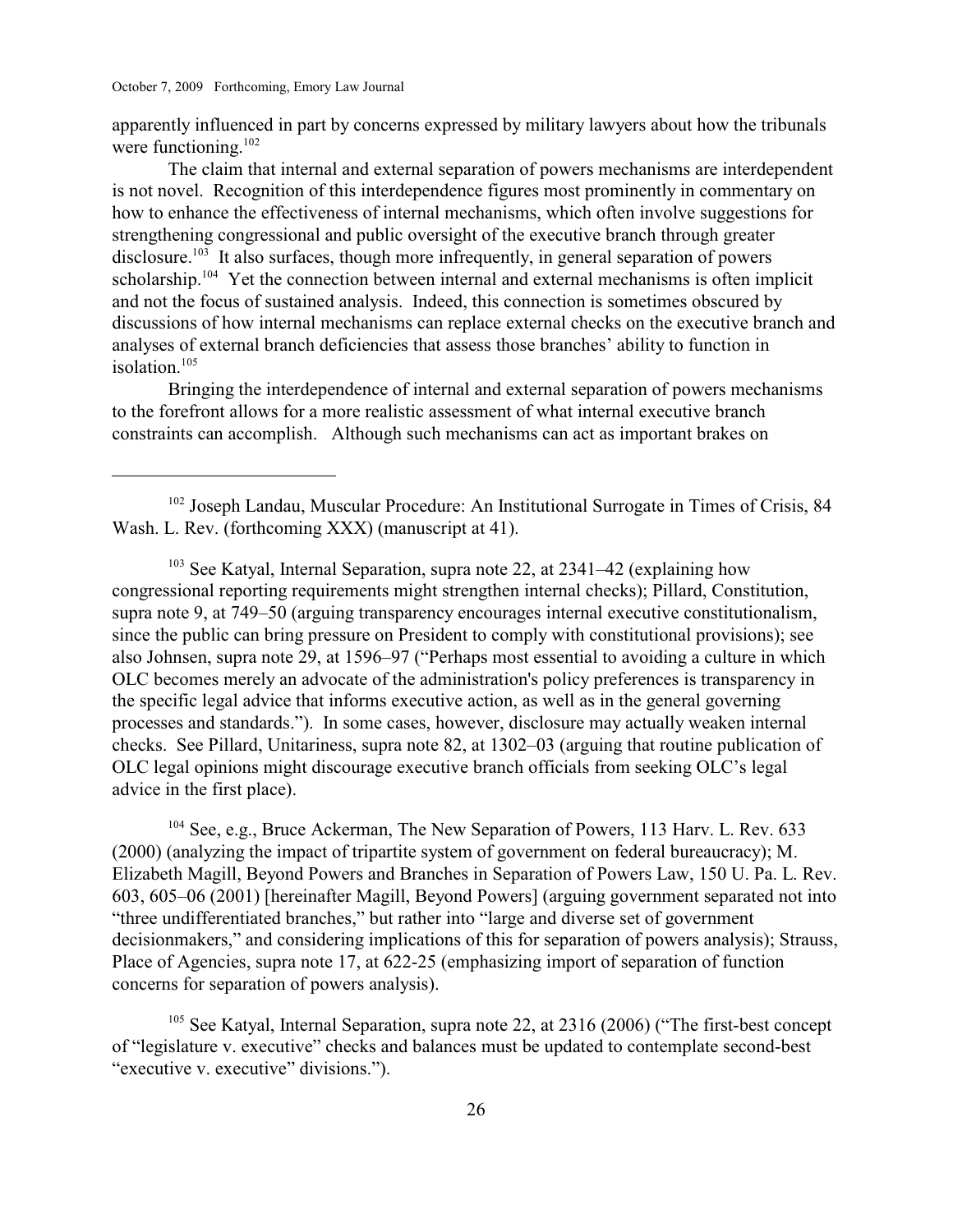apparently influenced in part by concerns expressed by military lawyers about how the tribunals were functioning. $102$ 

The claim that internal and external separation of powers mechanisms are interdependent is not novel. Recognition of this interdependence figures most prominently in commentary on how to enhance the effectiveness of internal mechanisms, which often involve suggestions for strengthening congressional and public oversight of the executive branch through greater disclosure.<sup>103</sup> It also surfaces, though more infrequently, in general separation of powers scholarship.<sup>104</sup> Yet the connection between internal and external mechanisms is often implicit and not the focus of sustained analysis. Indeed, this connection is sometimes obscured by discussions of how internal mechanisms can replace external checks on the executive branch and analyses of external branch deficiencies that assess those branches' ability to function in isolation.<sup>105</sup>

Bringing the interdependence of internal and external separation of powers mechanisms to the forefront allows for a more realistic assessment of what internal executive branch constraints can accomplish. Although such mechanisms can act as important brakes on

 $103$  See Katyal, Internal Separation, supra note 22, at 2341–42 (explaining how congressional reporting requirements might strengthen internal checks); Pillard, Constitution, supra note 9, at 749–50 (arguing transparency encourages internal executive constitutionalism, since the public can bring pressure on President to comply with constitutional provisions); see also Johnsen, supra note 29, at 1596–97 ("Perhaps most essential to avoiding a culture in which OLC becomes merely an advocate of the administration's policy preferences is transparency in the specific legal advice that informs executive action, as well as in the general governing processes and standards."). In some cases, however, disclosure may actually weaken internal checks. See Pillard, Unitariness, supra note 82, at 1302–03 (arguing that routine publication of OLC legal opinions might discourage executive branch officials from seeking OLC's legal advice in the first place).

 $104$  See, e.g., Bruce Ackerman, The New Separation of Powers, 113 Harv. L. Rev. 633 (2000) (analyzing the impact of tripartite system of government on federal bureaucracy); M. Elizabeth Magill, Beyond Powers and Branches in Separation of Powers Law, 150 U. Pa. L. Rev. 603, 605–06 (2001) [hereinafter Magill, Beyond Powers] (arguing government separated not into "three undifferentiated branches," but rather into "large and diverse set of government decisionmakers," and considering implications of this for separation of powers analysis); Strauss, Place of Agencies, supra note 17, at 622-25 (emphasizing import of separation of function concerns for separation of powers analysis).

 $105$  See Katyal, Internal Separation, supra note 22, at 2316 (2006) ("The first-best concept of "legislature v. executive" checks and balances must be updated to contemplate second-best "executive v. executive" divisions.").

 $102$  Joseph Landau, Muscular Procedure: An Institutional Surrogate in Times of Crisis, 84 Wash. L. Rev. (forthcoming XXX) (manuscript at 41).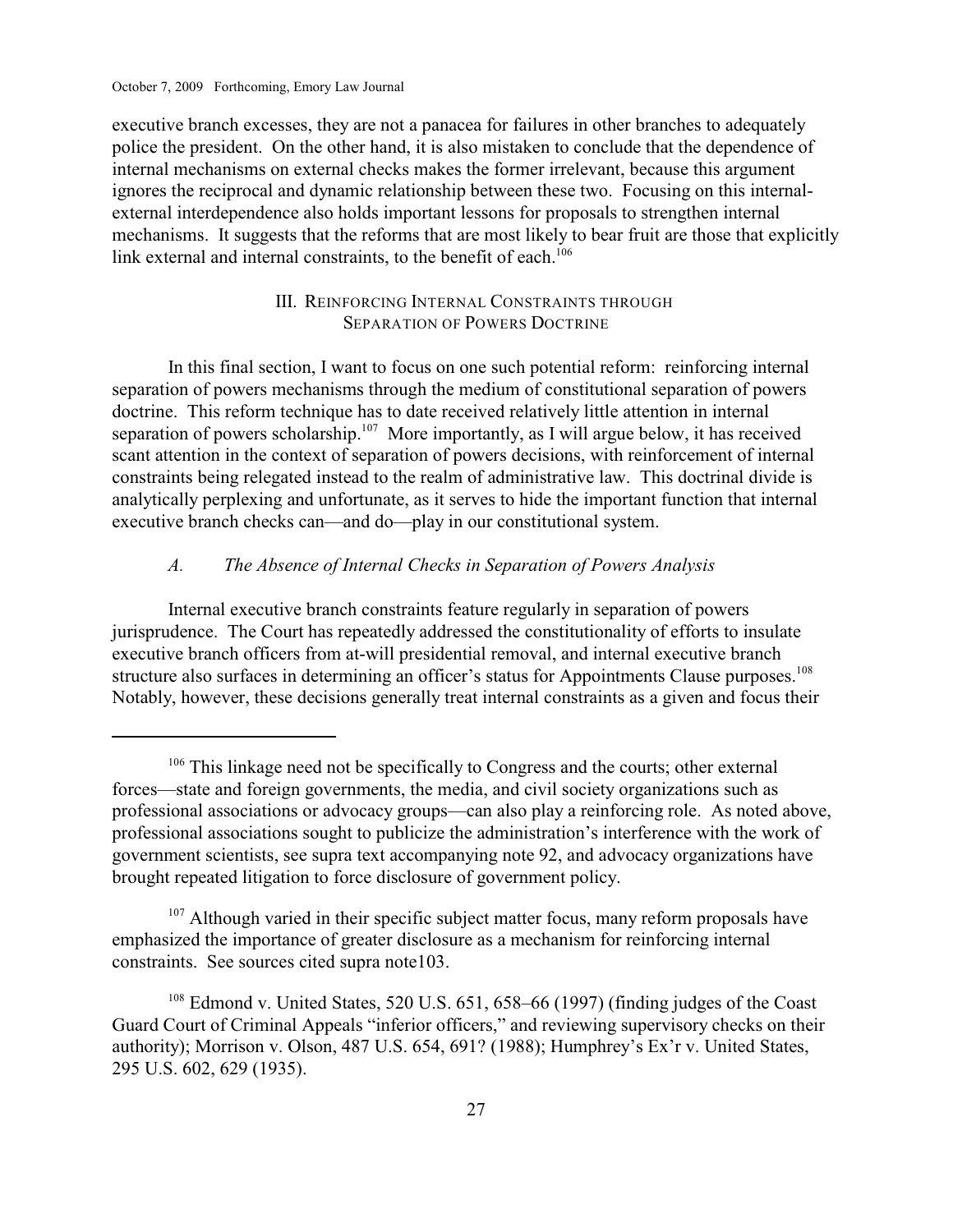executive branch excesses, they are not a panacea for failures in other branches to adequately police the president. On the other hand, it is also mistaken to conclude that the dependence of internal mechanisms on external checks makes the former irrelevant, because this argument ignores the reciprocal and dynamic relationship between these two. Focusing on this internalexternal interdependence also holds important lessons for proposals to strengthen internal mechanisms. It suggests that the reforms that are most likely to bear fruit are those that explicitly link external and internal constraints, to the benefit of each.<sup>106</sup>

# III. REINFORCING INTERNAL CONSTRAINTS THROUGH SEPARATION OF POWERS DOCTRINE

In this final section, I want to focus on one such potential reform: reinforcing internal separation of powers mechanisms through the medium of constitutional separation of powers doctrine. This reform technique has to date received relatively little attention in internal separation of powers scholarship.<sup>107</sup> More importantly, as I will argue below, it has received scant attention in the context of separation of powers decisions, with reinforcement of internal constraints being relegated instead to the realm of administrative law. This doctrinal divide is analytically perplexing and unfortunate, as it serves to hide the important function that internal executive branch checks can—and do—play in our constitutional system.

## *A. The Absence of Internal Checks in Separation of Powers Analysis*

Internal executive branch constraints feature regularly in separation of powers jurisprudence. The Court has repeatedly addressed the constitutionality of efforts to insulate executive branch officers from at-will presidential removal, and internal executive branch structure also surfaces in determining an officer's status for Appointments Clause purposes.<sup>108</sup> Notably, however, these decisions generally treat internal constraints as a given and focus their

 $107$  Although varied in their specific subject matter focus, many reform proposals have emphasized the importance of greater disclosure as a mechanism for reinforcing internal constraints. See sources cited supra note103.

 $106$  This linkage need not be specifically to Congress and the courts; other external forces—state and foreign governments, the media, and civil society organizations such as professional associations or advocacy groups—can also play a reinforcing role. As noted above, professional associations sought to publicize the administration's interference with the work of government scientists, see supra text accompanying note 92, and advocacy organizations have brought repeated litigation to force disclosure of government policy.

 $108$  Edmond v. United States, 520 U.S. 651, 658-66 (1997) (finding judges of the Coast Guard Court of Criminal Appeals "inferior officers," and reviewing supervisory checks on their authority); Morrison v. Olson, 487 U.S. 654, 691? (1988); Humphrey's Ex'r v. United States, 295 U.S. 602, 629 (1935).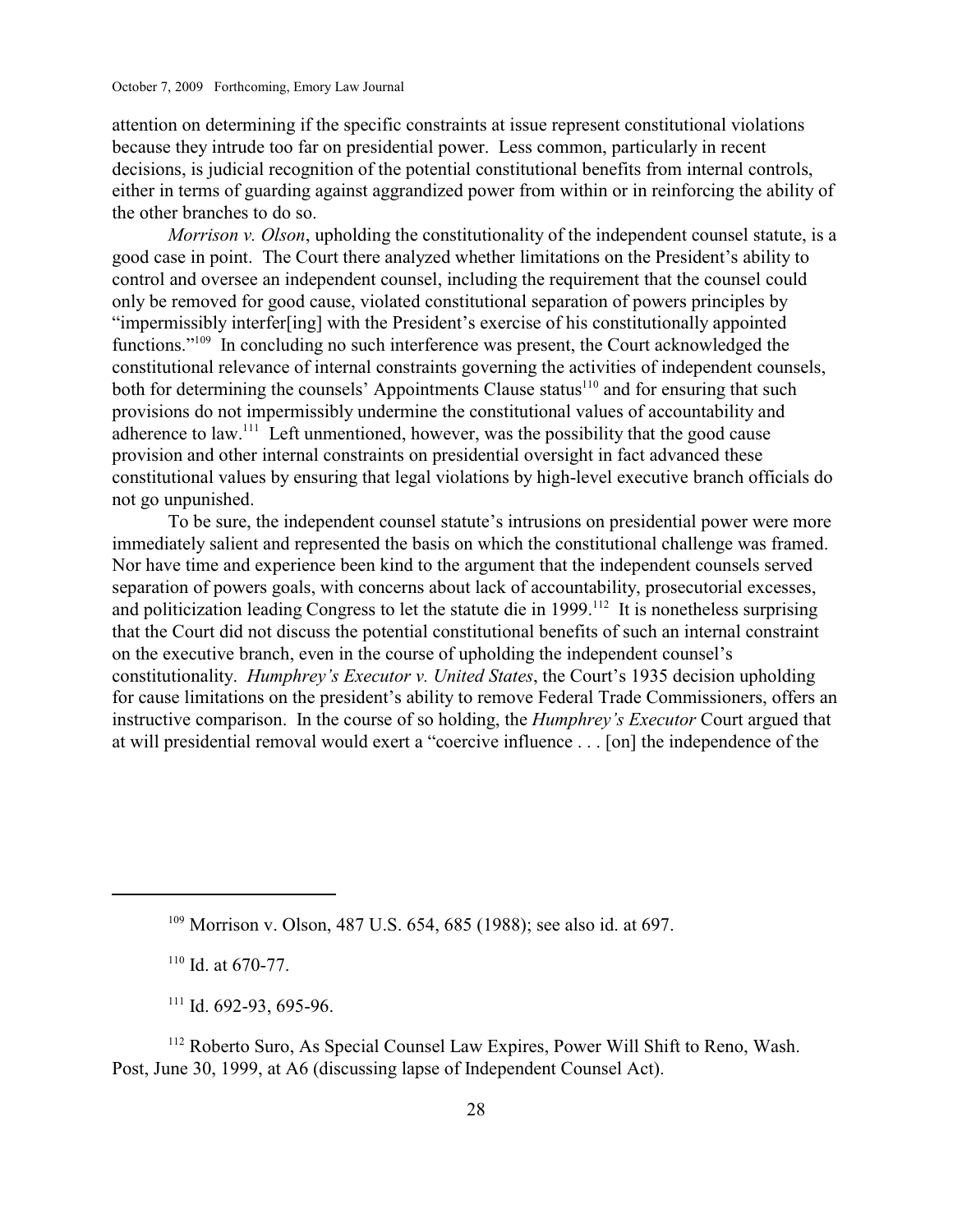attention on determining if the specific constraints at issue represent constitutional violations because they intrude too far on presidential power. Less common, particularly in recent decisions, is judicial recognition of the potential constitutional benefits from internal controls, either in terms of guarding against aggrandized power from within or in reinforcing the ability of the other branches to do so.

*Morrison v. Olson*, upholding the constitutionality of the independent counsel statute, is a good case in point. The Court there analyzed whether limitations on the President's ability to control and oversee an independent counsel, including the requirement that the counsel could only be removed for good cause, violated constitutional separation of powers principles by "impermissibly interfer[ing] with the President's exercise of his constitutionally appointed functions." In concluding no such interference was present, the Court acknowledged the constitutional relevance of internal constraints governing the activities of independent counsels, both for determining the counsels' Appointments Clause status $110$  and for ensuring that such provisions do not impermissibly undermine the constitutional values of accountability and adherence to law. $^{111}$  Left unmentioned, however, was the possibility that the good cause provision and other internal constraints on presidential oversight in fact advanced these constitutional values by ensuring that legal violations by high-level executive branch officials do not go unpunished.

To be sure, the independent counsel statute's intrusions on presidential power were more immediately salient and represented the basis on which the constitutional challenge was framed. Nor have time and experience been kind to the argument that the independent counsels served separation of powers goals, with concerns about lack of accountability, prosecutorial excesses, and politicization leading Congress to let the statute die in 1999.<sup>112</sup> It is nonetheless surprising that the Court did not discuss the potential constitutional benefits of such an internal constraint on the executive branch, even in the course of upholding the independent counsel's constitutionality. *Humphrey's Executor v. United States*, the Court's 1935 decision upholding for cause limitations on the president's ability to remove Federal Trade Commissioners, offers an instructive comparison. In the course of so holding, the *Humphrey's Executor* Court argued that at will presidential removal would exert a "coercive influence . . . [on] the independence of the

<sup>109</sup> Morrison v. Olson, 487 U.S. 654, 685 (1988); see also id. at 697.

 $110$  Id. at 670-77.

 $111$  Id. 692-93, 695-96.

 $112$  Roberto Suro, As Special Counsel Law Expires, Power Will Shift to Reno, Wash. Post, June 30, 1999, at A6 (discussing lapse of Independent Counsel Act).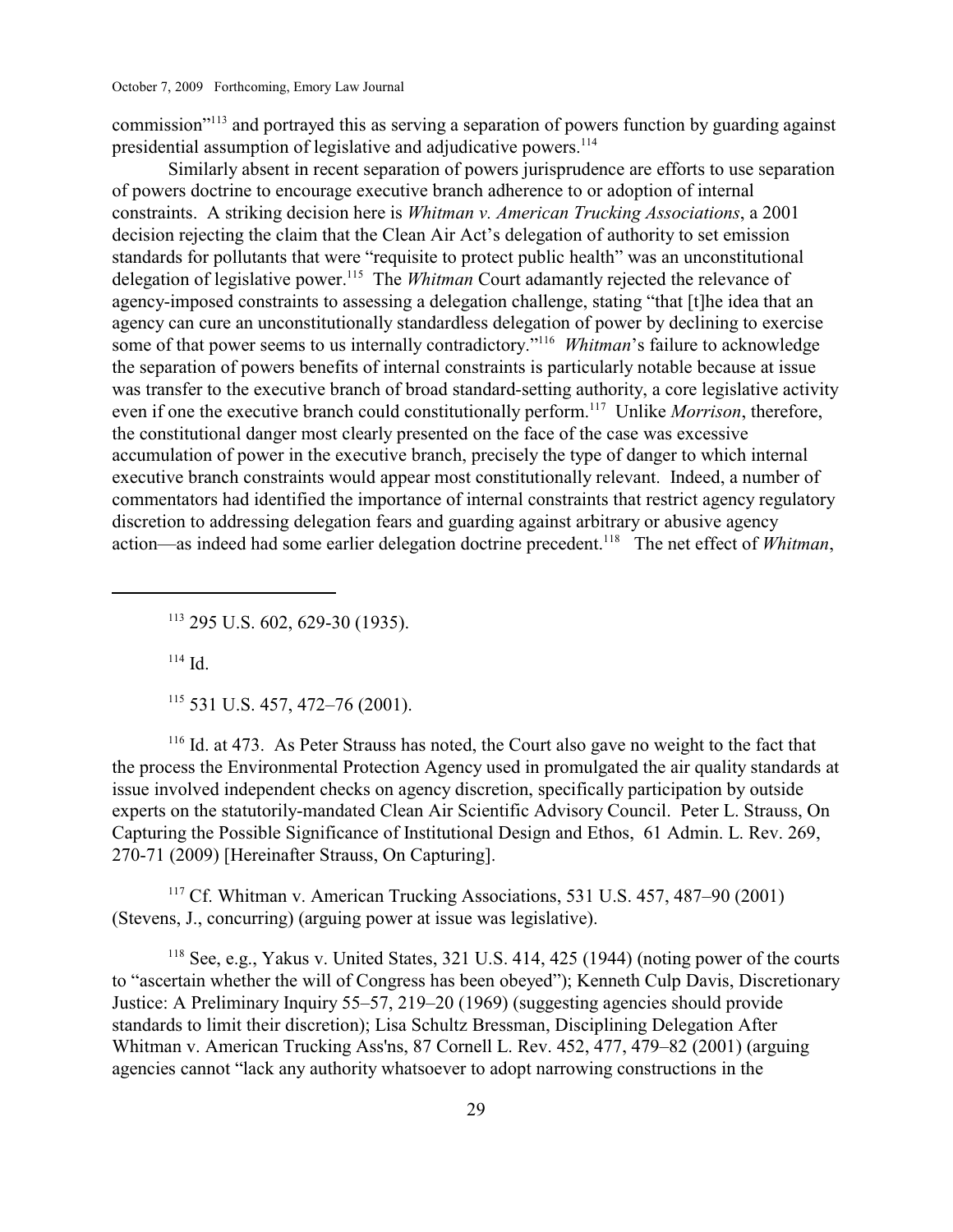commission"<sup>113</sup> and portrayed this as serving a separation of powers function by guarding against presidential assumption of legislative and adjudicative powers. 114

Similarly absent in recent separation of powers jurisprudence are efforts to use separation of powers doctrine to encourage executive branch adherence to or adoption of internal constraints. A striking decision here is *Whitman v. American Trucking Associations*, a 2001 decision rejecting the claim that the Clean Air Act's delegation of authority to set emission standards for pollutants that were "requisite to protect public health" was an unconstitutional delegation of legislative power.<sup>115</sup> The *Whitman* Court adamantly rejected the relevance of agency-imposed constraints to assessing a delegation challenge, stating "that [t]he idea that an agency can cure an unconstitutionally standardless delegation of power by declining to exercise some of that power seems to us internally contradictory."<sup>116</sup> Whitman's failure to acknowledge the separation of powers benefits of internal constraints is particularly notable because at issue was transfer to the executive branch of broad standard-setting authority, a core legislative activity even if one the executive branch could constitutionally perform.<sup>117</sup> Unlike *Morrison*, therefore, the constitutional danger most clearly presented on the face of the case was excessive accumulation of power in the executive branch, precisely the type of danger to which internal executive branch constraints would appear most constitutionally relevant. Indeed, a number of commentators had identified the importance of internal constraints that restrict agency regulatory discretion to addressing delegation fears and guarding against arbitrary or abusive agency action—as indeed had some earlier delegation doctrine precedent.<sup>118</sup> The net effect of *Whitman*,

<sup>113</sup> 295 U.S. 602, 629-30 (1935).

 $114$  Id.

 $115$  531 U.S. 457, 472–76 (2001).

 $116$  Id. at 473. As Peter Strauss has noted, the Court also gave no weight to the fact that the process the Environmental Protection Agency used in promulgated the air quality standards at issue involved independent checks on agency discretion, specifically participation by outside experts on the statutorily-mandated Clean Air Scientific Advisory Council. Peter L. Strauss, On Capturing the Possible Significance of Institutional Design and Ethos, 61 Admin. L. Rev. 269, 270-71 (2009) [Hereinafter Strauss, On Capturing].

<sup>117</sup> Cf. Whitman v. American Trucking Associations, 531 U.S.  $457, 487-90$  (2001) (Stevens, J., concurring) (arguing power at issue was legislative).

<sup>118</sup> See, e.g., Yakus v. United States, 321 U.S. 414, 425 (1944) (noting power of the courts to "ascertain whether the will of Congress has been obeyed"); Kenneth Culp Davis, Discretionary Justice: A Preliminary Inquiry 55–57, 219–20 (1969) (suggesting agencies should provide standards to limit their discretion); Lisa Schultz Bressman, Disciplining Delegation After Whitman v. American Trucking Ass'ns, 87 Cornell L. Rev. 452, 477, 479–82 (2001) (arguing agencies cannot "lack any authority whatsoever to adopt narrowing constructions in the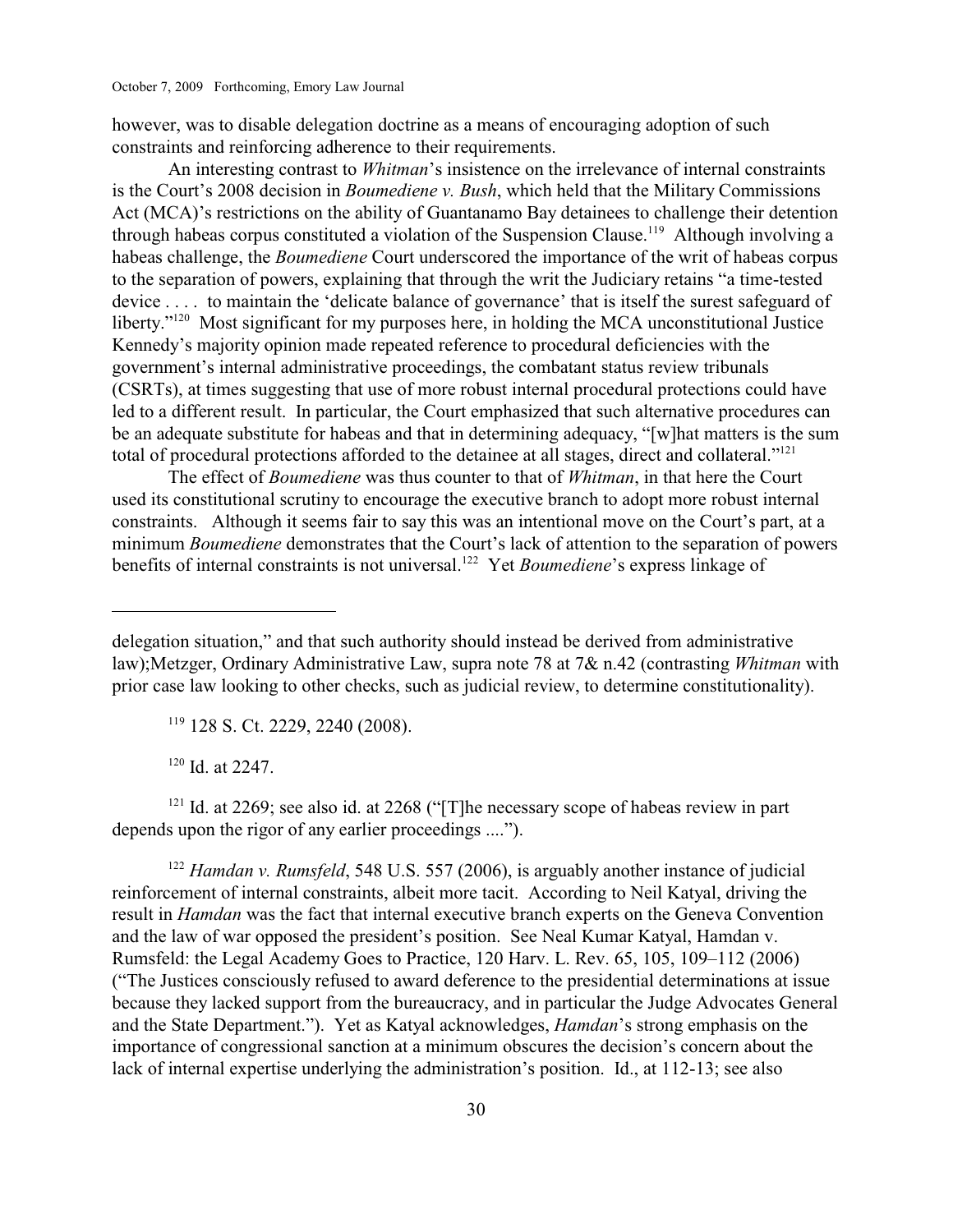however, was to disable delegation doctrine as a means of encouraging adoption of such constraints and reinforcing adherence to their requirements.

An interesting contrast to *Whitman*'s insistence on the irrelevance of internal constraints is the Court's 2008 decision in *Boumediene v. Bush*, which held that the Military Commissions Act (MCA)'s restrictions on the ability of Guantanamo Bay detainees to challenge their detention through habeas corpus constituted a violation of the Suspension Clause.<sup>119</sup> Although involving a habeas challenge, the *Boumediene* Court underscored the importance of the writ of habeas corpus to the separation of powers, explaining that through the writ the Judiciary retains "a time-tested device . . . . to maintain the 'delicate balance of governance' that is itself the surest safeguard of liberty." $120$  Most significant for my purposes here, in holding the MCA unconstitutional Justice Kennedy's majority opinion made repeated reference to procedural deficiencies with the government's internal administrative proceedings, the combatant status review tribunals (CSRTs), at times suggesting that use of more robust internal procedural protections could have led to a different result. In particular, the Court emphasized that such alternative procedures can be an adequate substitute for habeas and that in determining adequacy, "[w]hat matters is the sum total of procedural protections afforded to the detainee at all stages, direct and collateral."<sup>121</sup>

The effect of *Boumediene* was thus counter to that of *Whitman*, in that here the Court used its constitutional scrutiny to encourage the executive branch to adopt more robust internal constraints. Although it seems fair to say this was an intentional move on the Court's part, at a minimum *Boumediene* demonstrates that the Court's lack of attention to the separation of powers benefits of internal constraints is not universal.<sup>122</sup> Yet *Boumediene*'s express linkage of

<sup>119</sup> 128 S. Ct. 2229, 2240 (2008).

 $120$  Id. at 2247.

 $121$  Id. at 2269; see also id. at 2268 ("[T]he necessary scope of habeas review in part depends upon the rigor of any earlier proceedings ....").

<sup>122</sup> Hamdan v. Rumsfeld, 548 U.S. 557 (2006), is arguably another instance of judicial reinforcement of internal constraints, albeit more tacit. According to Neil Katyal, driving the result in *Hamdan* was the fact that internal executive branch experts on the Geneva Convention and the law of war opposed the president's position. See Neal Kumar Katyal, Hamdan v. Rumsfeld: the Legal Academy Goes to Practice, 120 Harv. L. Rev. 65, 105, 109–112 (2006) ("The Justices consciously refused to award deference to the presidential determinations at issue because they lacked support from the bureaucracy, and in particular the Judge Advocates General and the State Department."). Yet as Katyal acknowledges, *Hamdan*'s strong emphasis on the importance of congressional sanction at a minimum obscures the decision's concern about the lack of internal expertise underlying the administration's position. Id., at 112-13; see also

delegation situation," and that such authority should instead be derived from administrative law);Metzger, Ordinary Administrative Law, supra note 78 at 7& n.42 (contrasting *Whitman* with prior case law looking to other checks, such as judicial review, to determine constitutionality).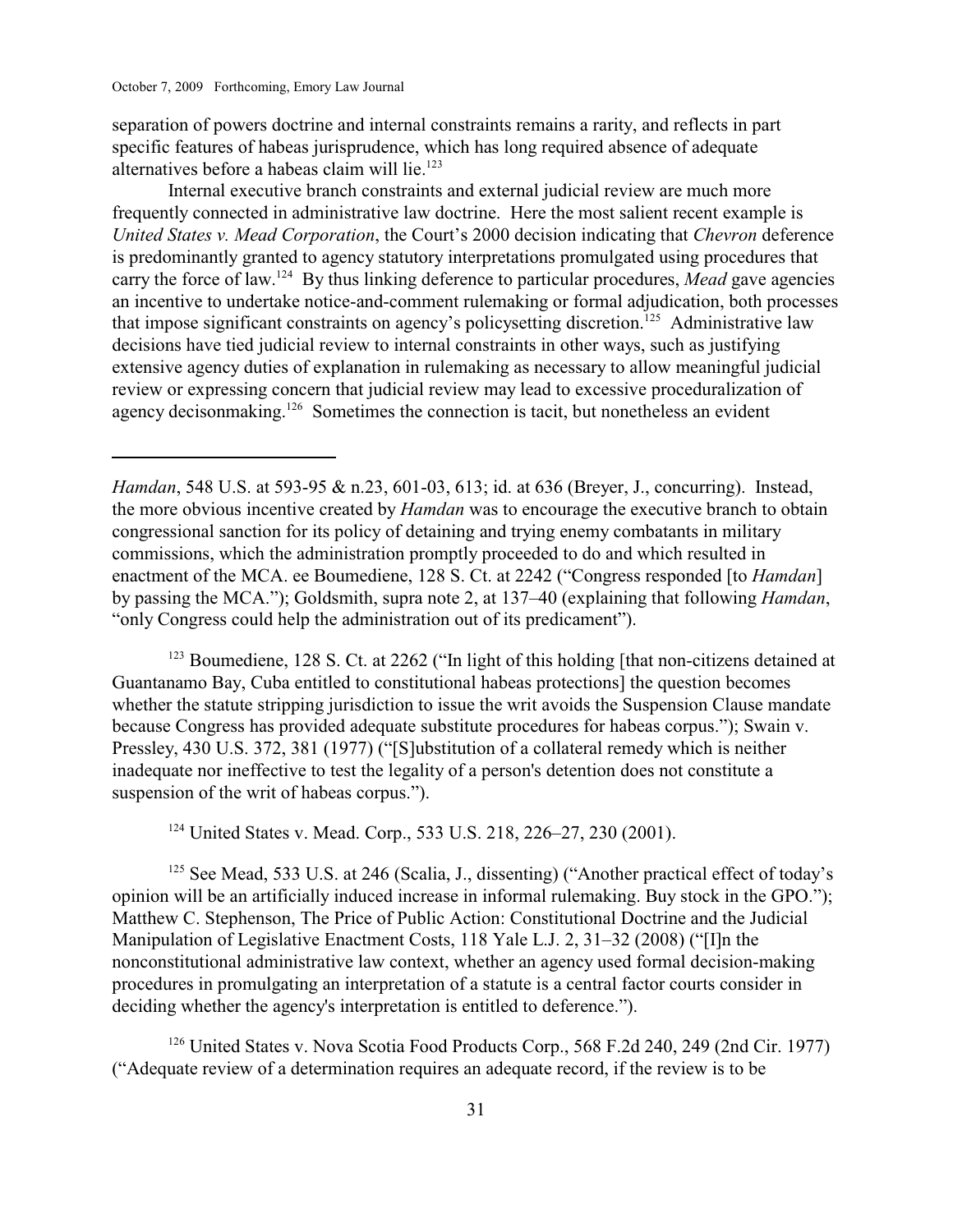separation of powers doctrine and internal constraints remains a rarity, and reflects in part specific features of habeas jurisprudence, which has long required absence of adequate alternatives before a habeas claim will lie.<sup>123</sup>

Internal executive branch constraints and external judicial review are much more frequently connected in administrative law doctrine. Here the most salient recent example is *United States v. Mead Corporation*, the Court's 2000 decision indicating that *Chevron* deference is predominantly granted to agency statutory interpretations promulgated using procedures that carry the force of law.<sup>124</sup> By thus linking deference to particular procedures, *Mead* gave agencies an incentive to undertake notice-and-comment rulemaking or formal adjudication, both processes that impose significant constraints on agency's policysetting discretion.<sup>125</sup> Administrative law decisions have tied judicial review to internal constraints in other ways, such as justifying extensive agency duties of explanation in rulemaking as necessary to allow meaningful judicial review or expressing concern that judicial review may lead to excessive proceduralization of agency decisonmaking.<sup>126</sup> Sometimes the connection is tacit, but nonetheless an evident

<sup>123</sup> Boumediene, 128 S. Ct. at 2262 ("In light of this holding [that non-citizens detained at Guantanamo Bay, Cuba entitled to constitutional habeas protections] the question becomes whether the statute stripping jurisdiction to issue the writ avoids the Suspension Clause mandate because Congress has provided adequate substitute procedures for habeas corpus."); Swain v. Pressley, 430 U.S. 372, 381 (1977) ("[S]ubstitution of a collateral remedy which is neither inadequate nor ineffective to test the legality of a person's detention does not constitute a suspension of the writ of habeas corpus.").

<sup>124</sup> United States v. Mead. Corp., 533 U.S. 218, 226–27, 230 (2001).

 $125$  See Mead, 533 U.S. at 246 (Scalia, J., dissenting) ("Another practical effect of today's opinion will be an artificially induced increase in informal rulemaking. Buy stock in the GPO."); Matthew C. Stephenson, The Price of Public Action: Constitutional Doctrine and the Judicial Manipulation of Legislative Enactment Costs, 118 Yale L.J. 2, 31–32 (2008) ("[I]n the nonconstitutional administrative law context, whether an agency used formal decision-making procedures in promulgating an interpretation of a statute is a central factor courts consider in deciding whether the agency's interpretation is entitled to deference.").

 $126$  United States v. Nova Scotia Food Products Corp., 568 F.2d 240, 249 (2nd Cir. 1977) ("Adequate review of a determination requires an adequate record, if the review is to be

*Hamdan*, 548 U.S. at 593-95 & n.23, 601-03, 613; id. at 636 (Breyer, J., concurring). Instead, the more obvious incentive created by *Hamdan* was to encourage the executive branch to obtain congressional sanction for its policy of detaining and trying enemy combatants in military commissions, which the administration promptly proceeded to do and which resulted in enactment of the MCA. ee Boumediene, 128 S. Ct. at 2242 ("Congress responded [to *Hamdan*] by passing the MCA."); Goldsmith, supra note 2, at 137–40 (explaining that following *Hamdan*, "only Congress could help the administration out of its predicament").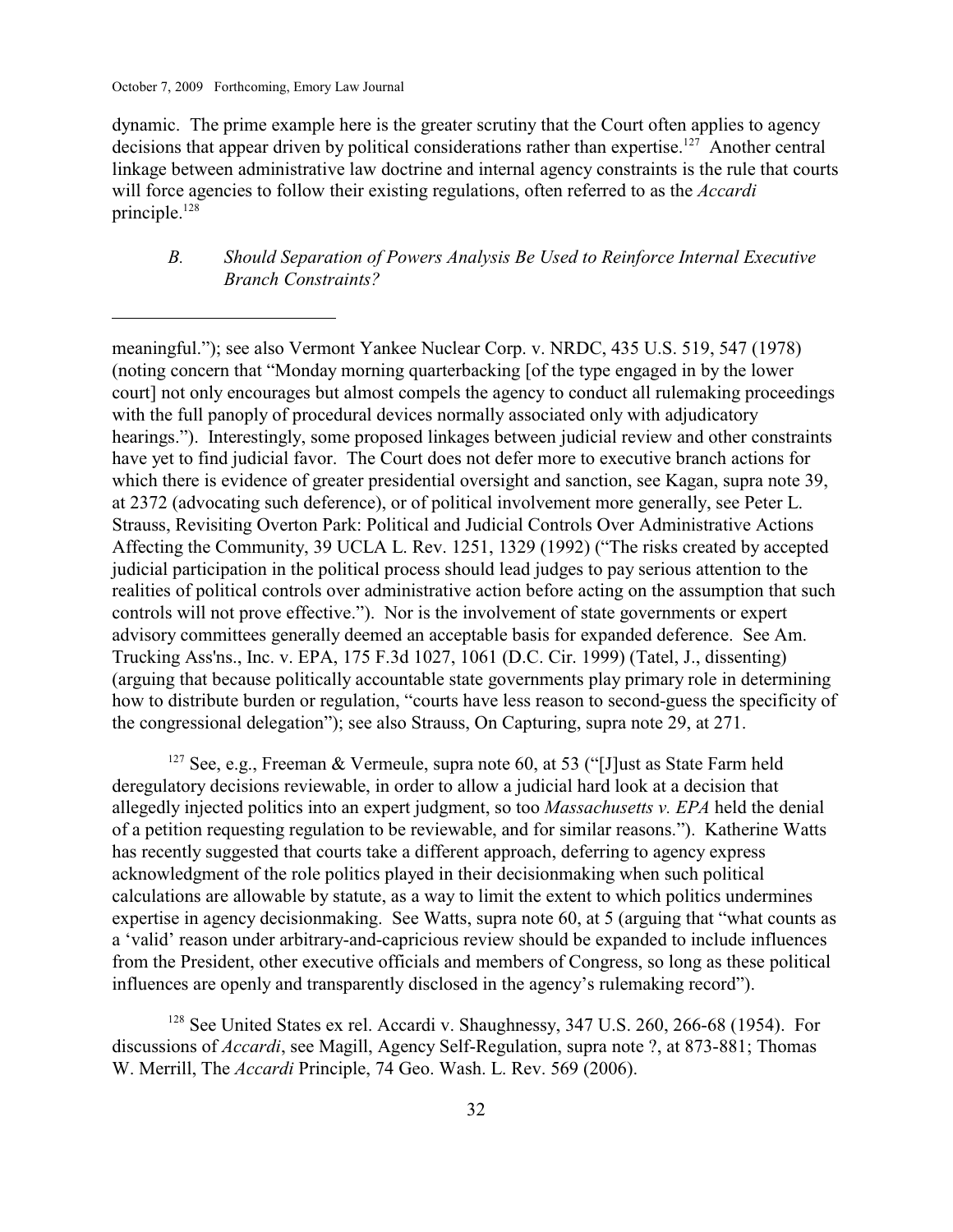dynamic. The prime example here is the greater scrutiny that the Court often applies to agency decisions that appear driven by political considerations rather than expertise.<sup>127</sup> Another central linkage between administrative law doctrine and internal agency constraints is the rule that courts will force agencies to follow their existing regulations, often referred to as the *Accardi* principle.<sup>128</sup>

# *B. Should Separation of Powers Analysis Be Used to Reinforce Internal Executive Branch Constraints?*

meaningful."); see also Vermont Yankee Nuclear Corp. v. NRDC, 435 U.S. 519, 547 (1978) (noting concern that "Monday morning quarterbacking [of the type engaged in by the lower court] not only encourages but almost compels the agency to conduct all rulemaking proceedings with the full panoply of procedural devices normally associated only with adjudicatory hearings."). Interestingly, some proposed linkages between judicial review and other constraints have yet to find judicial favor. The Court does not defer more to executive branch actions for which there is evidence of greater presidential oversight and sanction, see Kagan, supra note 39, at 2372 (advocating such deference), or of political involvement more generally, see Peter L. Strauss, Revisiting Overton Park: Political and Judicial Controls Over Administrative Actions Affecting the Community, 39 UCLA L. Rev. 1251, 1329 (1992) ("The risks created by accepted judicial participation in the political process should lead judges to pay serious attention to the realities of political controls over administrative action before acting on the assumption that such controls will not prove effective."). Nor is the involvement of state governments or expert advisory committees generally deemed an acceptable basis for expanded deference. See Am. Trucking Ass'ns., Inc. v. EPA, 175 F.3d 1027, 1061 (D.C. Cir. 1999) (Tatel, J., dissenting) (arguing that because politically accountable state governments play primary role in determining how to distribute burden or regulation, "courts have less reason to second-guess the specificity of the congressional delegation"); see also Strauss, On Capturing, supra note 29, at 271.

<sup>127</sup> See, e.g., Freeman & Vermeule, supra note 60, at 53 ("[J]ust as State Farm held deregulatory decisions reviewable, in order to allow a judicial hard look at a decision that allegedly injected politics into an expert judgment, so too *Massachusetts v. EPA* held the denial of a petition requesting regulation to be reviewable, and for similar reasons."). Katherine Watts has recently suggested that courts take a different approach, deferring to agency express acknowledgment of the role politics played in their decisionmaking when such political calculations are allowable by statute, as a way to limit the extent to which politics undermines expertise in agency decisionmaking. See Watts, supra note 60, at 5 (arguing that "what counts as a 'valid' reason under arbitrary-and-capricious review should be expanded to include influences from the President, other executive officials and members of Congress, so long as these political influences are openly and transparently disclosed in the agency's rulemaking record").

 $128$  See United States ex rel. Accardi v. Shaughnessy, 347 U.S. 260, 266-68 (1954). For discussions of *Accardi*, see Magill, Agency Self-Regulation, supra note ?, at 873-881; Thomas W. Merrill, The *Accardi* Principle, 74 Geo. Wash. L. Rev. 569 (2006).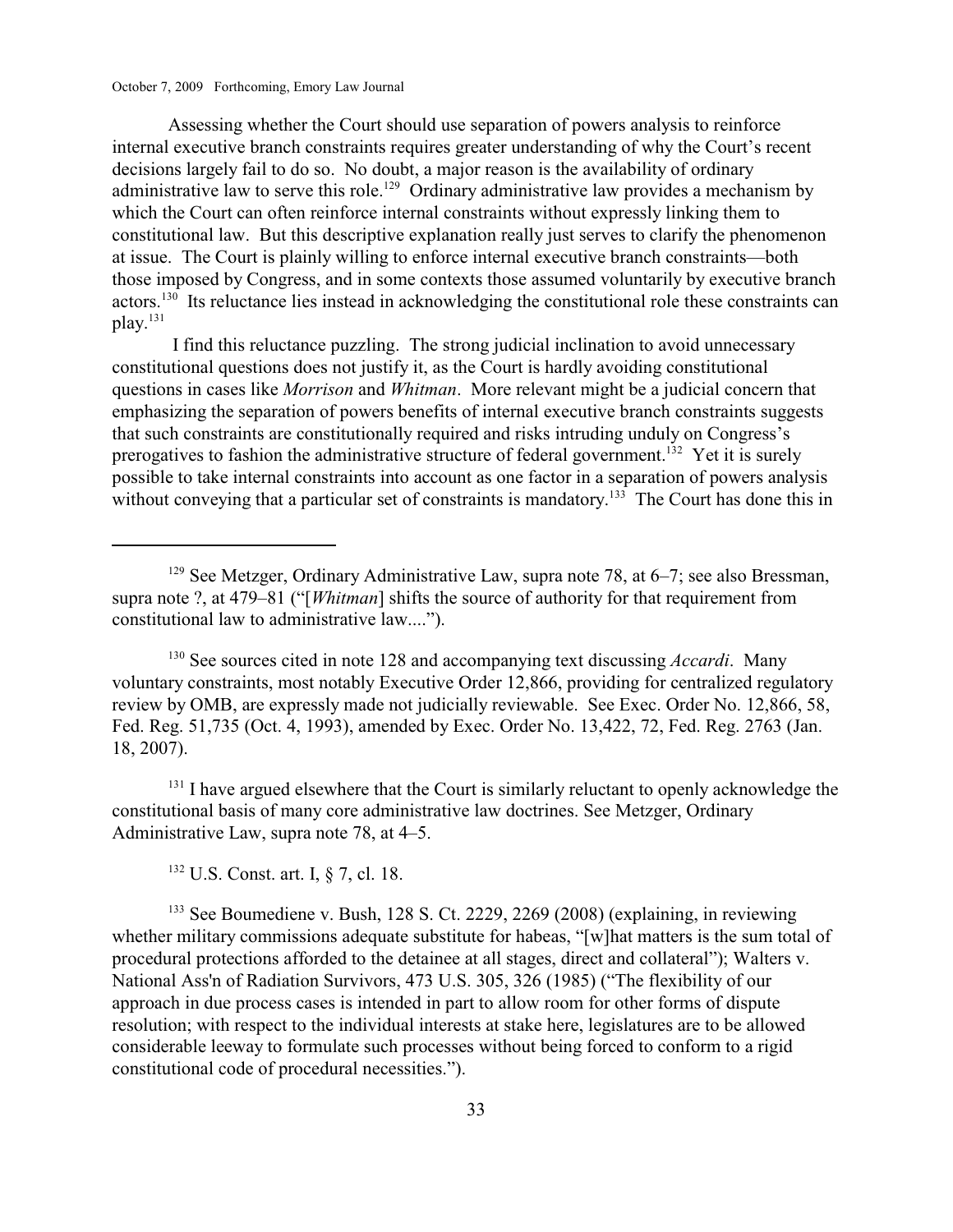Assessing whether the Court should use separation of powers analysis to reinforce internal executive branch constraints requires greater understanding of why the Court's recent decisions largely fail to do so. No doubt, a major reason is the availability of ordinary administrative law to serve this role.<sup>129</sup> Ordinary administrative law provides a mechanism by which the Court can often reinforce internal constraints without expressly linking them to constitutional law. But this descriptive explanation really just serves to clarify the phenomenon at issue. The Court is plainly willing to enforce internal executive branch constraints—both those imposed by Congress, and in some contexts those assumed voluntarily by executive branch actors.<sup>130</sup> Its reluctance lies instead in acknowledging the constitutional role these constraints can play.<sup>131</sup>

 I find this reluctance puzzling. The strong judicial inclination to avoid unnecessary constitutional questions does not justify it, as the Court is hardly avoiding constitutional questions in cases like *Morrison* and *Whitman*. More relevant might be a judicial concern that emphasizing the separation of powers benefits of internal executive branch constraints suggests that such constraints are constitutionally required and risks intruding unduly on Congress's prerogatives to fashion the administrative structure of federal government.<sup>132</sup> Yet it is surely possible to take internal constraints into account as one factor in a separation of powers analysis without conveying that a particular set of constraints is mandatory.<sup>133</sup> The Court has done this in

<sup>130</sup> See sources cited in note 128 and accompanying text discussing *Accardi*. Many voluntary constraints, most notably Executive Order 12,866, providing for centralized regulatory review by OMB, are expressly made not judicially reviewable. See Exec. Order No. 12,866, 58, Fed. Reg. 51,735 (Oct. 4, 1993), amended by Exec. Order No. 13,422, 72, Fed. Reg. 2763 (Jan. 18, 2007).

 $131$  I have argued elsewhere that the Court is similarly reluctant to openly acknowledge the constitutional basis of many core administrative law doctrines. See Metzger, Ordinary Administrative Law, supra note 78, at 4–5.

<sup>132</sup> U.S. Const. art. I, § 7, cl. 18.

 $133$  See Boumediene v. Bush, 128 S. Ct. 2229, 2269 (2008) (explaining, in reviewing whether military commissions adequate substitute for habeas, "[w]hat matters is the sum total of procedural protections afforded to the detainee at all stages, direct and collateral"); Walters v. National Ass'n of Radiation Survivors, 473 U.S. 305, 326 (1985) ("The flexibility of our approach in due process cases is intended in part to allow room for other forms of dispute resolution; with respect to the individual interests at stake here, legislatures are to be allowed considerable leeway to formulate such processes without being forced to conform to a rigid constitutional code of procedural necessities.").

<sup>&</sup>lt;sup>129</sup> See Metzger, Ordinary Administrative Law, supra note 78, at  $6-7$ ; see also Bressman, supra note ?, at 479–81 ("[*Whitman*] shifts the source of authority for that requirement from constitutional law to administrative law....").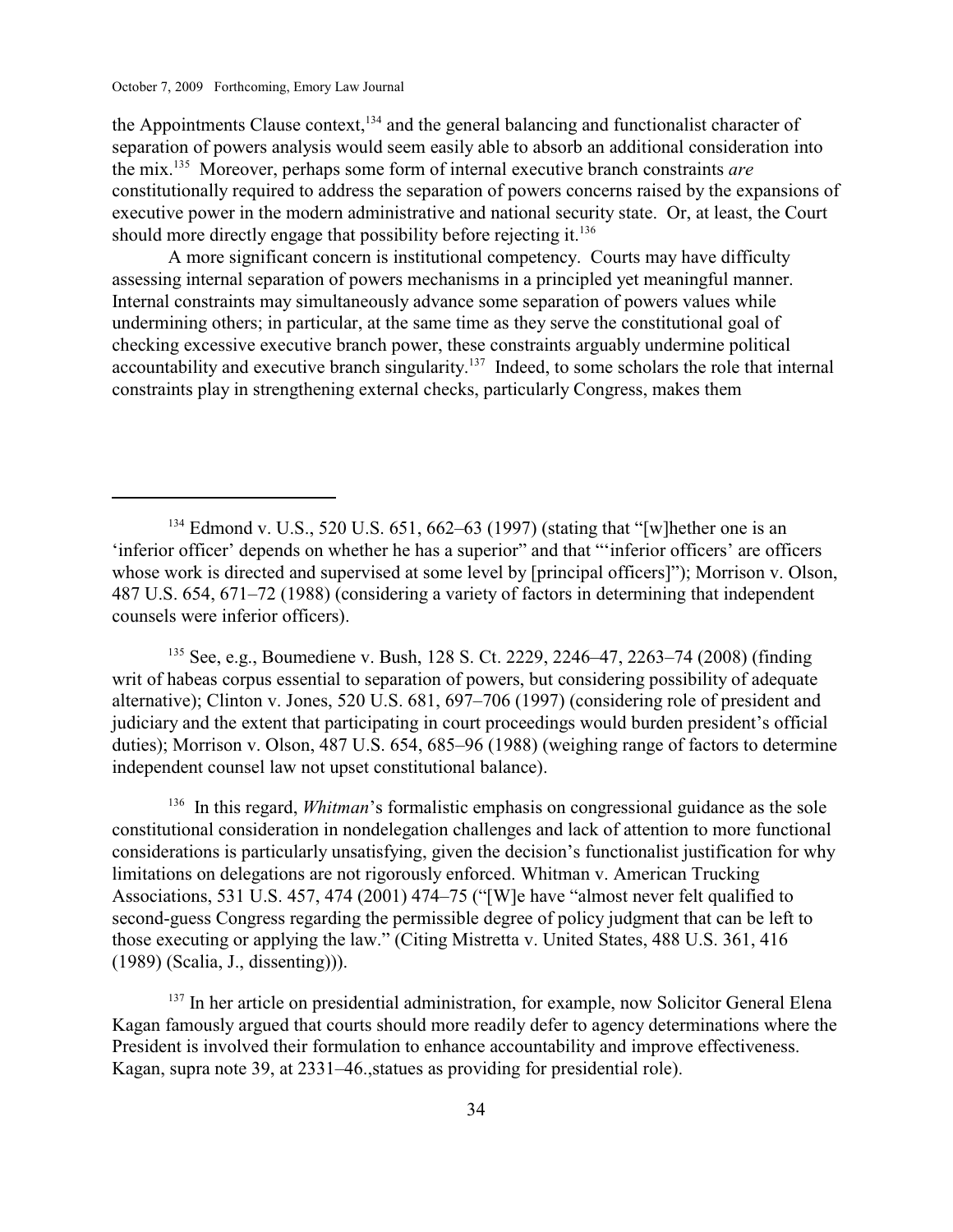the Appointments Clause context,  $134$  and the general balancing and functionalist character of separation of powers analysis would seem easily able to absorb an additional consideration into the mix.<sup>135</sup> Moreover, perhaps some form of internal executive branch constraints *are* constitutionally required to address the separation of powers concerns raised by the expansions of executive power in the modern administrative and national security state. Or, at least, the Court should more directly engage that possibility before rejecting it.<sup>136</sup>

A more significant concern is institutional competency. Courts may have difficulty assessing internal separation of powers mechanisms in a principled yet meaningful manner. Internal constraints may simultaneously advance some separation of powers values while undermining others; in particular, at the same time as they serve the constitutional goal of checking excessive executive branch power, these constraints arguably undermine political accountability and executive branch singularity.<sup>137</sup> Indeed, to some scholars the role that internal constraints play in strengthening external checks, particularly Congress, makes them

<sup>135</sup> See, e.g., Boumediene v. Bush, 128 S. Ct. 2229, 2246–47, 2263–74 (2008) (finding writ of habeas corpus essential to separation of powers, but considering possibility of adequate alternative); Clinton v. Jones, 520 U.S. 681, 697–706 (1997) (considering role of president and judiciary and the extent that participating in court proceedings would burden president's official duties); Morrison v. Olson, 487 U.S. 654, 685–96 (1988) (weighing range of factors to determine independent counsel law not upset constitutional balance).

 $136$  In this regard, *Whitman*'s formalistic emphasis on congressional guidance as the sole constitutional consideration in nondelegation challenges and lack of attention to more functional considerations is particularly unsatisfying, given the decision's functionalist justification for why limitations on delegations are not rigorously enforced. Whitman v. American Trucking Associations, 531 U.S. 457, 474 (2001) 474–75 ("[W]e have "almost never felt qualified to second-guess Congress regarding the permissible degree of policy judgment that can be left to those executing or applying the law." (Citing Mistretta v. United States, 488 U.S. 361, 416 (1989) (Scalia, J., dissenting))).

<sup>137</sup> In her article on presidential administration, for example, now Solicitor General Elena Kagan famously argued that courts should more readily defer to agency determinations where the President is involved their formulation to enhance accountability and improve effectiveness. Kagan, supra note 39, at 2331–46.,statues as providing for presidential role).

 $^{134}$  Edmond v. U.S., 520 U.S. 651, 662–63 (1997) (stating that "[w] hether one is an 'inferior officer' depends on whether he has a superior" and that "'inferior officers' are officers whose work is directed and supervised at some level by [principal officers]"); Morrison v. Olson, 487 U.S. 654, 671–72 (1988) (considering a variety of factors in determining that independent counsels were inferior officers).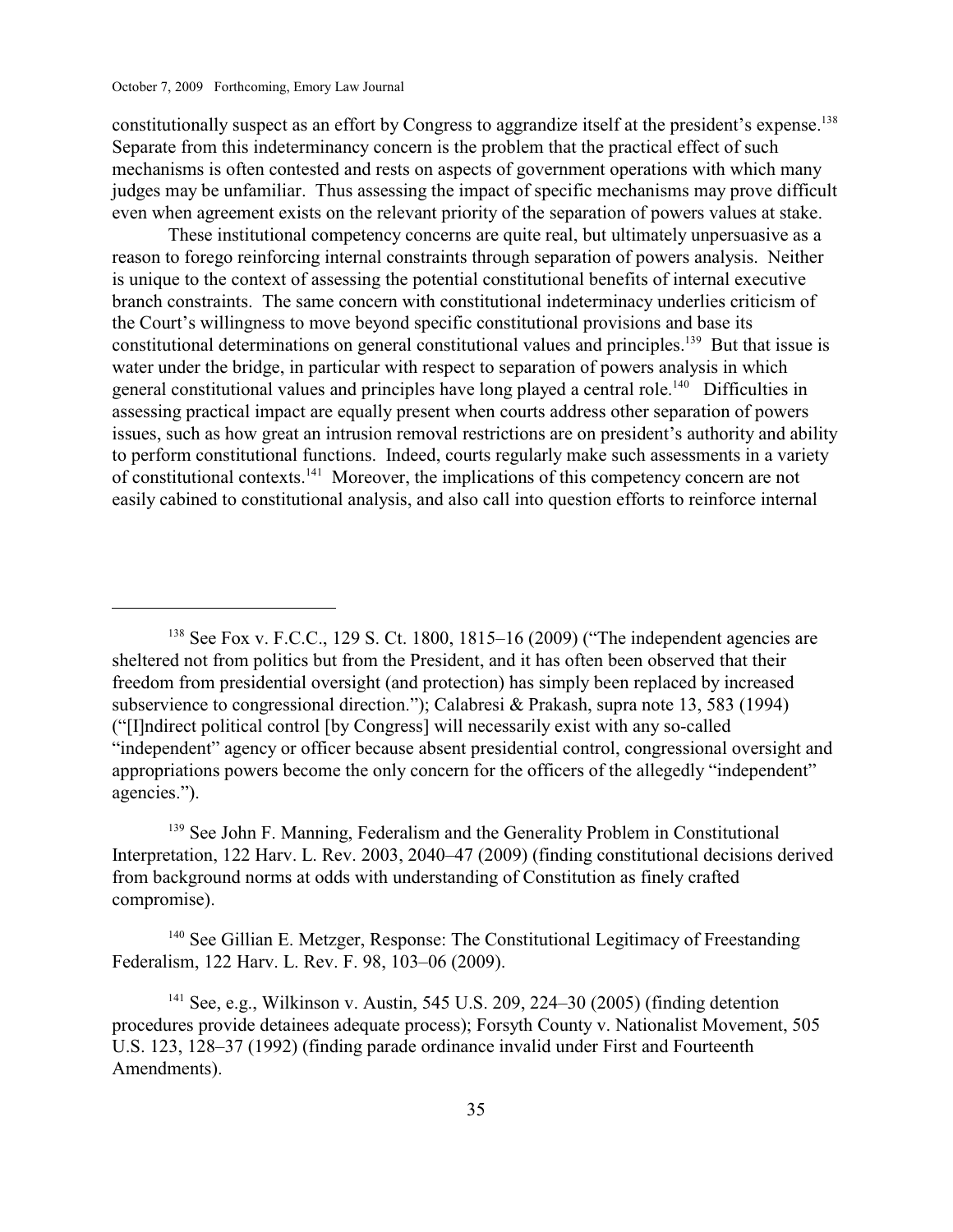constitutionally suspect as an effort by Congress to aggrandize itself at the president's expense.<sup>138</sup> Separate from this indeterminancy concern is the problem that the practical effect of such mechanisms is often contested and rests on aspects of government operations with which many judges may be unfamiliar. Thus assessing the impact of specific mechanisms may prove difficult even when agreement exists on the relevant priority of the separation of powers values at stake.

 These institutional competency concerns are quite real, but ultimately unpersuasive as a reason to forego reinforcing internal constraints through separation of powers analysis. Neither is unique to the context of assessing the potential constitutional benefits of internal executive branch constraints. The same concern with constitutional indeterminacy underlies criticism of the Court's willingness to move beyond specific constitutional provisions and base its constitutional determinations on general constitutional values and principles.<sup>139</sup> But that issue is water under the bridge, in particular with respect to separation of powers analysis in which general constitutional values and principles have long played a central role.<sup>140</sup> Difficulties in assessing practical impact are equally present when courts address other separation of powers issues, such as how great an intrusion removal restrictions are on president's authority and ability to perform constitutional functions. Indeed, courts regularly make such assessments in a variety of constitutional contexts.  $\frac{1}{41}$  Moreover, the implications of this competency concern are not easily cabined to constitutional analysis, and also call into question efforts to reinforce internal

 $139$  See John F. Manning, Federalism and the Generality Problem in Constitutional Interpretation, 122 Harv. L. Rev. 2003, 2040–47 (2009) (finding constitutional decisions derived from background norms at odds with understanding of Constitution as finely crafted compromise).

 $140$  See Gillian E. Metzger, Response: The Constitutional Legitimacy of Freestanding Federalism, 122 Harv. L. Rev. F. 98, 103–06 (2009).

 $141$  See, e.g., Wilkinson v. Austin, 545 U.S. 209, 224–30 (2005) (finding detention procedures provide detainees adequate process); Forsyth County v. Nationalist Movement, 505 U.S. 123, 128–37 (1992) (finding parade ordinance invalid under First and Fourteenth Amendments).

 $138$  See Fox v. F.C.C., 129 S. Ct. 1800, 1815–16 (2009) ("The independent agencies are sheltered not from politics but from the President, and it has often been observed that their freedom from presidential oversight (and protection) has simply been replaced by increased subservience to congressional direction."); Calabresi & Prakash, supra note 13, 583 (1994) ("[I]ndirect political control [by Congress] will necessarily exist with any so-called "independent" agency or officer because absent presidential control, congressional oversight and appropriations powers become the only concern for the officers of the allegedly "independent" agencies.").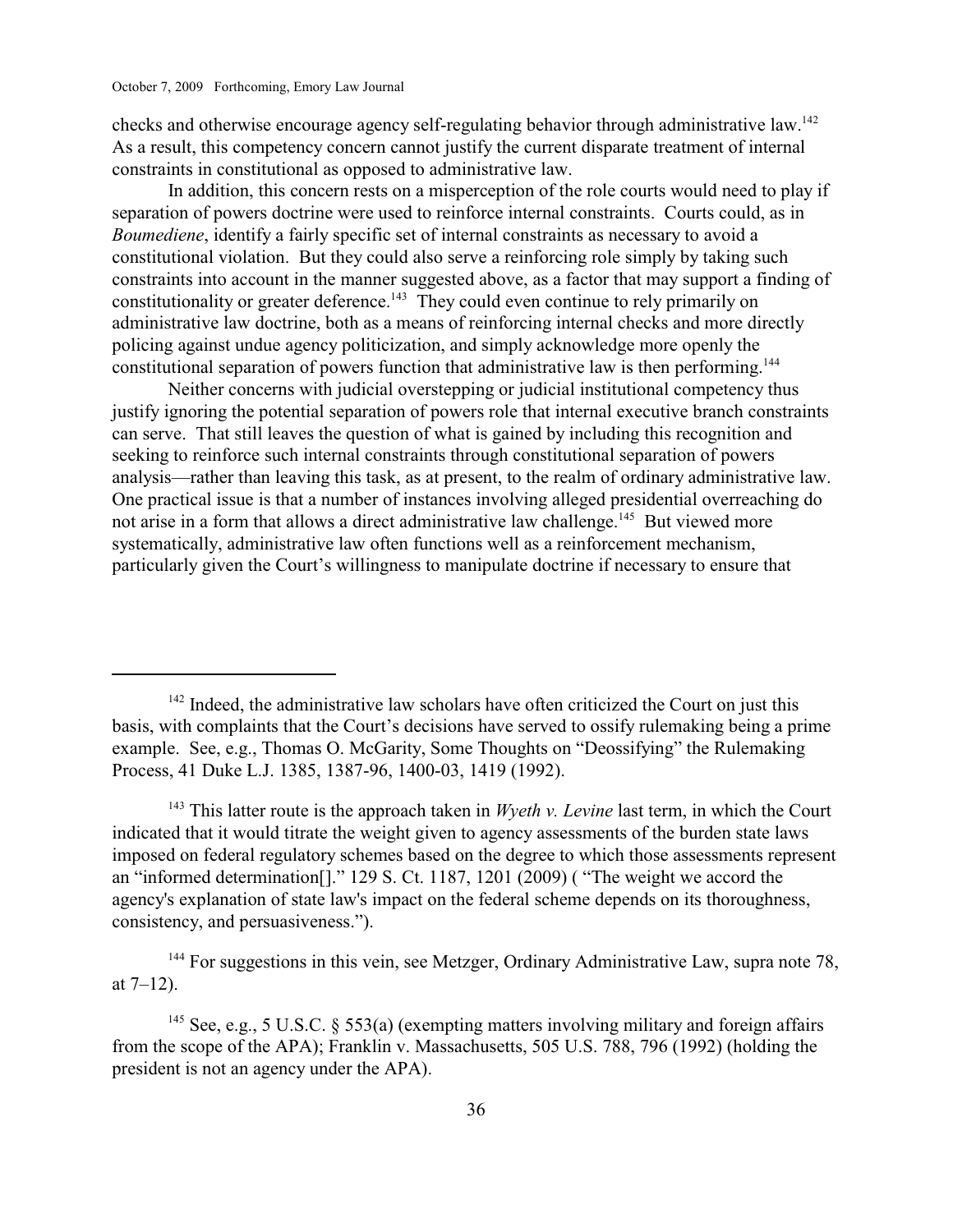checks and otherwise encourage agency self-regulating behavior through administrative law.<sup>142</sup> As a result, this competency concern cannot justify the current disparate treatment of internal constraints in constitutional as opposed to administrative law.

In addition, this concern rests on a misperception of the role courts would need to play if separation of powers doctrine were used to reinforce internal constraints. Courts could, as in *Boumediene*, identify a fairly specific set of internal constraints as necessary to avoid a constitutional violation. But they could also serve a reinforcing role simply by taking such constraints into account in the manner suggested above, as a factor that may support a finding of constitutionality or greater deference.<sup>143</sup> They could even continue to rely primarily on administrative law doctrine, both as a means of reinforcing internal checks and more directly policing against undue agency politicization, and simply acknowledge more openly the constitutional separation of powers function that administrative law is then performing.<sup>144</sup>

Neither concerns with judicial overstepping or judicial institutional competency thus justify ignoring the potential separation of powers role that internal executive branch constraints can serve. That still leaves the question of what is gained by including this recognition and seeking to reinforce such internal constraints through constitutional separation of powers analysis—rather than leaving this task, as at present, to the realm of ordinary administrative law. One practical issue is that a number of instances involving alleged presidential overreaching do not arise in a form that allows a direct administrative law challenge.<sup>145</sup> But viewed more systematically, administrative law often functions well as a reinforcement mechanism, particularly given the Court's willingness to manipulate doctrine if necessary to ensure that

<sup>143</sup> This latter route is the approach taken in *Wyeth v. Levine* last term, in which the Court indicated that it would titrate the weight given to agency assessments of the burden state laws imposed on federal regulatory schemes based on the degree to which those assessments represent an "informed determination[]." 129 S. Ct. 1187, 1201 (2009) ( "The weight we accord the agency's explanation of state law's impact on the federal scheme depends on its thoroughness, consistency, and persuasiveness.").

 $144$  For suggestions in this vein, see Metzger, Ordinary Administrative Law, supra note 78, at  $7-12$ ).

<sup>145</sup> See, e.g., 5 U.S.C. § 553(a) (exempting matters involving military and foreign affairs from the scope of the APA); Franklin v. Massachusetts, 505 U.S. 788, 796 (1992) (holding the president is not an agency under the APA).

 $142$  Indeed, the administrative law scholars have often criticized the Court on just this basis, with complaints that the Court's decisions have served to ossify rulemaking being a prime example. See, e.g., Thomas O. McGarity, Some Thoughts on "Deossifying" the Rulemaking Process, 41 Duke L.J. 1385, 1387-96, 1400-03, 1419 (1992).